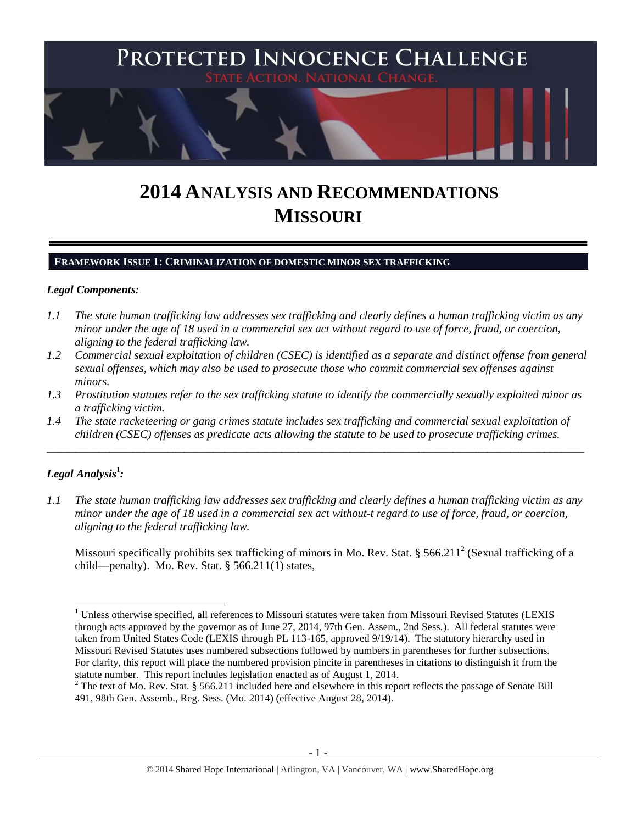

# **2014 ANALYSIS AND RECOMMENDATIONS MISSOURI**

#### **FRAMEWORK ISSUE 1: CRIMINALIZATION OF DOMESTIC MINOR SEX TRAFFICKING**

#### *Legal Components:*

- *1.1 The state human trafficking law addresses sex trafficking and clearly defines a human trafficking victim as any minor under the age of 18 used in a commercial sex act without regard to use of force, fraud, or coercion, aligning to the federal trafficking law.*
- *1.2 Commercial sexual exploitation of children (CSEC) is identified as a separate and distinct offense from general sexual offenses, which may also be used to prosecute those who commit commercial sex offenses against minors.*
- *1.3 Prostitution statutes refer to the sex trafficking statute to identify the commercially sexually exploited minor as a trafficking victim.*

\_\_\_\_\_\_\_\_\_\_\_\_\_\_\_\_\_\_\_\_\_\_\_\_\_\_\_\_\_\_\_\_\_\_\_\_\_\_\_\_\_\_\_\_\_\_\_\_\_\_\_\_\_\_\_\_\_\_\_\_\_\_\_\_\_\_\_\_\_\_\_\_\_\_\_\_\_\_\_\_\_\_\_\_\_\_\_\_\_\_\_\_\_\_

*1.4 The state racketeering or gang crimes statute includes sex trafficking and commercial sexual exploitation of children (CSEC) offenses as predicate acts allowing the statute to be used to prosecute trafficking crimes.* 

# $\bm{L}$ egal Analysis $^1$ :

 $\overline{a}$ 

*1.1 The state human trafficking law addresses sex trafficking and clearly defines a human trafficking victim as any minor under the age of 18 used in a commercial sex act without-t regard to use of force, fraud, or coercion, aligning to the federal trafficking law.*

<span id="page-0-0"></span>Missouri specifically prohibits sex trafficking of minors in Mo. Rev. Stat. § 566.211<sup>2</sup> (Sexual trafficking of a child—penalty). Mo. Rev. Stat.  $§$  566.211(1) states,

<sup>&</sup>lt;sup>1</sup> Unless otherwise specified, all references to Missouri statutes were taken from Missouri Revised Statutes (LEXIS through acts approved by the governor as of June 27, 2014, 97th Gen. Assem., 2nd Sess.). All federal statutes were taken from United States Code (LEXIS through PL 113-165, approved 9/19/14). The statutory hierarchy used in Missouri Revised Statutes uses numbered subsections followed by numbers in parentheses for further subsections. For clarity, this report will place the numbered provision pincite in parentheses in citations to distinguish it from the statute number. This report includes legislation enacted as of August 1, 2014.

<sup>&</sup>lt;sup>2</sup> The text of Mo. Rev. Stat. § 566.211 included here and elsewhere in this report reflects the passage of Senate Bill 491, 98th Gen. Assemb., Reg. Sess. (Mo. 2014) (effective August 28, 2014).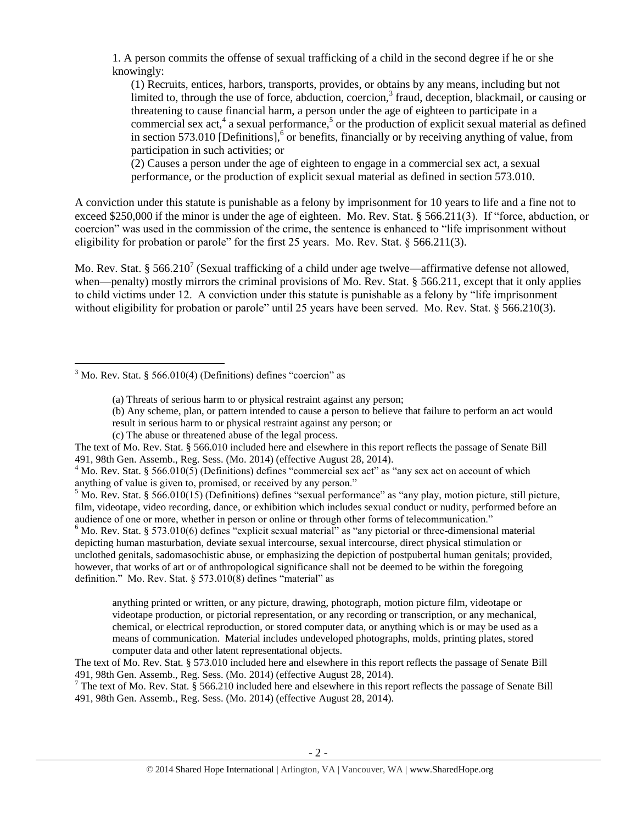1. A person commits the offense of sexual trafficking of a child in the second degree if he or she knowingly:

<span id="page-1-2"></span>(1) Recruits, entices, harbors, transports, provides, or obtains by any means, including but not limited to, through the use of force, abduction, coercion,<sup>3</sup> fraud, deception, blackmail, or causing or threatening to cause financial harm, a person under the age of eighteen to participate in a commercial sex act,<sup>4</sup> a sexual performance,<sup>5</sup> or the production of explicit sexual material as defined in section 573.010 [Definitions], $6$  or benefits, financially or by receiving anything of value, from participation in such activities; or

<span id="page-1-0"></span>(2) Causes a person under the age of eighteen to engage in a commercial sex act, a sexual performance, or the production of explicit sexual material as defined in section 573.010.

A conviction under this statute is punishable as a felony by imprisonment for 10 years to life and a fine not to exceed \$250,000 if the minor is under the age of eighteen. Mo. Rev. Stat. § 566.211(3). If "force, abduction, or coercion" was used in the commission of the crime, the sentence is enhanced to "life imprisonment without eligibility for probation or parole" for the first 25 years. Mo. Rev. Stat.  $\S$  566.211(3).

<span id="page-1-1"></span>Mo. Rev. Stat. § 566.210<sup>7</sup> (Sexual trafficking of a child under age twelve—affirmative defense not allowed, when—penalty) mostly mirrors the criminal provisions of Mo. Rev. Stat. § 566.211, except that it only applies to child victims under 12. A conviction under this statute is punishable as a felony by "life imprisonment without eligibility for probation or parole" until 25 years have been served. Mo. Rev. Stat. § 566.210(3).

 $\overline{a}$ 

- (b) Any scheme, plan, or pattern intended to cause a person to believe that failure to perform an act would result in serious harm to or physical restraint against any person; or
- (c) The abuse or threatened abuse of the legal process.

The text of Mo. Rev. Stat. § 566.010 included here and elsewhere in this report reflects the passage of Senate Bill 491, 98th Gen. Assemb., Reg. Sess. (Mo. 2014) (effective August 28, 2014).

 $<sup>5</sup>$  Mo. Rev. Stat. § 566.010(15) (Definitions) defines "sexual performance" as "any play, motion picture, still picture,</sup> film, videotape, video recording, dance, or exhibition which includes sexual conduct or nudity, performed before an audience of one or more, whether in person or online or through other forms of telecommunication."

 $6$  Mo. Rev. Stat. § 573.010(6) defines "explicit sexual material" as "any pictorial or three-dimensional material depicting human masturbation, deviate sexual intercourse, sexual intercourse, direct physical stimulation or unclothed genitals, sadomasochistic abuse, or emphasizing the depiction of postpubertal human genitals; provided, however, that works of art or of anthropological significance shall not be deemed to be within the foregoing definition." Mo. Rev. Stat. § 573.010(8) defines "material" as

anything printed or written, or any picture, drawing, photograph, motion picture film, videotape or videotape production, or pictorial representation, or any recording or transcription, or any mechanical, chemical, or electrical reproduction, or stored computer data, or anything which is or may be used as a means of communication. Material includes undeveloped photographs, molds, printing plates, stored computer data and other latent representational objects.

The text of Mo. Rev. Stat. § 573.010 included here and elsewhere in this report reflects the passage of Senate Bill 491, 98th Gen. Assemb., Reg. Sess. (Mo. 2014) (effective August 28, 2014).

<sup>7</sup> The text of Mo. Rev. Stat. § 566.210 included here and elsewhere in this report reflects the passage of Senate Bill 491, 98th Gen. Assemb., Reg. Sess. (Mo. 2014) (effective August 28, 2014).

 $3$  Mo. Rev. Stat. § 566.010(4) (Definitions) defines "coercion" as

<sup>(</sup>a) Threats of serious harm to or physical restraint against any person;

 $4$  Mo. Rev. Stat. § 566.010(5) (Definitions) defines "commercial sex act" as "any sex act on account of which anything of value is given to, promised, or received by any person."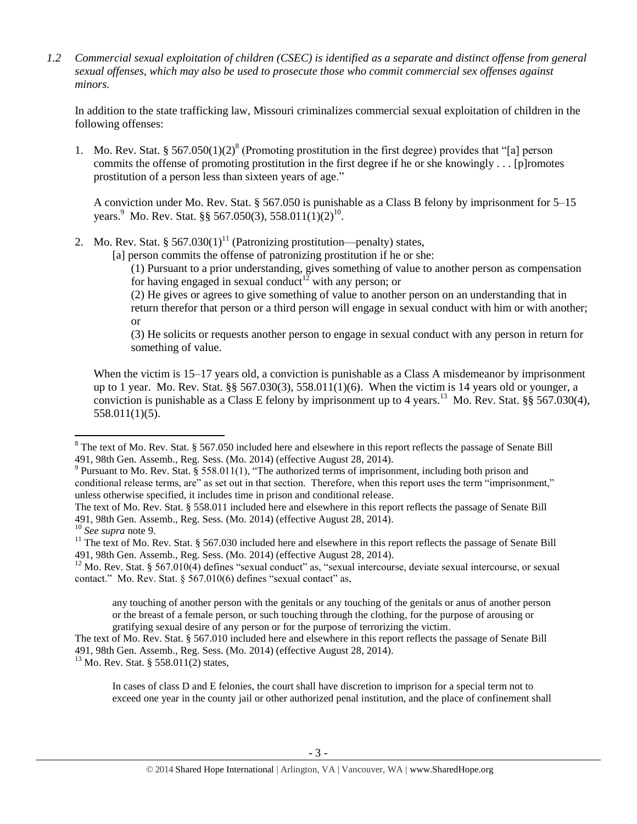*1.2 Commercial sexual exploitation of children (CSEC) is identified as a separate and distinct offense from general sexual offenses, which may also be used to prosecute those who commit commercial sex offenses against minors.*

In addition to the state trafficking law, Missouri criminalizes commercial sexual exploitation of children in the following offenses:

1. Mo. Rev. Stat. § 567.050(1)(2)<sup>8</sup> (Promoting prostitution in the first degree) provides that "[a] person commits the offense of promoting prostitution in the first degree if he or she knowingly . . . [p]romotes prostitution of a person less than sixteen years of age."

<span id="page-2-4"></span><span id="page-2-0"></span>A conviction under Mo. Rev. Stat. § 567.050 is punishable as a Class B felony by imprisonment for 5–15 years. Mo. Rev. Stat. §§ 567.050(3), 558.011(1)(2)<sup>10</sup>.

2. Mo. Rev. Stat. §  $567.030(1)^{11}$  (Patronizing prostitution—penalty) states,

[a] person commits the offense of patronizing prostitution if he or she:

<span id="page-2-2"></span>(1) Pursuant to a prior understanding, gives something of value to another person as compensation for having engaged in sexual conduct<sup>12</sup> with any person; or

<span id="page-2-3"></span>(2) He gives or agrees to give something of value to another person on an understanding that in return therefor that person or a third person will engage in sexual conduct with him or with another; or

<span id="page-2-1"></span>(3) He solicits or requests another person to engage in sexual conduct with any person in return for something of value.

When the victim is 15–17 years old, a conviction is punishable as a Class A misdemeanor by imprisonment up to 1 year. Mo. Rev. Stat. §§ 567.030(3), 558.011(1)(6). When the victim is 14 years old or younger, a conviction is punishable as a Class E felony by imprisonment up to 4 years.<sup>13</sup> Mo. Rev. Stat. §§ 567.030(4), 558.011(1)(5).

<sup>&</sup>lt;sup>8</sup> The text of Mo. Rev. Stat. § 567.050 included here and elsewhere in this report reflects the passage of Senate Bill 491, 98th Gen. Assemb., Reg. Sess. (Mo. 2014) (effective August 28, 2014).

<sup>&</sup>lt;sup>9</sup> Pursuant to Mo. Rev. Stat. § 558.011(1), "The authorized terms of imprisonment, including both prison and conditional release terms, are" as set out in that section. Therefore, when this report uses the term "imprisonment," unless otherwise specified, it includes time in prison and conditional release.

The text of Mo. Rev. Stat. § 558.011 included here and elsewhere in this report reflects the passage of Senate Bill 491, 98th Gen. Assemb., Reg. Sess. (Mo. 2014) (effective August 28, 2014).

<sup>10</sup> *See supra* note [9.](#page-2-0)

 $11$  The text of Mo. Rev. Stat. § 567.030 included here and elsewhere in this report reflects the passage of Senate Bill 491, 98th Gen. Assemb., Reg. Sess. (Mo. 2014) (effective August 28, 2014).

 $12$  Mo. Rev. Stat. § 567.010(4) defines "sexual conduct" as, "sexual intercourse, deviate sexual intercourse, or sexual contact." Mo. Rev. Stat. § 567.010(6) defines "sexual contact" as,

any touching of another person with the genitals or any touching of the genitals or anus of another person or the breast of a female person, or such touching through the clothing, for the purpose of arousing or gratifying sexual desire of any person or for the purpose of terrorizing the victim.

The text of Mo. Rev. Stat. § 567.010 included here and elsewhere in this report reflects the passage of Senate Bill 491, 98th Gen. Assemb., Reg. Sess. (Mo. 2014) (effective August 28, 2014).

<sup>&</sup>lt;sup>13</sup> Mo. Rev. Stat. § 558.011(2) states,

In cases of class D and E felonies, the court shall have discretion to imprison for a special term not to exceed one year in the county jail or other authorized penal institution, and the place of confinement shall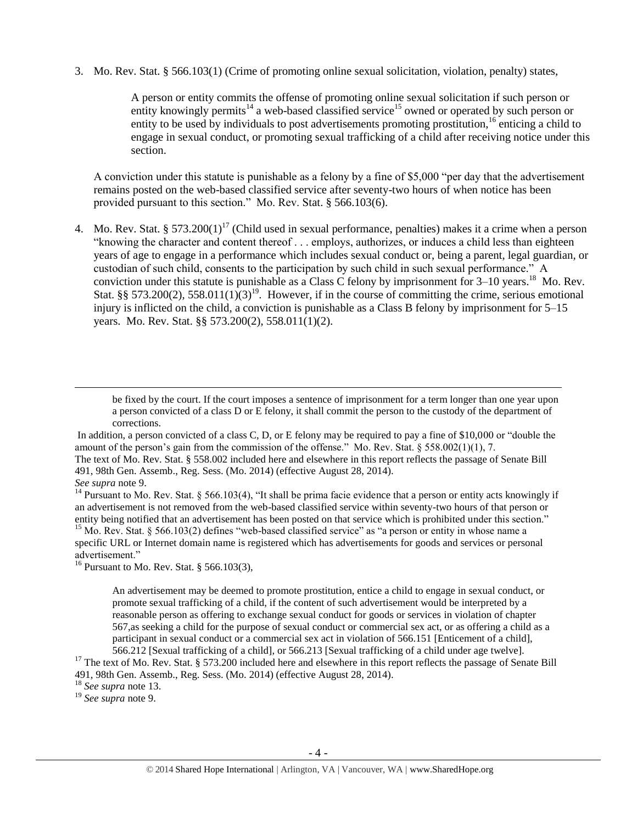3. Mo. Rev. Stat. § 566.103(1) (Crime of promoting online sexual solicitation, violation, penalty) states,

A person or entity commits the offense of promoting online sexual solicitation if such person or entity knowingly permits<sup>14</sup> a web-based classified service<sup>15</sup> owned or operated by such person or entity to be used by individuals to post advertisements promoting prostitution,  $16$  enticing a child to engage in sexual conduct, or promoting sexual trafficking of a child after receiving notice under this section.

<span id="page-3-0"></span>A conviction under this statute is punishable as a felony by a fine of \$5,000 "per day that the advertisement remains posted on the web-based classified service after seventy-two hours of when notice has been provided pursuant to this section." Mo. Rev. Stat. § 566.103(6).

4. Mo. Rev. Stat. § 573.200(1)<sup>17</sup> (Child used in sexual performance, penalties) makes it a crime when a person "knowing the character and content thereof . . . employs, authorizes, or induces a child less than eighteen years of age to engage in a performance which includes sexual conduct or, being a parent, legal guardian, or custodian of such child, consents to the participation by such child in such sexual performance." A conviction under this statute is punishable as a Class C felony by imprisonment for  $3-10$  years.<sup>18</sup> Mo. Rev. Stat. §§ 573.200(2), 558.011(1)(3)<sup>19</sup>. However, if in the course of committing the crime, serious emotional injury is inflicted on the child, a conviction is punishable as a Class B felony by imprisonment for 5–15 years. Mo. Rev. Stat. §§ 573.200(2), 558.011(1)(2).

In addition, a person convicted of a class C, D, or E felony may be required to pay a fine of \$10,000 or "double the amount of the person's gain from the commission of the offense." Mo. Rev. Stat. § 558.002(1)(1), 7. The text of Mo. Rev. Stat. § 558.002 included here and elsewhere in this report reflects the passage of Senate Bill 491, 98th Gen. Assemb., Reg. Sess. (Mo. 2014) (effective August 28, 2014). *See supra* note [9.](#page-2-0)

<sup>14</sup> Pursuant to Mo. Rev. Stat. § 566.103(4), "It shall be prima facie evidence that a person or entity acts knowingly if an advertisement is not removed from the web-based classified service within seventy-two hours of that person or entity being notified that an advertisement has been posted on that service which is prohibited under this section." <sup>15</sup> Mo. Rev. Stat. § 566.103(2) defines "web-based classified service" as "a person or entity in whose name a specific URL or Internet domain name is registered which has advertisements for goods and services or personal advertisement."

<sup>16</sup> Pursuant to Mo. Rev. Stat. § 566.103(3),

An advertisement may be deemed to promote prostitution, entice a child to engage in sexual conduct, or promote sexual trafficking of a child, if the content of such advertisement would be interpreted by a reasonable person as offering to exchange sexual conduct for goods or services in violation of chapter 567,as seeking a child for the purpose of sexual conduct or commercial sex act, or as offering a child as a participant in sexual conduct or a commercial sex act in violation of 566.151 [Enticement of a child], 566.212 [Sexual trafficking of a child], or 566.213 [Sexual trafficking of a child under age twelve].

<sup>18</sup> *See supra* note [13.](#page-2-1)

 $\overline{a}$ 

<sup>19</sup> *See supra* note [9.](#page-2-0)

be fixed by the court. If the court imposes a sentence of imprisonment for a term longer than one year upon a person convicted of a class D or E felony, it shall commit the person to the custody of the department of corrections.

 $17$  The text of Mo. Rev. Stat. § 573.200 included here and elsewhere in this report reflects the passage of Senate Bill 491, 98th Gen. Assemb., Reg. Sess. (Mo. 2014) (effective August 28, 2014).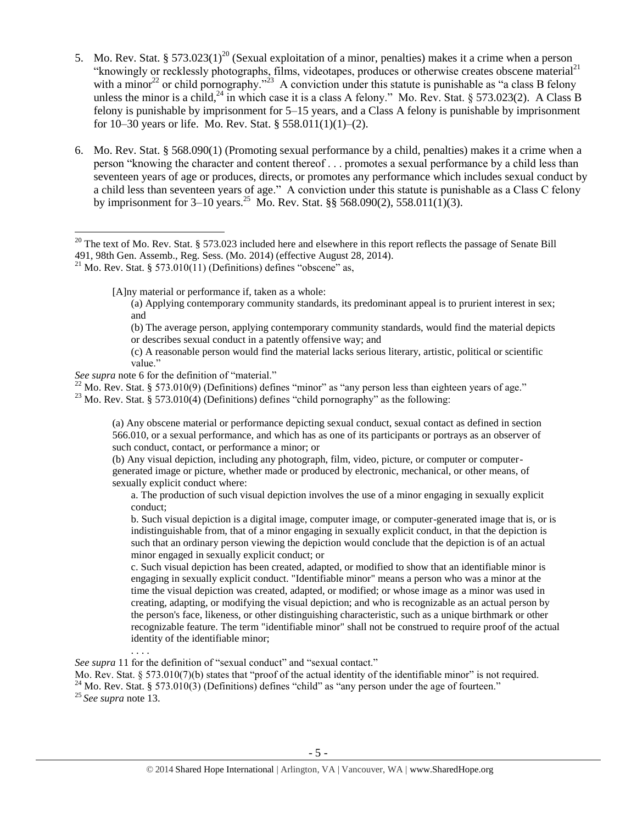- <span id="page-4-1"></span><span id="page-4-0"></span>5. Mo. Rev. Stat. § 573.023(1)<sup>20</sup> (Sexual exploitation of a minor, penalties) makes it a crime when a person "knowingly or recklessly photographs, films, videotapes, produces or otherwise creates obscene material<sup>21</sup> with a minor<sup>22</sup> or child pornography."<sup>23</sup> A conviction under this statute is punishable as "a class B felony unless the minor is a child,<sup>24</sup> in which case it is a class A felony." Mo. Rev. Stat. § 573.023(2). A Class B felony is punishable by imprisonment for 5–15 years, and a Class A felony is punishable by imprisonment for 10–30 years or life. Mo. Rev. Stat. § 558.011(1)(1)–(2).
- 6. Mo. Rev. Stat. § 568.090(1) (Promoting sexual performance by a child, penalties) makes it a crime when a person "knowing the character and content thereof . . . promotes a sexual performance by a child less than seventeen years of age or produces, directs, or promotes any performance which includes sexual conduct by a child less than seventeen years of age." A conviction under this statute is punishable as a Class C felony by imprisonment for  $3-10$  years.<sup>25</sup> Mo. Rev. Stat. §§ 568.090(2), 558.011(1)(3).

(b) The average person, applying contemporary community standards, would find the material depicts or describes sexual conduct in a patently offensive way; and

(c) A reasonable person would find the material lacks serious literary, artistic, political or scientific value<sup>"</sup>

 $\overline{\phantom{a}}$ 

<sup>23</sup> Mo. Rev. Stat. § 573.010(4) (Definitions) defines "child pornography" as the following:

(a) Any obscene material or performance depicting sexual conduct, sexual contact as defined in section 566.010, or a sexual performance, and which has as one of its participants or portrays as an observer of such conduct, contact, or performance a minor; or

(b) Any visual depiction, including any photograph, film, video, picture, or computer or computergenerated image or picture, whether made or produced by electronic, mechanical, or other means, of sexually explicit conduct where:

a. The production of such visual depiction involves the use of a minor engaging in sexually explicit conduct;

b. Such visual depiction is a digital image, computer image, or computer-generated image that is, or is indistinguishable from, that of a minor engaging in sexually explicit conduct, in that the depiction is such that an ordinary person viewing the depiction would conclude that the depiction is of an actual minor engaged in sexually explicit conduct; or

c. Such visual depiction has been created, adapted, or modified to show that an identifiable minor is engaging in sexually explicit conduct. "Identifiable minor" means a person who was a minor at the time the visual depiction was created, adapted, or modified; or whose image as a minor was used in creating, adapting, or modifying the visual depiction; and who is recognizable as an actual person by the person's face, likeness, or other distinguishing characteristic, such as a unique birthmark or other recognizable feature. The term "identifiable minor" shall not be construed to require proof of the actual identity of the identifiable minor;

*See supra* [11](#page-2-2) for the definition of "sexual conduct" and "sexual contact."

. . . .

Mo. Rev. Stat. § 573.010(7)(b) states that "proof of the actual identity of the identifiable minor" is not required.  $^{24}$  Mo. Rev. Stat. § 573.010(3) (Definitions) defines "child" as "any person under the age of fourteen."  $^{25}$  *See supra* not[e 13.](#page-2-1)

- 5 -

 $20$  The text of Mo. Rev. Stat. § 573.023 included here and elsewhere in this report reflects the passage of Senate Bill 491, 98th Gen. Assemb., Reg. Sess. (Mo. 2014) (effective August 28, 2014).

 $^{21}$  Mo. Rev. Stat. § 573.010(11) (Definitions) defines "obscene" as,

<sup>[</sup>A]ny material or performance if, taken as a whole:

<sup>(</sup>a) Applying contemporary community standards, its predominant appeal is to prurient interest in sex; and

*See supra* note [6](#page-1-0) for the definition of "material."

 $^{22}$  Mo. Rev. Stat. § 573.010(9) (Definitions) defines "minor" as "any person less than eighteen years of age."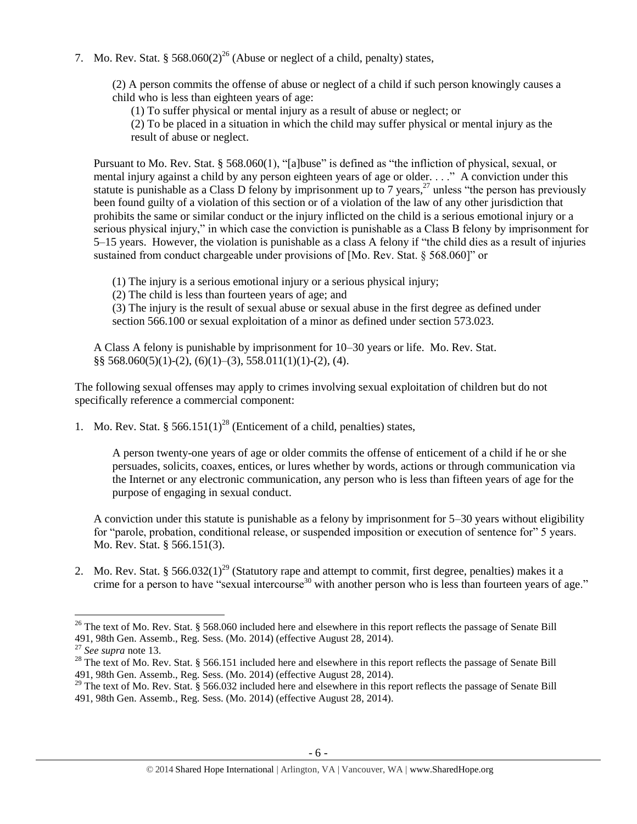7. Mo. Rev. Stat. §  $568.060(2)^{26}$  (Abuse or neglect of a child, penalty) states,

(2) A person commits the offense of abuse or neglect of a child if such person knowingly causes a child who is less than eighteen years of age:

<span id="page-5-3"></span>(1) To suffer physical or mental injury as a result of abuse or neglect; or

(2) To be placed in a situation in which the child may suffer physical or mental injury as the result of abuse or neglect.

Pursuant to Mo. Rev. Stat. § 568.060(1), "[a]buse" is defined as "the infliction of physical, sexual, or mental injury against a child by any person eighteen years of age or older. . . ." A conviction under this statute is punishable as a Class D felony by imprisonment up to 7 years,  $27$  unless "the person has previously been found guilty of a violation of this section or of a violation of the law of any other jurisdiction that prohibits the same or similar conduct or the injury inflicted on the child is a serious emotional injury or a serious physical injury," in which case the conviction is punishable as a Class B felony by imprisonment for 5–15 years. However, the violation is punishable as a class A felony if "the child dies as a result of injuries sustained from conduct chargeable under provisions of [Mo. Rev. Stat. § 568.060]" or

(1) The injury is a serious emotional injury or a serious physical injury;

(2) The child is less than fourteen years of age; and

(3) The injury is the result of sexual abuse or sexual abuse in the first degree as defined under section 566.100 or sexual exploitation of a minor as defined under section 573.023.

A Class A felony is punishable by imprisonment for 10–30 years or life. Mo. Rev. Stat.  $\S$ § 568.060(5)(1)-(2), (6)(1)-(3), 558.011(1)(1)-(2), (4).

The following sexual offenses may apply to crimes involving sexual exploitation of children but do not specifically reference a commercial component:

1. Mo. Rev. Stat. § 566.151(1)<sup>28</sup> (Enticement of a child, penalties) states,

<span id="page-5-1"></span>A person twenty-one years of age or older commits the offense of enticement of a child if he or she persuades, solicits, coaxes, entices, or lures whether by words, actions or through communication via the Internet or any electronic communication, any person who is less than fifteen years of age for the purpose of engaging in sexual conduct.

<span id="page-5-2"></span><span id="page-5-0"></span>A conviction under this statute is punishable as a felony by imprisonment for 5–30 years without eligibility for "parole, probation, conditional release, or suspended imposition or execution of sentence for" 5 years. Mo. Rev. Stat. § 566.151(3).

2. Mo. Rev. Stat. § 566.032(1)<sup>29</sup> (Statutory rape and attempt to commit, first degree, penalties) makes it a crime for a person to have "sexual intercourse<sup>30</sup> with another person who is less than fourteen years of age."

 $26$  The text of Mo. Rev. Stat. § 568.060 included here and elsewhere in this report reflects the passage of Senate Bill 491, 98th Gen. Assemb., Reg. Sess. (Mo. 2014) (effective August 28, 2014).

<sup>27</sup> *See supra* note [13.](#page-2-1)

 $28$  The text of Mo. Rev. Stat. § 566.151 included here and elsewhere in this report reflects the passage of Senate Bill 491, 98th Gen. Assemb., Reg. Sess. (Mo. 2014) (effective August 28, 2014).

<sup>&</sup>lt;sup>29</sup> The text of Mo. Rev. Stat. § 566.032 included here and elsewhere in this report reflects the passage of Senate Bill 491, 98th Gen. Assemb., Reg. Sess. (Mo. 2014) (effective August 28, 2014).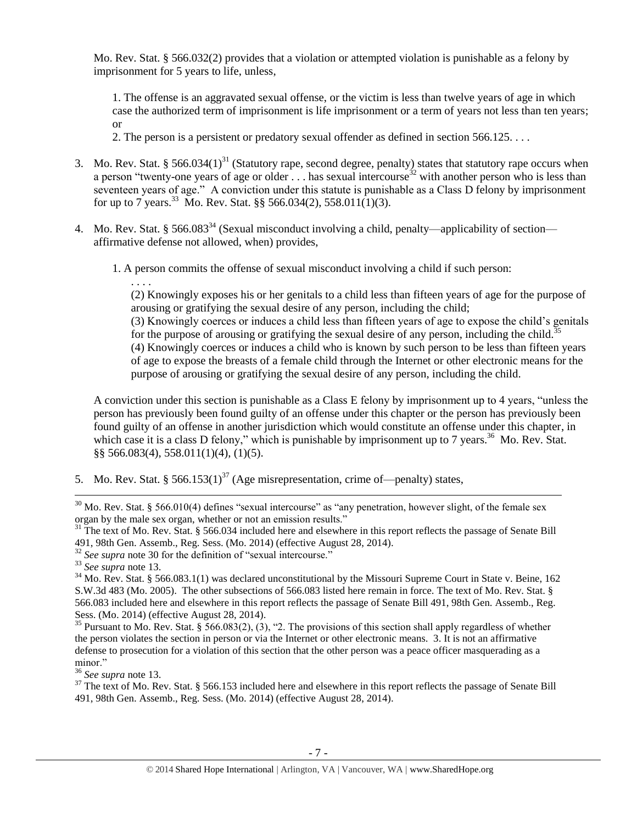Mo. Rev. Stat. § 566.032(2) provides that a violation or attempted violation is punishable as a felony by imprisonment for 5 years to life, unless,

1. The offense is an aggravated sexual offense, or the victim is less than twelve years of age in which case the authorized term of imprisonment is life imprisonment or a term of years not less than ten years; or

2. The person is a persistent or predatory sexual offender as defined in section 566.125. . . .

- 3. Mo. Rev. Stat. § 566.034(1)<sup>31</sup> (Statutory rape, second degree, penalty) states that statutory rape occurs when a person "twenty-one years of age or older ... has sexual intercourse<sup>32</sup> with another person who is less than seventeen years of age." A conviction under this statute is punishable as a Class D felony by imprisonment for up to 7 years.<sup>33</sup> Mo. Rev. Stat. §§ 566.034(2), 558.011(1)(3).
- 4. Mo. Rev. Stat. § 566.083<sup>34</sup> (Sexual misconduct involving a child, penalty—applicability of section affirmative defense not allowed, when) provides,
	- 1. A person commits the offense of sexual misconduct involving a child if such person:

<span id="page-6-0"></span>. . . . (2) Knowingly exposes his or her genitals to a child less than fifteen years of age for the purpose of arousing or gratifying the sexual desire of any person, including the child;

(3) Knowingly coerces or induces a child less than fifteen years of age to expose the child's genitals for the purpose of arousing or gratifying the sexual desire of any person, including the child.<sup>35</sup>

(4) Knowingly coerces or induces a child who is known by such person to be less than fifteen years of age to expose the breasts of a female child through the Internet or other electronic means for the purpose of arousing or gratifying the sexual desire of any person, including the child.

A conviction under this section is punishable as a Class E felony by imprisonment up to 4 years, "unless the person has previously been found guilty of an offense under this chapter or the person has previously been found guilty of an offense in another jurisdiction which would constitute an offense under this chapter, in which case it is a class D felony," which is punishable by imprisonment up to 7 years.<sup>36</sup> Mo. Rev. Stat. §§ 566.083(4), 558.011(1)(4), (1)(5).

5. Mo. Rev. Stat. § 566.153(1)<sup>37</sup> (Age misrepresentation, crime of—penalty) states,

<span id="page-6-1"></span>l

 $37$  The text of Mo. Rev. Stat. § 566.153 included here and elsewhere in this report reflects the passage of Senate Bill 491, 98th Gen. Assemb., Reg. Sess. (Mo. 2014) (effective August 28, 2014).

 $30$  Mo. Rev. Stat. § 566.010(4) defines "sexual intercourse" as "any penetration, however slight, of the female sex organ by the male sex organ, whether or not an emission results."

<sup>&</sup>lt;sup>31</sup> The text of Mo. Rev. Stat. § 566.034 included here and elsewhere in this report reflects the passage of Senate Bill 491, 98th Gen. Assemb., Reg. Sess. (Mo. 2014) (effective August 28, 2014).

<sup>&</sup>lt;sup>32</sup> See supra note [30](#page-5-0) for the definition of "sexual intercourse."

<sup>33</sup> *See supra* note [13.](#page-2-1)

<sup>&</sup>lt;sup>34</sup> Mo. Rev. Stat. § 566.083.1(1) was declared unconstitutional by the Missouri Supreme Court in State v. Beine, 162 S.W.3d 483 (Mo. 2005). The other subsections of 566.083 listed here remain in force. The text of Mo. Rev. Stat. § 566.083 included here and elsewhere in this report reflects the passage of Senate Bill 491, 98th Gen. Assemb., Reg. Sess. (Mo. 2014) (effective August 28, 2014).

<sup>&</sup>lt;sup>35</sup> Pursuant to Mo. Rev. Stat. § 566.083(2), (3), "2. The provisions of this section shall apply regardless of whether the person violates the section in person or via the Internet or other electronic means. 3. It is not an affirmative defense to prosecution for a violation of this section that the other person was a peace officer masquerading as a minor."

<sup>36</sup> *See supra* note [13.](#page-2-1)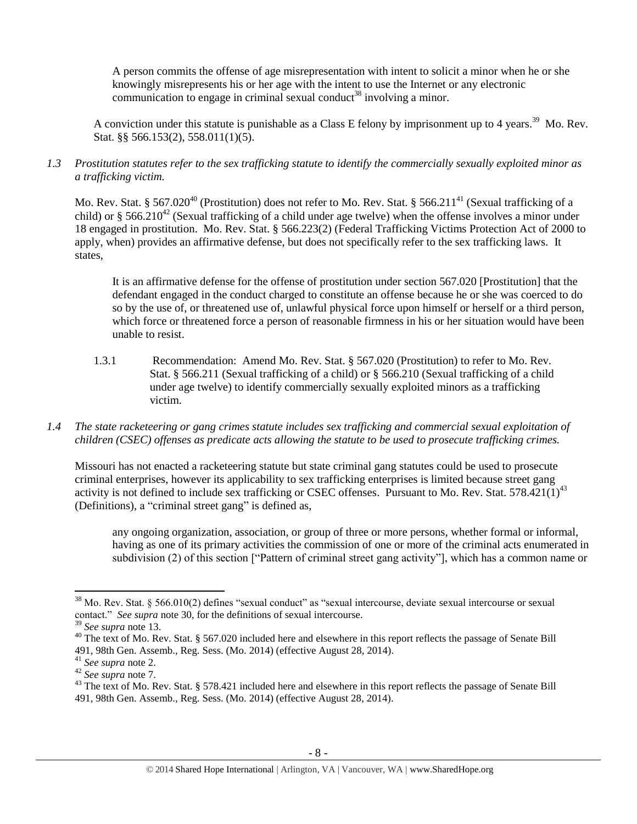<span id="page-7-0"></span>A person commits the offense of age misrepresentation with intent to solicit a minor when he or she knowingly misrepresents his or her age with the intent to use the Internet or any electronic communication to engage in criminal sexual conduct<sup>38</sup> involving a minor.

A conviction under this statute is punishable as a Class E felony by imprisonment up to 4 years.<sup>39</sup> Mo. Rev. Stat. §§ 566.153(2), 558.011(1)(5).

## *1.3 Prostitution statutes refer to the sex trafficking statute to identify the commercially sexually exploited minor as a trafficking victim.*

Mo. Rev. Stat. § 567.020<sup>40</sup> (Prostitution) does not refer to Mo. Rev. Stat. § 566.211<sup>41</sup> (Sexual trafficking of a child) or § 566.210<sup>42</sup> (Sexual trafficking of a child under age twelve) when the offense involves a minor under 18 engaged in prostitution. Mo. Rev. Stat. § 566.223(2) (Federal Trafficking Victims Protection Act of 2000 to apply, when) provides an affirmative defense, but does not specifically refer to the sex trafficking laws. It states,

<span id="page-7-1"></span>It is an affirmative defense for the offense of prostitution under section 567.020 [Prostitution] that the defendant engaged in the conduct charged to constitute an offense because he or she was coerced to do so by the use of, or threatened use of, unlawful physical force upon himself or herself or a third person, which force or threatened force a person of reasonable firmness in his or her situation would have been unable to resist.

- 1.3.1 Recommendation: Amend Mo. Rev. Stat. § 567.020 (Prostitution) to refer to Mo. Rev. Stat. § 566.211 (Sexual trafficking of a child) or § 566.210 (Sexual trafficking of a child under age twelve) to identify commercially sexually exploited minors as a trafficking victim.
- *1.4 The state racketeering or gang crimes statute includes sex trafficking and commercial sexual exploitation of children (CSEC) offenses as predicate acts allowing the statute to be used to prosecute trafficking crimes.*

Missouri has not enacted a racketeering statute but state criminal gang statutes could be used to prosecute criminal enterprises, however its applicability to sex trafficking enterprises is limited because street gang activity is not defined to include sex trafficking or CSEC offenses. Pursuant to Mo. Rev. Stat. 578.421(1)<sup>43</sup> (Definitions), a "criminal street gang" is defined as,

any ongoing organization, association, or group of three or more persons, whether formal or informal, having as one of its primary activities the commission of one or more of the criminal acts enumerated in subdivision (2) of this section ["Pattern of criminal street gang activity"], which has a common name or

<sup>&</sup>lt;sup>38</sup> Mo. Rev. Stat. § 566.010(2) defines "sexual conduct" as "sexual intercourse, deviate sexual intercourse or sexual contact." *See supra* note [30,](#page-5-0) for the definitions of sexual intercourse.

<sup>39</sup> *See supra* note [13.](#page-2-1)

 $40$  The text of Mo. Rev. Stat. § 567.020 included here and elsewhere in this report reflects the passage of Senate Bill 491, 98th Gen. Assemb., Reg. Sess. (Mo. 2014) (effective August 28, 2014).

<sup>41</sup> *See supra* note [2.](#page-0-0)

<sup>42</sup> *See supra* note [7.](#page-1-1)

<sup>&</sup>lt;sup>43</sup> The text of Mo. Rev. Stat. § 578.421 included here and elsewhere in this report reflects the passage of Senate Bill 491, 98th Gen. Assemb., Reg. Sess. (Mo. 2014) (effective August 28, 2014).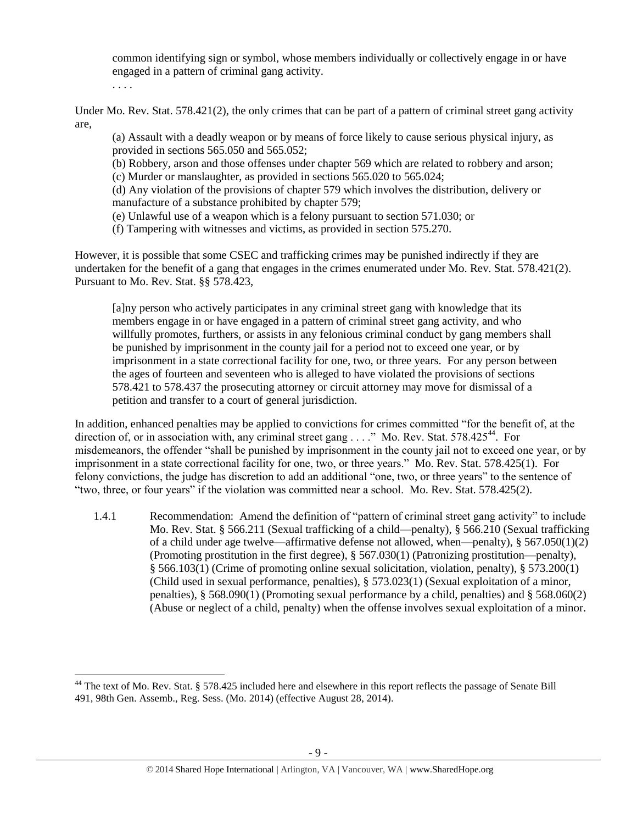common identifying sign or symbol, whose members individually or collectively engage in or have engaged in a pattern of criminal gang activity.

. . . .

l

Under Mo. Rev. Stat. 578.421(2), the only crimes that can be part of a pattern of criminal street gang activity are,

(a) Assault with a deadly weapon or by means of force likely to cause serious physical injury, as provided in sections 565.050 and 565.052;

(b) Robbery, arson and those offenses under chapter 569 which are related to robbery and arson; (c) Murder or manslaughter, as provided in sections 565.020 to 565.024;

(d) Any violation of the provisions of chapter 579 which involves the distribution, delivery or manufacture of a substance prohibited by chapter 579;

(e) Unlawful use of a weapon which is a felony pursuant to section 571.030; or

(f) Tampering with witnesses and victims, as provided in section 575.270.

However, it is possible that some CSEC and trafficking crimes may be punished indirectly if they are undertaken for the benefit of a gang that engages in the crimes enumerated under Mo. Rev. Stat. 578.421(2). Pursuant to Mo. Rev. Stat. §§ 578.423,

[a]ny person who actively participates in any criminal street gang with knowledge that its members engage in or have engaged in a pattern of criminal street gang activity, and who willfully promotes, furthers, or assists in any felonious criminal conduct by gang members shall be punished by imprisonment in the county jail for a period not to exceed one year, or by imprisonment in a state correctional facility for one, two, or three years. For any person between the ages of fourteen and seventeen who is alleged to have violated the provisions of sections 578.421 to 578.437 the prosecuting attorney or circuit attorney may move for dismissal of a petition and transfer to a court of general jurisdiction.

In addition, enhanced penalties may be applied to convictions for crimes committed "for the benefit of, at the direction of, or in association with, any criminal street gang  $\ldots$ ." Mo. Rev. Stat. 578.425<sup>44</sup>. For misdemeanors, the offender "shall be punished by imprisonment in the county jail not to exceed one year, or by imprisonment in a state correctional facility for one, two, or three years." Mo. Rev. Stat. 578.425(1). For felony convictions, the judge has discretion to add an additional "one, two, or three years" to the sentence of "two, three, or four years" if the violation was committed near a school. Mo. Rev. Stat. 578.425(2).

1.4.1 Recommendation: Amend the definition of "pattern of criminal street gang activity" to include Mo. Rev. Stat. § 566.211 (Sexual trafficking of a child—penalty), § 566.210 (Sexual trafficking of a child under age twelve—affirmative defense not allowed, when—penalty),  $\S$  567.050(1)(2) (Promoting prostitution in the first degree), § 567.030(1) (Patronizing prostitution—penalty), § 566.103(1) (Crime of promoting online sexual solicitation, violation, penalty), § 573.200(1) (Child used in sexual performance, penalties), § 573.023(1) (Sexual exploitation of a minor, penalties), § 568.090(1) (Promoting sexual performance by a child, penalties) and § 568.060(2) (Abuse or neglect of a child, penalty) when the offense involves sexual exploitation of a minor.

<sup>&</sup>lt;sup>44</sup> The text of Mo. Rev. Stat. § 578.425 included here and elsewhere in this report reflects the passage of Senate Bill 491, 98th Gen. Assemb., Reg. Sess. (Mo. 2014) (effective August 28, 2014).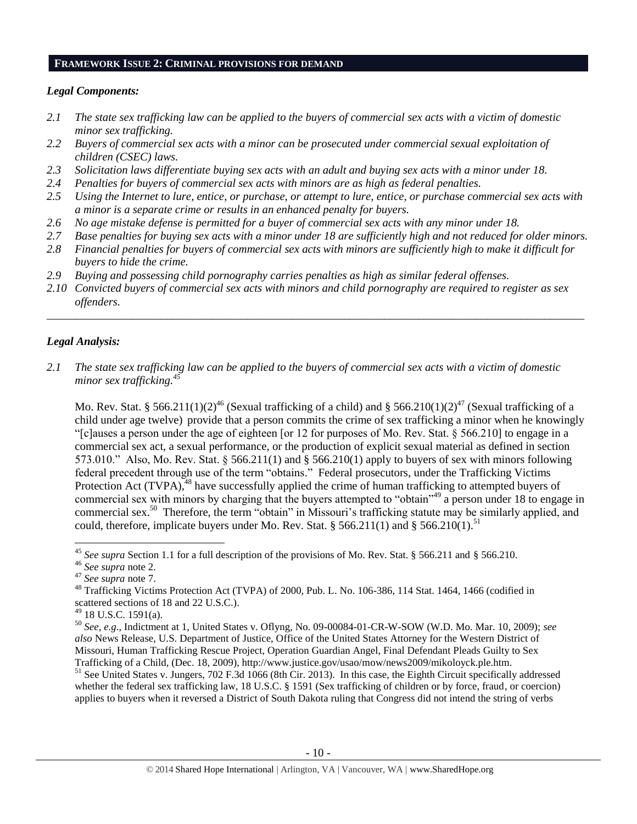#### **FRAMEWORK ISSUE 2: CRIMINAL PROVISIONS FOR DEMAND**

## *Legal Components:*

- *2.1 The state sex trafficking law can be applied to the buyers of commercial sex acts with a victim of domestic minor sex trafficking.*
- *2.2 Buyers of commercial sex acts with a minor can be prosecuted under commercial sexual exploitation of children (CSEC) laws.*
- *2.3 Solicitation laws differentiate buying sex acts with an adult and buying sex acts with a minor under 18.*
- *2.4 Penalties for buyers of commercial sex acts with minors are as high as federal penalties.*
- *2.5 Using the Internet to lure, entice, or purchase, or attempt to lure, entice, or purchase commercial sex acts with a minor is a separate crime or results in an enhanced penalty for buyers.*
- *2.6 No age mistake defense is permitted for a buyer of commercial sex acts with any minor under 18.*
- *2.7 Base penalties for buying sex acts with a minor under 18 are sufficiently high and not reduced for older minors.*
- *2.8 Financial penalties for buyers of commercial sex acts with minors are sufficiently high to make it difficult for buyers to hide the crime.*
- *2.9 Buying and possessing child pornography carries penalties as high as similar federal offenses.*
- *2.10 Convicted buyers of commercial sex acts with minors and child pornography are required to register as sex offenders.*

\_\_\_\_\_\_\_\_\_\_\_\_\_\_\_\_\_\_\_\_\_\_\_\_\_\_\_\_\_\_\_\_\_\_\_\_\_\_\_\_\_\_\_\_\_\_\_\_\_\_\_\_\_\_\_\_\_\_\_\_\_\_\_\_\_\_\_\_\_\_\_\_\_\_\_\_\_\_\_\_\_\_\_\_\_\_\_\_\_\_\_\_\_\_

# *Legal Analysis:*

*2.1 The state sex trafficking law can be applied to the buyers of commercial sex acts with a victim of domestic minor sex trafficking.<sup>45</sup>*

Mo. Rev. Stat. § 566.211(1)(2)<sup>46</sup> (Sexual trafficking of a child) and § 566.210(1)(2)<sup>47</sup> (Sexual trafficking of a child under age twelve) provide that a person commits the crime of sex trafficking a minor when he knowingly "[c]auses a person under the age of eighteen [or 12 for purposes of Mo. Rev. Stat. § 566.210] to engage in a commercial sex act, a sexual performance, or the production of explicit sexual material as defined in section 573.010." Also, Mo. Rev. Stat. § 566.211(1) and § 566.210(1) apply to buyers of sex with minors following federal precedent through use of the term "obtains." Federal prosecutors, under the Trafficking Victims Protection Act (TVPA),<sup>48</sup> have successfully applied the crime of human trafficking to attempted buyers of commercial sex with minors by charging that the buyers attempted to "obtain"<sup>49</sup> a person under 18 to engage in commercial sex.<sup>50</sup> Therefore, the term "obtain" in Missouri's trafficking statute may be similarly applied, and could, therefore, implicate buyers under Mo. Rev. Stat. § 566.211(1) and § 566.210(1).<sup>51</sup>

<sup>51</sup> See United States v. Jungers, 702 F.3d 1066 (8th Cir. 2013). In this case, the Eighth Circuit specifically addressed whether the federal sex trafficking law, 18 U.S.C. § 1591 (Sex trafficking of children or by force, fraud, or coercion) applies to buyers when it reversed a District of South Dakota ruling that Congress did not intend the string of verbs

<span id="page-9-0"></span> $\overline{\phantom{a}}$ <sup>45</sup> *See supra* Section 1.1 for a full description of the provisions of Mo. Rev. Stat. § 566.211 and § 566.210.

<sup>46</sup> *See supra* note [2.](#page-0-0)

<sup>47</sup> *See supra* note [7.](#page-1-1)

<sup>48</sup> Trafficking Victims Protection Act (TVPA) of 2000, Pub. L. No. 106-386, 114 Stat. 1464, 1466 (codified in scattered sections of 18 and 22 U.S.C.).

 $49$  18 U.S.C. 1591(a).

<sup>50</sup> *See, e.g*., Indictment at 1, United States v. Oflyng, No. 09-00084-01-CR-W-SOW (W.D. Mo. Mar. 10, 2009); *see also* News Release, U.S. Department of Justice, Office of the United States Attorney for the Western District of Missouri, Human Trafficking Rescue Project, Operation Guardian Angel, Final Defendant Pleads Guilty to Sex Trafficking of a Child, (Dec. 18, 2009), http://www.justice.gov/usao/mow/news2009/mikoloyck.ple.htm.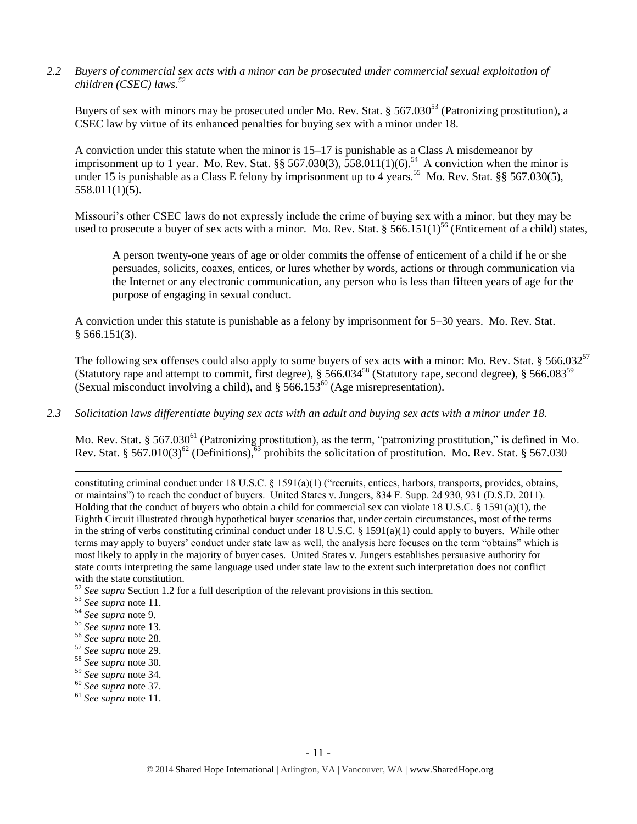*2.2 Buyers of commercial sex acts with a minor can be prosecuted under commercial sexual exploitation of children (CSEC) laws. 52* 

Buyers of sex with minors may be prosecuted under Mo. Rev. Stat. §  $567.030^{53}$  (Patronizing prostitution), a CSEC law by virtue of its enhanced penalties for buying sex with a minor under 18.

A conviction under this statute when the minor is 15–17 is punishable as a Class A misdemeanor by imprisonment up to 1 year. Mo. Rev. Stat. §§ 567.030(3),  $\overline{558.011(1)(6)}$ .<sup>54</sup> A conviction when the minor is under 15 is punishable as a Class E felony by imprisonment up to 4 years.<sup>55</sup> Mo. Rev. Stat. §§ 567.030(5), 558.011(1)(5).

Missouri's other CSEC laws do not expressly include the crime of buying sex with a minor, but they may be used to prosecute a buyer of sex acts with a minor. Mo. Rev. Stat. § 566.151(1)<sup>56</sup> (Enticement of a child) states,

A person twenty-one years of age or older commits the offense of enticement of a child if he or she persuades, solicits, coaxes, entices, or lures whether by words, actions or through communication via the Internet or any electronic communication, any person who is less than fifteen years of age for the purpose of engaging in sexual conduct.

A conviction under this statute is punishable as a felony by imprisonment for 5–30 years. Mo. Rev. Stat. § 566.151(3).

The following sex offenses could also apply to some buyers of sex acts with a minor: Mo. Rev. Stat. § 566.032<sup>57</sup> (Statutory rape and attempt to commit, first degree), § 566.034<sup>58</sup> (Statutory rape, second degree), § 566.083<sup>59</sup> (Sexual misconduct involving a child), and  $\S 566.153^{60}$  (Age misrepresentation).

*2.3 Solicitation laws differentiate buying sex acts with an adult and buying sex acts with a minor under 18.*

Mo. Rev. Stat. § 567.030<sup>61</sup> (Patronizing prostitution), as the term, "patronizing prostitution," is defined in Mo. Rev. Stat. § 567.010(3)<sup>62</sup> (Definitions), <sup>63</sup> prohibits the solicitation of prostitution. Mo. Rev. Stat. § 567.030

constituting criminal conduct under 18 U.S.C. § 1591(a)(1) ("recruits, entices, harbors, transports, provides, obtains, or maintains") to reach the conduct of buyers. United States v. Jungers, 834 F. Supp. 2d 930, 931 (D.S.D. 2011). Holding that the conduct of buyers who obtain a child for commercial sex can violate 18 U.S.C. § 1591(a)(1), the Eighth Circuit illustrated through hypothetical buyer scenarios that, under certain circumstances, most of the terms in the string of verbs constituting criminal conduct under 18 U.S.C. § 1591(a)(1) could apply to buyers. While other terms may apply to buyers' conduct under state law as well, the analysis here focuses on the term "obtains" which is most likely to apply in the majority of buyer cases. United States v. Jungers establishes persuasive authority for state courts interpreting the same language used under state law to the extent such interpretation does not conflict with the state constitution.

<sup>52</sup> *See supra* Section 1.2 for a full description of the relevant provisions in this section.

- <sup>60</sup> *See supra* note [37.](#page-6-1)
- <sup>61</sup> *See supra* note [11.](#page-2-2)

<sup>53</sup> *See supra* note [11.](#page-2-2) 

<sup>54</sup> *See supra* note [9.](#page-2-0)

<sup>55</sup> *See supra* note [13.](#page-2-1)

<sup>56</sup> *See supra* note [28.](#page-5-1) 

<sup>57</sup> *See supra* note [29.](#page-5-2) 

<sup>58</sup> *See supra* note [30.](#page-5-0) 

<sup>59</sup> *See supra* note [34.](#page-6-0)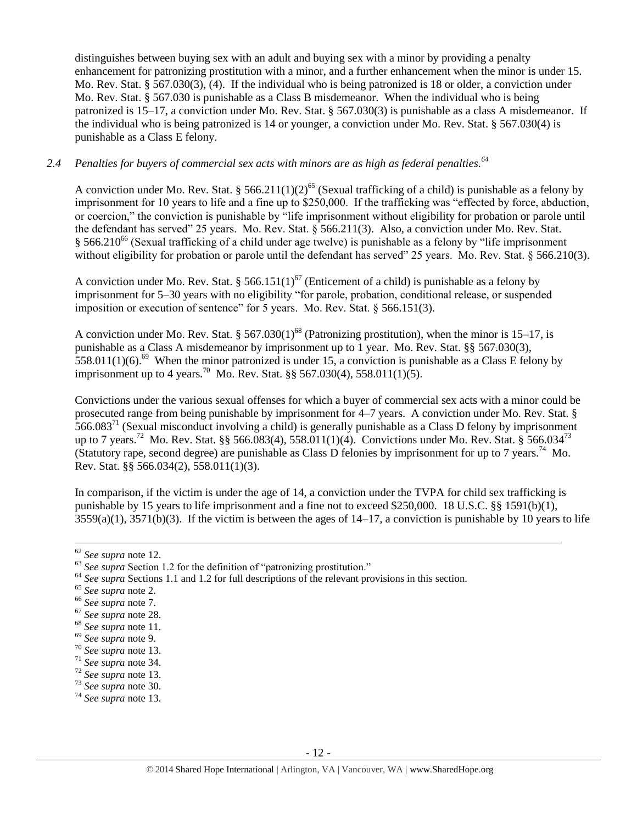distinguishes between buying sex with an adult and buying sex with a minor by providing a penalty enhancement for patronizing prostitution with a minor, and a further enhancement when the minor is under 15. Mo. Rev. Stat. § 567.030(3), (4). If the individual who is being patronized is 18 or older, a conviction under Mo. Rev. Stat. § 567.030 is punishable as a Class B misdemeanor. When the individual who is being patronized is 15–17, a conviction under Mo. Rev. Stat. § 567.030(3) is punishable as a class A misdemeanor. If the individual who is being patronized is 14 or younger, a conviction under Mo. Rev. Stat. § 567.030(4) is punishable as a Class E felony.

# *2.4 Penalties for buyers of commercial sex acts with minors are as high as federal penalties.<sup>64</sup>*

A conviction under Mo. Rev. Stat. § 566.211(1)(2)<sup>65</sup> (Sexual trafficking of a child) is punishable as a felony by imprisonment for 10 years to life and a fine up to \$250,000. If the trafficking was "effected by force, abduction, or coercion," the conviction is punishable by "life imprisonment without eligibility for probation or parole until the defendant has served" 25 years. Mo. Rev. Stat. § 566.211(3). Also, a conviction under Mo. Rev. Stat. § 566.210<sup>66</sup> (Sexual trafficking of a child under age twelve) is punishable as a felony by "life imprisonment without eligibility for probation or parole until the defendant has served" 25 years. Mo. Rev. Stat. § 566.210(3).

A conviction under Mo. Rev. Stat. § 566.151(1)<sup>67</sup> (Enticement of a child) is punishable as a felony by imprisonment for 5–30 years with no eligibility "for parole, probation, conditional release, or suspended imposition or execution of sentence" for 5 years. Mo. Rev. Stat. § 566.151(3).

A conviction under Mo. Rev. Stat. § 567.030(1)<sup>68</sup> (Patronizing prostitution), when the minor is 15–17, is punishable as a Class A misdemeanor by imprisonment up to 1 year. Mo. Rev. Stat. §§ 567.030(3), 558.011(1)(6).<sup>69</sup> When the minor patronized is under 15, a conviction is punishable as a Class E felony by imprisonment up to 4 years.<sup>70</sup> Mo. Rev. Stat. §§ 567.030(4), 558.011(1)(5).

Convictions under the various sexual offenses for which a buyer of commercial sex acts with a minor could be prosecuted range from being punishable by imprisonment for 4–7 years. A conviction under Mo. Rev. Stat. §  $566.083<sup>71</sup>$  (Sexual misconduct involving a child) is generally punishable as a Class D felony by imprisonment up to 7 years.<sup>72</sup> Mo. Rev. Stat. §§ 566.083(4), 558.011(1)(4). Convictions under Mo. Rev. Stat. § 566.034<sup>73</sup> (Statutory rape, second degree) are punishable as Class D felonies by imprisonment for up to 7 years.<sup>74</sup> Mo. Rev. Stat. §§ 566.034(2), 558.011(1)(3).

In comparison, if the victim is under the age of 14, a conviction under the TVPA for child sex trafficking is punishable by 15 years to life imprisonment and a fine not to exceed \$250,000. 18 U.S.C. §§ 1591(b)(1),  $3559(a)(1)$ ,  $3571(b)(3)$ . If the victim is between the ages of  $14-17$ , a conviction is punishable by 10 years to life

 $\overline{\phantom{a}}$ 

<sup>65</sup> *See supra* note [2.](#page-0-0)

<sup>62</sup> *See supra* note [12.](#page-2-3)

<sup>&</sup>lt;sup>63</sup> See supra Section 1.2 for the definition of "patronizing prostitution."

<sup>&</sup>lt;sup>64</sup> See supra Sections 1.1 and 1.2 for full descriptions of the relevant provisions in this section.

<sup>66</sup> *See supra* note [7.](#page-1-1)

<sup>67</sup> *See supra* note [28.](#page-5-1) 

<sup>68</sup> *See supra* note [11.](#page-2-2) 

<sup>69</sup> *See supra* note [9.](#page-2-0)

<sup>70</sup> *See supra* note [13.](#page-2-1)

<sup>71</sup> *See supra* note [34.](#page-6-0)  <sup>72</sup> *See supra* note [13.](#page-2-1)

<sup>73</sup> *See supra* note [30.](#page-5-0) 

<sup>74</sup> *See supra* note [13.](#page-2-1)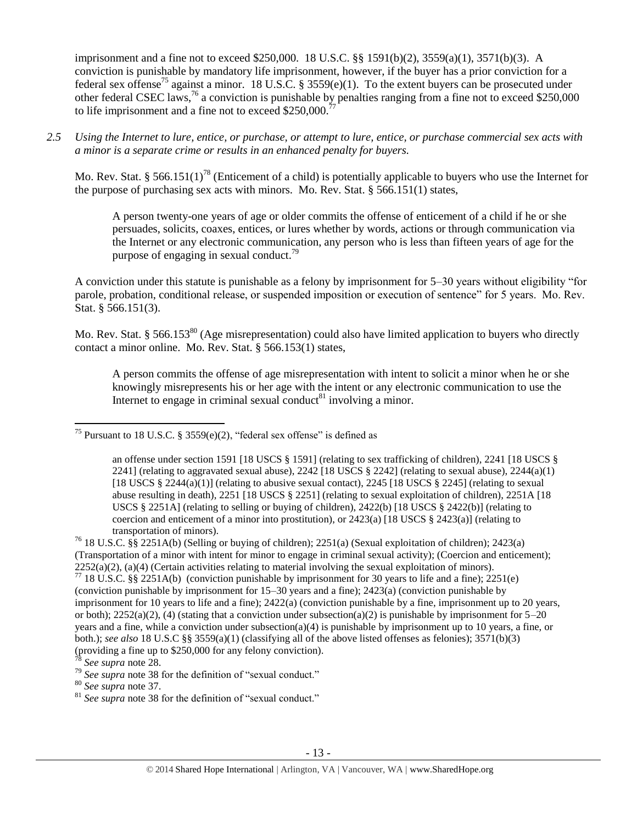<span id="page-12-0"></span>imprisonment and a fine not to exceed \$250,000. 18 U.S.C. §§ 1591(b)(2), 3559(a)(1), 3571(b)(3). A conviction is punishable by mandatory life imprisonment, however, if the buyer has a prior conviction for a federal sex offense<sup>75</sup> against a minor. 18 U.S.C. § 3559(e)(1). To the extent buyers can be prosecuted under other federal CSEC laws,  $\frac{76}{9}$  a conviction is punishable by penalties ranging from a fine not to exceed \$250,000 to life imprisonment and a fine not to exceed  $$250,000.<sup>7</sup>$ 

*2.5 Using the Internet to lure, entice, or purchase, or attempt to lure, entice, or purchase commercial sex acts with a minor is a separate crime or results in an enhanced penalty for buyers.*

Mo. Rev. Stat. § 566.151(1)<sup>78</sup> (Enticement of a child) is potentially applicable to buyers who use the Internet for the purpose of purchasing sex acts with minors. Mo. Rev. Stat. § 566.151(1) states,

A person twenty-one years of age or older commits the offense of enticement of a child if he or she persuades, solicits, coaxes, entices, or lures whether by words, actions or through communication via the Internet or any electronic communication, any person who is less than fifteen years of age for the purpose of engaging in sexual conduct.<sup>79</sup>

A conviction under this statute is punishable as a felony by imprisonment for 5–30 years without eligibility "for parole, probation, conditional release, or suspended imposition or execution of sentence" for 5 years. Mo. Rev. Stat. § 566.151(3).

Mo. Rev. Stat. § 566.153<sup>80</sup> (Age misrepresentation) could also have limited application to buyers who directly contact a minor online. Mo. Rev. Stat. § 566.153(1) states,

A person commits the offense of age misrepresentation with intent to solicit a minor when he or she knowingly misrepresents his or her age with the intent or any electronic communication to use the Internet to engage in criminal sexual conduct $81$  involving a minor.

l <sup>75</sup> Pursuant to 18 U.S.C. § 3559 $(e)(2)$ , "federal sex offense" is defined as

an offense under section 1591 [18 USCS § 1591] (relating to sex trafficking of children), 2241 [18 USCS § 2241] (relating to aggravated sexual abuse),  $2242$  [18 USCS § 2242] (relating to sexual abuse),  $2244(a)(1)$ [18 USCS § 2244(a)(1)] (relating to abusive sexual contact), 2245 [18 USCS § 2245] (relating to sexual abuse resulting in death), 2251 [18 USCS § 2251] (relating to sexual exploitation of children), 2251A [18 USCS § 2251A] (relating to selling or buying of children), 2422(b) [18 USCS § 2422(b)] (relating to coercion and enticement of a minor into prostitution), or  $2423(a)$  [18 USCS §  $2423(a)$ ] (relating to transportation of minors).

<sup>76</sup> 18 U.S.C. §§ 2251A(b) (Selling or buying of children); 2251(a) (Sexual exploitation of children); 2423(a) (Transportation of a minor with intent for minor to engage in criminal sexual activity); (Coercion and enticement);  $2252(a)(2)$ ,  $(a)(4)$  (Certain activities relating to material involving the sexual exploitation of minors).

 $^{77}$  18 U.S.C. §§ 2251A(b) (conviction punishable by imprisonment for 30 years to life and a fine); 2251(e) (conviction punishable by imprisonment for 15–30 years and a fine); 2423(a) (conviction punishable by imprisonment for 10 years to life and a fine); 2422(a) (conviction punishable by a fine, imprisonment up to 20 years, or both);  $2252(a)(2)$ , (4) (stating that a conviction under subsection(a)(2) is punishable by imprisonment for  $5-20$ years and a fine, while a conviction under subsection(a)(4) is punishable by imprisonment up to 10 years, a fine, or both.); *see also* 18 U.S.C §§ 3559(a)(1) (classifying all of the above listed offenses as felonies); 3571(b)(3) (providing a fine up to \$250,000 for any felony conviction).

See supra note 28.

<sup>&</sup>lt;sup>79</sup> See supra note [38](#page-7-0) for the definition of "sexual conduct."

<sup>80</sup> *See supra* note [37.](#page-6-1) 

<sup>&</sup>lt;sup>81</sup> See supra note [38](#page-7-0) for the definition of "sexual conduct."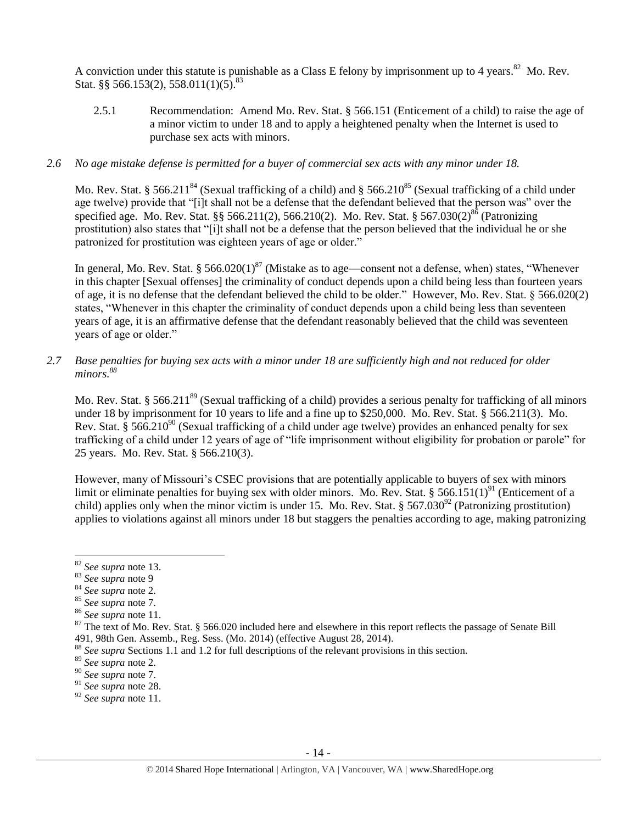A conviction under this statute is punishable as a Class E felony by imprisonment up to 4 years.<sup>82</sup> Mo. Rev. Stat. §§ 566.153(2), 558.011(1)(5).<sup>83</sup>

2.5.1 Recommendation: Amend Mo. Rev. Stat. § 566.151 (Enticement of a child) to raise the age of a minor victim to under 18 and to apply a heightened penalty when the Internet is used to purchase sex acts with minors.

## *2.6 No age mistake defense is permitted for a buyer of commercial sex acts with any minor under 18.*

Mo. Rev. Stat. § 566.211<sup>84</sup> (Sexual trafficking of a child) and § 566.210<sup>85</sup> (Sexual trafficking of a child under age twelve) provide that "[i]t shall not be a defense that the defendant believed that the person was" over the specified age. Mo. Rev. Stat. §§ 566.211(2), 566.210(2). Mo. Rev. Stat. § 567.030(2)<sup>86</sup> (Patronizing prostitution) also states that "[i]t shall not be a defense that the person believed that the individual he or she patronized for prostitution was eighteen years of age or older."

<span id="page-13-0"></span>In general, Mo. Rev. Stat. § 566.020(1)<sup>87</sup> (Mistake as to age—consent not a defense, when) states, "Whenever in this chapter [Sexual offenses] the criminality of conduct depends upon a child being less than fourteen years of age, it is no defense that the defendant believed the child to be older." However, Mo. Rev. Stat. § 566.020(2) states, "Whenever in this chapter the criminality of conduct depends upon a child being less than seventeen years of age, it is an affirmative defense that the defendant reasonably believed that the child was seventeen years of age or older."

## *2.7 Base penalties for buying sex acts with a minor under 18 are sufficiently high and not reduced for older minors. 88*

Mo. Rev. Stat. § 566.211<sup>89</sup> (Sexual trafficking of a child) provides a serious penalty for trafficking of all minors under 18 by imprisonment for 10 years to life and a fine up to \$250,000. Mo. Rev. Stat. § 566.211(3). Mo. Rev. Stat. § 566.210<sup>90</sup> (Sexual trafficking of a child under age twelve) provides an enhanced penalty for sex trafficking of a child under 12 years of age of "life imprisonment without eligibility for probation or parole" for 25 years. Mo. Rev. Stat. § 566.210(3).

However, many of Missouri's CSEC provisions that are potentially applicable to buyers of sex with minors limit or eliminate penalties for buying sex with older minors. Mo. Rev. Stat. § 566.151(1)<sup>91</sup> (Enticement of a child) applies only when the minor victim is under 15. Mo. Rev. Stat. § 567.030 $^{92}$  (Patronizing prostitution) applies to violations against all minors under 18 but staggers the penalties according to age, making patronizing

 $\overline{\phantom{a}}$ 

<sup>91</sup> *See supra* note [28.](#page-5-1) 

<sup>82</sup> *See supra* note [13.](#page-2-1)

<sup>83</sup> *See supra* note [9](#page-2-0)

<sup>84</sup> *See supra* note [2.](#page-0-0)

<sup>85</sup> *See supra* note [7.](#page-1-1)

<sup>86</sup> *See supra* note [11.](#page-2-2) 

 $87$  The text of Mo. Rev. Stat. § 566.020 included here and elsewhere in this report reflects the passage of Senate Bill 491, 98th Gen. Assemb., Reg. Sess. (Mo. 2014) (effective August 28, 2014).

<sup>88</sup> *See supra* Sections 1.1 and 1.2 for full descriptions of the relevant provisions in this section.

<sup>89</sup> *See supra* note [2.](#page-0-0)

<sup>90</sup> *See supra* note [7.](#page-1-1)

<sup>92</sup> *See supra* note [11.](#page-2-2)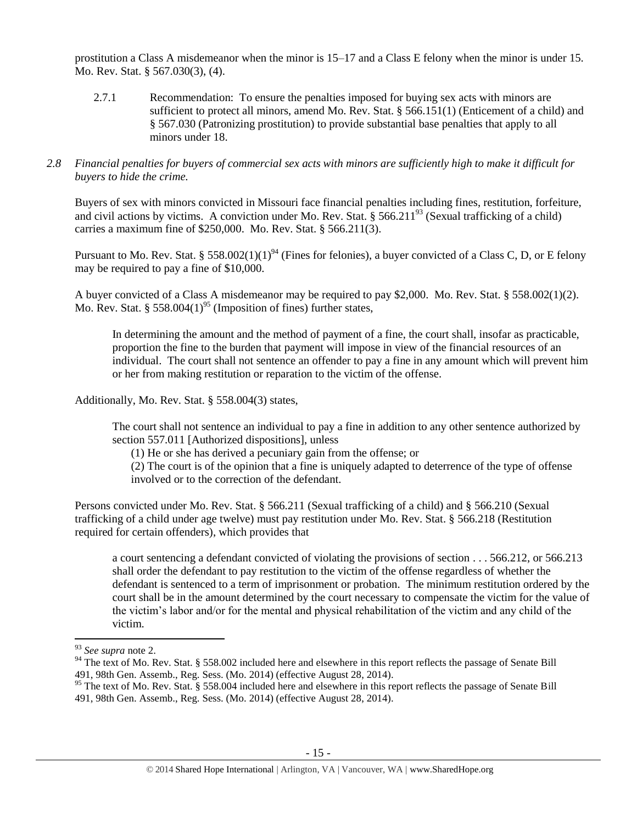prostitution a Class A misdemeanor when the minor is 15–17 and a Class E felony when the minor is under 15. Mo. Rev. Stat. § 567.030(3), (4).

- 2.7.1 Recommendation: To ensure the penalties imposed for buying sex acts with minors are sufficient to protect all minors, amend Mo. Rev. Stat. § 566.151(1) (Enticement of a child) and § 567.030 (Patronizing prostitution) to provide substantial base penalties that apply to all minors under 18.
- *2.8 Financial penalties for buyers of commercial sex acts with minors are sufficiently high to make it difficult for buyers to hide the crime.*

Buyers of sex with minors convicted in Missouri face financial penalties including fines, restitution, forfeiture, and civil actions by victims. A conviction under Mo. Rev. Stat.  $\S 566.211^{93}$  (Sexual trafficking of a child) carries a maximum fine of \$250,000. Mo. Rev. Stat. § 566.211(3).

Pursuant to Mo. Rev. Stat. § 558.002(1)(1)<sup>94</sup> (Fines for felonies), a buyer convicted of a Class C, D, or E felony may be required to pay a fine of \$10,000.

A buyer convicted of a Class A misdemeanor may be required to pay \$2,000. Mo. Rev. Stat. § 558.002(1)(2). Mo. Rev. Stat. § 558.004 $(1)^{95}$  (Imposition of fines) further states,

<span id="page-14-1"></span><span id="page-14-0"></span>In determining the amount and the method of payment of a fine, the court shall, insofar as practicable, proportion the fine to the burden that payment will impose in view of the financial resources of an individual. The court shall not sentence an offender to pay a fine in any amount which will prevent him or her from making restitution or reparation to the victim of the offense.

Additionally, Mo. Rev. Stat. § 558.004(3) states,

The court shall not sentence an individual to pay a fine in addition to any other sentence authorized by section 557.011 [Authorized dispositions], unless

(1) He or she has derived a pecuniary gain from the offense; or

(2) The court is of the opinion that a fine is uniquely adapted to deterrence of the type of offense involved or to the correction of the defendant.

Persons convicted under Mo. Rev. Stat. § 566.211 (Sexual trafficking of a child) and § 566.210 (Sexual trafficking of a child under age twelve) must pay restitution under Mo. Rev. Stat. § 566.218 (Restitution required for certain offenders), which provides that

a court sentencing a defendant convicted of violating the provisions of section . . . 566.212, or 566.213 shall order the defendant to pay restitution to the victim of the offense regardless of whether the defendant is sentenced to a term of imprisonment or probation. The minimum restitution ordered by the court shall be in the amount determined by the court necessary to compensate the victim for the value of the victim's labor and/or for the mental and physical rehabilitation of the victim and any child of the victim.

<sup>93</sup> *See supra* note [2.](#page-0-0)

<sup>&</sup>lt;sup>94</sup> The text of Mo. Rev. Stat. § 558.002 included here and elsewhere in this report reflects the passage of Senate Bill 491, 98th Gen. Assemb., Reg. Sess. (Mo. 2014) (effective August 28, 2014).

<sup>&</sup>lt;sup>95</sup> The text of Mo. Rev. Stat. § 558.004 included here and elsewhere in this report reflects the passage of Senate Bill 491, 98th Gen. Assemb., Reg. Sess. (Mo. 2014) (effective August 28, 2014).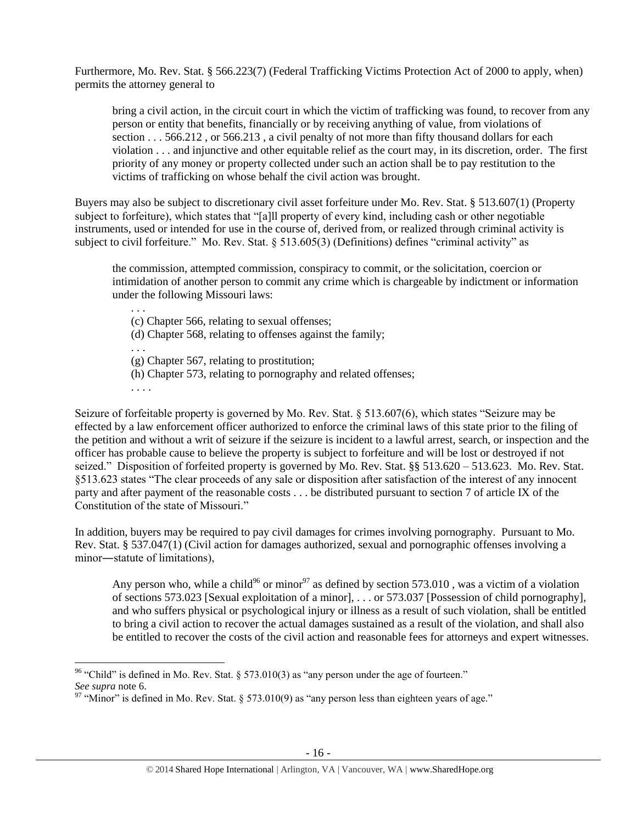Furthermore, Mo. Rev. Stat. § 566.223(7) (Federal Trafficking Victims Protection Act of 2000 to apply, when) permits the attorney general to

bring a civil action, in the circuit court in which the victim of trafficking was found, to recover from any person or entity that benefits, financially or by receiving anything of value, from violations of section . . . 566.212 , or 566.213 , a civil penalty of not more than fifty thousand dollars for each violation . . . and injunctive and other equitable relief as the court may, in its discretion, order. The first priority of any money or property collected under such an action shall be to pay restitution to the victims of trafficking on whose behalf the civil action was brought.

Buyers may also be subject to discretionary civil asset forfeiture under Mo. Rev. Stat. § 513.607(1) (Property subject to forfeiture), which states that "[a]ll property of every kind, including cash or other negotiable instruments, used or intended for use in the course of, derived from, or realized through criminal activity is subject to civil forfeiture." Mo. Rev. Stat. § 513.605(3) (Definitions) defines "criminal activity" as

the commission, attempted commission, conspiracy to commit, or the solicitation, coercion or intimidation of another person to commit any crime which is chargeable by indictment or information under the following Missouri laws:

. . . (c) Chapter 566, relating to sexual offenses; (d) Chapter 568, relating to offenses against the family; . . . (g) Chapter 567, relating to prostitution; (h) Chapter 573, relating to pornography and related offenses; . . . .

Seizure of forfeitable property is governed by Mo. Rev. Stat. § 513.607(6), which states "Seizure may be effected by a law enforcement officer authorized to enforce the criminal laws of this state prior to the filing of the petition and without a writ of seizure if the seizure is incident to a lawful arrest, search, or inspection and the officer has probable cause to believe the property is subject to forfeiture and will be lost or destroyed if not seized." Disposition of forfeited property is governed by Mo. Rev. Stat. §§ 513.620 – 513.623. Mo. Rev. Stat. §513.623 states "The clear proceeds of any sale or disposition after satisfaction of the interest of any innocent party and after payment of the reasonable costs . . . be distributed pursuant to section 7 of article IX of the Constitution of the state of Missouri."

In addition, buyers may be required to pay civil damages for crimes involving pornography. Pursuant to Mo. Rev. Stat. § 537.047(1) (Civil action for damages authorized, sexual and pornographic offenses involving a minor―statute of limitations),

Any person who, while a child<sup>96</sup> or minor<sup>97</sup> as defined by section 573.010, was a victim of a violation of sections 573.023 [Sexual exploitation of a minor], . . . or 573.037 [Possession of child pornography], and who suffers physical or psychological injury or illness as a result of such violation, shall be entitled to bring a civil action to recover the actual damages sustained as a result of the violation, and shall also be entitled to recover the costs of the civil action and reasonable fees for attorneys and expert witnesses.

<sup>&</sup>lt;sup>96</sup> "Child" is defined in Mo. Rev. Stat. § 573.010(3) as "any person under the age of fourteen."

*See supra* note [6.](#page-1-0)

<sup>&</sup>lt;sup>97</sup> "Minor" is defined in Mo. Rev. Stat. § 573.010(9) as "any person less than eighteen years of age."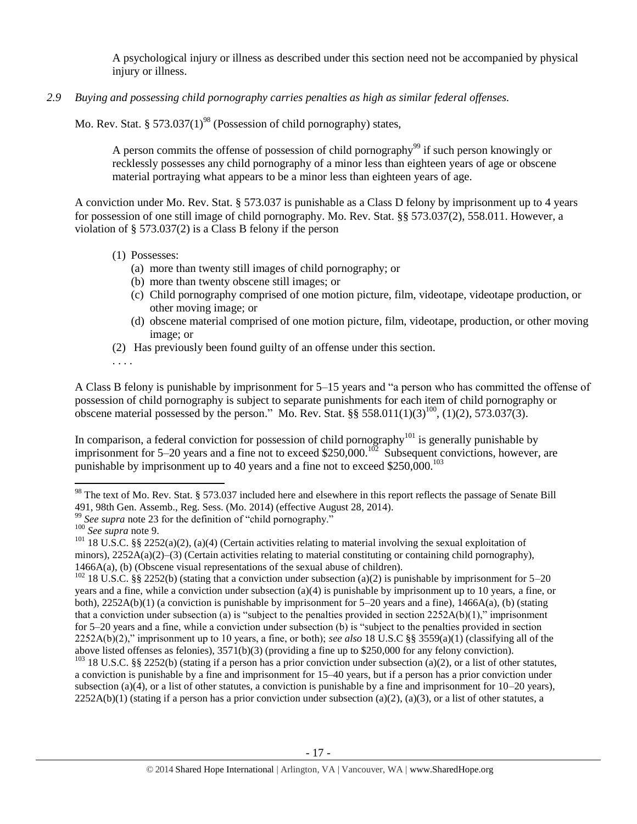A psychological injury or illness as described under this section need not be accompanied by physical injury or illness.

*2.9 Buying and possessing child pornography carries penalties as high as similar federal offenses.*

Mo. Rev. Stat. § 573.037(1)<sup>98</sup> (Possession of child pornography) states,

A person commits the offense of possession of child pornography<sup>99</sup> if such person knowingly or recklessly possesses any child pornography of a minor less than eighteen years of age or obscene material portraying what appears to be a minor less than eighteen years of age.

A conviction under Mo. Rev. Stat. § 573.037 is punishable as a Class D felony by imprisonment up to 4 years for possession of one still image of child pornography. Mo. Rev. Stat. §§ 573.037(2), 558.011. However, a violation of § 573.037(2) is a Class B felony if the person

- (1) Possesses:
	- (a) more than twenty still images of child pornography; or
	- (b) more than twenty obscene still images; or
	- (c) Child pornography comprised of one motion picture, film, videotape, videotape production, or other moving image; or
	- (d) obscene material comprised of one motion picture, film, videotape, production, or other moving image; or
- (2) Has previously been found guilty of an offense under this section.

. . . .

A Class B felony is punishable by imprisonment for 5–15 years and "a person who has committed the offense of possession of child pornography is subject to separate punishments for each item of child pornography or obscene material possessed by the person." Mo. Rev. Stat. §§ 558.011(1)(3)<sup>100</sup>, (1)(2), 573.037(3).

In comparison, a federal conviction for possession of child pornography<sup> $101$ </sup> is generally punishable by imprisonment for 5–20 years and a fine not to exceed \$250,000.<sup>102</sup> Subsequent convictions, however, are punishable by imprisonment up to 40 years and a fine not to exceed  $$250,000$ .<sup>103</sup>

 $98$  The text of Mo. Rev. Stat. § 573.037 included here and elsewhere in this report reflects the passage of Senate Bill 491, 98th Gen. Assemb., Reg. Sess. (Mo. 2014) (effective August 28, 2014).

<sup>99</sup> *See supra* note [23](#page-4-0) for the definition of "child pornography."

<sup>100</sup> *See supra* not[e 9.](#page-2-0)

<sup>&</sup>lt;sup>101</sup> 18 U.S.C. §§ 2252(a)(2), (a)(4) (Certain activities relating to material involving the sexual exploitation of minors),  $2252A(a)(2)$ –(3) (Certain activities relating to material constituting or containing child pornography), 1466A(a), (b) (Obscene visual representations of the sexual abuse of children).

<sup>&</sup>lt;sup>102</sup> 18 U.S.C. §§ 2252(b) (stating that a conviction under subsection (a)(2) is punishable by imprisonment for 5–20 years and a fine, while a conviction under subsection (a)(4) is punishable by imprisonment up to 10 years, a fine, or both),  $2252A(b)(1)$  (a conviction is punishable by imprisonment for  $5-20$  years and a fine),  $1466A(a)$ , (b) (stating that a conviction under subsection (a) is "subject to the penalties provided in section  $2252A(b)(1)$ ," imprisonment for 5–20 years and a fine, while a conviction under subsection (b) is "subject to the penalties provided in section 2252A(b)(2)," imprisonment up to 10 years, a fine, or both); *see also* 18 U.S.C §§ 3559(a)(1) (classifying all of the above listed offenses as felonies), 3571(b)(3) (providing a fine up to \$250,000 for any felony conviction).

<sup>&</sup>lt;sup>103</sup> 18 U.S.C. §§ 2252(b) (stating if a person has a prior conviction under subsection (a)(2), or a list of other statutes, a conviction is punishable by a fine and imprisonment for 15–40 years, but if a person has a prior conviction under subsection (a)(4), or a list of other statutes, a conviction is punishable by a fine and imprisonment for  $10-20$  years),  $2252A(b)(1)$  (stating if a person has a prior conviction under subsection (a)(2), (a)(3), or a list of other statutes, a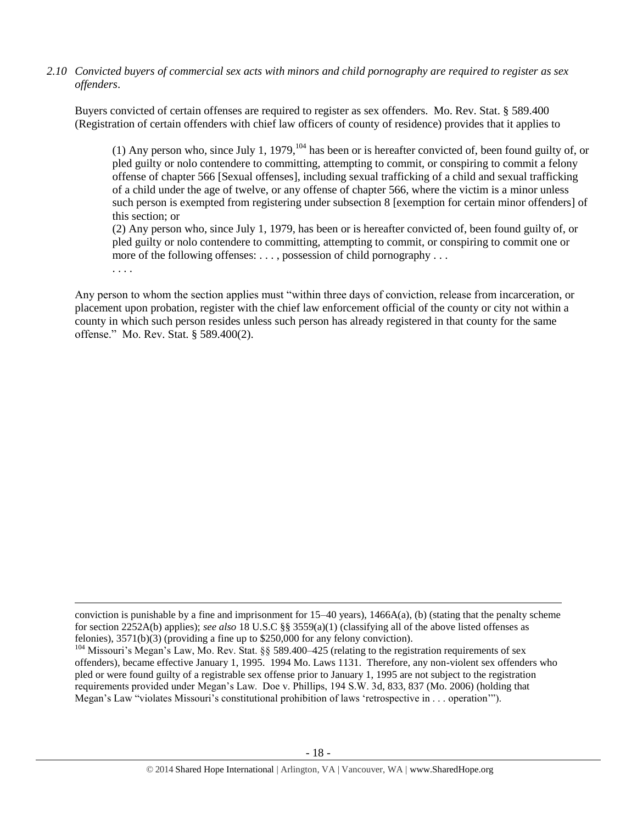*2.10 Convicted buyers of commercial sex acts with minors and child pornography are required to register as sex offenders*.

Buyers convicted of certain offenses are required to register as sex offenders. Mo. Rev. Stat. § 589.400 (Registration of certain offenders with chief law officers of county of residence) provides that it applies to

<span id="page-17-0"></span>(1) Any person who, since July 1, 1979,  $^{104}$  has been or is hereafter convicted of, been found guilty of, or pled guilty or nolo contendere to committing, attempting to commit, or conspiring to commit a felony offense of chapter 566 [Sexual offenses], including sexual trafficking of a child and sexual trafficking of a child under the age of twelve, or any offense of chapter 566, where the victim is a minor unless such person is exempted from registering under subsection 8 [exemption for certain minor offenders] of this section; or

(2) Any person who, since July 1, 1979, has been or is hereafter convicted of, been found guilty of, or pled guilty or nolo contendere to committing, attempting to commit, or conspiring to commit one or more of the following offenses: . . . , possession of child pornography . . .

Any person to whom the section applies must "within three days of conviction, release from incarceration, or placement upon probation, register with the chief law enforcement official of the county or city not within a county in which such person resides unless such person has already registered in that county for the same offense." Mo. Rev. Stat. § 589.400(2).

. . . .

 $\overline{a}$ 

conviction is punishable by a fine and imprisonment for  $15-40$  years),  $1466A(a)$ , (b) (stating that the penalty scheme for section 2252A(b) applies); *see also* 18 U.S.C §§ 3559(a)(1) (classifying all of the above listed offenses as felonies), 3571(b)(3) (providing a fine up to \$250,000 for any felony conviction).

<sup>&</sup>lt;sup>104</sup> Missouri's Megan's Law, Mo. Rev. Stat. §§ 589.400–425 (relating to the registration requirements of sex offenders), became effective January 1, 1995. 1994 Mo. Laws 1131. Therefore, any non-violent sex offenders who pled or were found guilty of a registrable sex offense prior to January 1, 1995 are not subject to the registration requirements provided under Megan's Law. Doe v. Phillips, 194 S.W. 3d, 833, 837 (Mo. 2006) (holding that Megan's Law "violates Missouri's constitutional prohibition of laws 'retrospective in . . . operation'").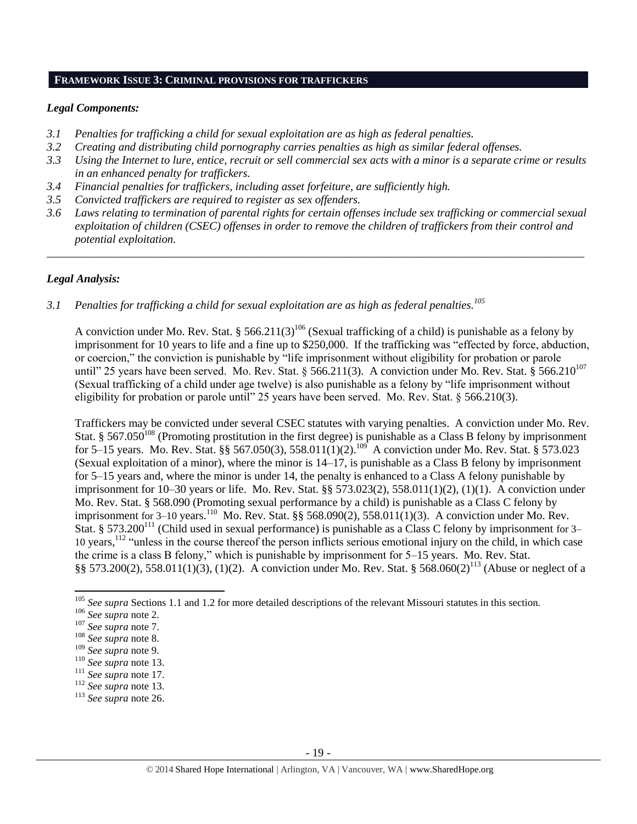#### **FRAMEWORK ISSUE 3: CRIMINAL PROVISIONS FOR TRAFFICKERS**

# *Legal Components:*

- *3.1 Penalties for trafficking a child for sexual exploitation are as high as federal penalties.*
- *3.2 Creating and distributing child pornography carries penalties as high as similar federal offenses.*
- *3.3 Using the Internet to lure, entice, recruit or sell commercial sex acts with a minor is a separate crime or results in an enhanced penalty for traffickers.*
- *3.4 Financial penalties for traffickers, including asset forfeiture, are sufficiently high.*
- *3.5 Convicted traffickers are required to register as sex offenders.*
- *3.6 Laws relating to termination of parental rights for certain offenses include sex trafficking or commercial sexual exploitation of children (CSEC) offenses in order to remove the children of traffickers from their control and potential exploitation.*

*\_\_\_\_\_\_\_\_\_\_\_\_\_\_\_\_\_\_\_\_\_\_\_\_\_\_\_\_\_\_\_\_\_\_\_\_\_\_\_\_\_\_\_\_\_\_\_\_\_\_\_\_\_\_\_\_\_\_\_\_\_\_\_\_\_\_\_\_\_\_\_\_\_\_\_\_\_\_\_\_\_\_\_\_\_\_\_\_\_\_\_\_\_\_*

## *Legal Analysis:*

*3.1 Penalties for trafficking a child for sexual exploitation are as high as federal penalties.<sup>105</sup>*

A conviction under Mo. Rev. Stat. § 566.211(3)<sup>106</sup> (Sexual trafficking of a child) is punishable as a felony by imprisonment for 10 years to life and a fine up to \$250,000. If the trafficking was "effected by force, abduction, or coercion," the conviction is punishable by "life imprisonment without eligibility for probation or parole until" 25 years have been served. Mo. Rev. Stat. § 566.211(3). A conviction under Mo. Rev. Stat. § 566.210<sup>107</sup> (Sexual trafficking of a child under age twelve) is also punishable as a felony by "life imprisonment without eligibility for probation or parole until" 25 years have been served. Mo. Rev. Stat. § 566.210(3).

Traffickers may be convicted under several CSEC statutes with varying penalties. A conviction under Mo. Rev. Stat. § 567.050<sup>108</sup> (Promoting prostitution in the first degree) is punishable as a Class B felony by imprisonment for 5–15 years. Mo. Rev. Stat. §§ 567.050(3), 558.011(1)(2).<sup>109</sup> A conviction under Mo. Rev. Stat. § 573.023 (Sexual exploitation of a minor), where the minor is 14–17, is punishable as a Class B felony by imprisonment for 5–15 years and, where the minor is under 14, the penalty is enhanced to a Class A felony punishable by imprisonment for 10–30 years or life. Mo. Rev. Stat. §§ 573.023(2), 558.011(1)(2), (1)(1). A conviction under Mo. Rev. Stat. § 568.090 (Promoting sexual performance by a child) is punishable as a Class C felony by imprisonment for 3–10 years.<sup>110</sup> Mo. Rev. Stat. §§ 568.090(2), 558.011(1)(3). A conviction under Mo. Rev. Stat. § 573.200<sup>111</sup> (Child used in sexual performance) is punishable as a Class C felony by imprisonment for 3– 10 years,<sup>112</sup> "unless in the course thereof the person inflicts serious emotional injury on the child, in which case the crime is a class B felony," which is punishable by imprisonment for 5–15 years. Mo. Rev. Stat. §§ 573.200(2), 558.011(1)(3), (1)(2). A conviction under Mo. Rev. Stat. § 568.060(2)<sup>113</sup> (Abuse or neglect of a

<sup>&</sup>lt;sup>105</sup> See supra Sections 1.1 and 1.2 for more detailed descriptions of the relevant Missouri statutes in this section.

<sup>106</sup> *See supra* not[e 2.](#page-0-0)

<sup>107</sup> *See supra* not[e 7.](#page-1-1)

<sup>108</sup> *See supra* not[e 8.](#page-2-4)

<sup>109</sup> *See supra* not[e 9.](#page-2-0)

<sup>110</sup> *See supra* not[e 13.](#page-2-1)

<sup>111</sup> *See supra* not[e 17.](#page-3-0)

<sup>112</sup> *See supra* not[e 13.](#page-2-1)

<sup>113</sup> *See supra* not[e 26.](#page-5-3)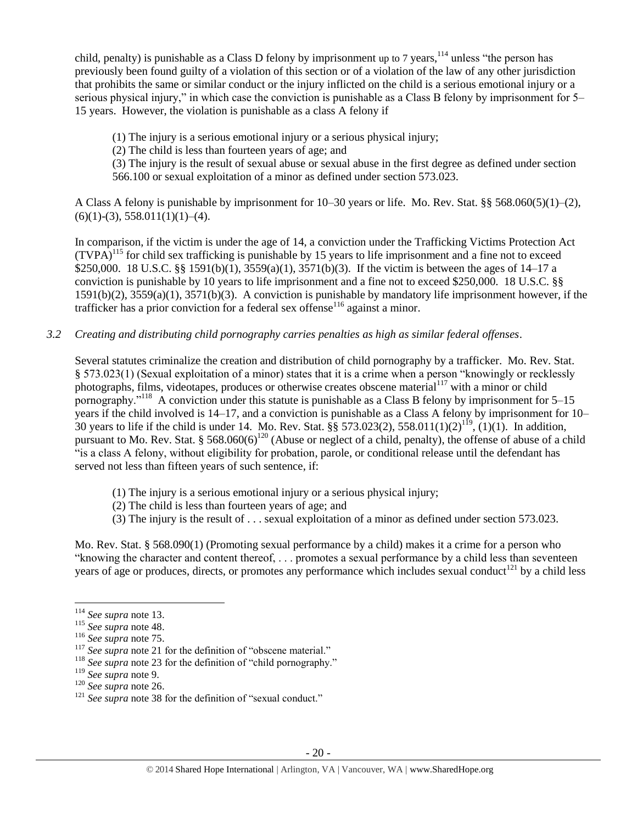child, penalty) is punishable as a Class D felony by imprisonment up to 7 years,<sup>114</sup> unless "the person has previously been found guilty of a violation of this section or of a violation of the law of any other jurisdiction that prohibits the same or similar conduct or the injury inflicted on the child is a serious emotional injury or a serious physical injury," in which case the conviction is punishable as a Class B felony by imprisonment for 5– 15 years. However, the violation is punishable as a class A felony if

- (1) The injury is a serious emotional injury or a serious physical injury;
- (2) The child is less than fourteen years of age; and
- (3) The injury is the result of sexual abuse or sexual abuse in the first degree as defined under section 566.100 or sexual exploitation of a minor as defined under section 573.023.

A Class A felony is punishable by imprisonment for 10–30 years or life. Mo. Rev. Stat. §§ 568.060(5)(1)–(2),  $(6)(1)-(3), 558.011(1)(1)–(4).$ 

In comparison, if the victim is under the age of 14, a conviction under the Trafficking Victims Protection Act  $(TVPA)^{115}$  for child sex trafficking is punishable by 15 years to life imprisonment and a fine not to exceed \$250,000. 18 U.S.C. §§ 1591(b)(1), 3559(a)(1), 3571(b)(3). If the victim is between the ages of 14–17 a conviction is punishable by 10 years to life imprisonment and a fine not to exceed \$250,000. 18 U.S.C. §§ 1591(b)(2), 3559(a)(1), 3571(b)(3). A conviction is punishable by mandatory life imprisonment however, if the trafficker has a prior conviction for a federal sex offense<sup>116</sup> against a minor.

*3.2 Creating and distributing child pornography carries penalties as high as similar federal offenses*.

Several statutes criminalize the creation and distribution of child pornography by a trafficker. Mo. Rev. Stat. § 573.023(1) (Sexual exploitation of a minor) states that it is a crime when a person "knowingly or recklessly photographs, films, videotapes, produces or otherwise creates obscene material<sup>117</sup> with a minor or child pornography."<sup>118</sup> A conviction under this statute is punishable as a Class B felony by imprisonment for 5–15 years if the child involved is 14–17, and a conviction is punishable as a Class A felony by imprisonment for 10– 30 years to life if the child is under 14. Mo. Rev. Stat. §§ 573.023(2), 558.011(1)(2)<sup>119</sup>, (1)(1). In addition, pursuant to Mo. Rev. Stat. § 568.060(6)<sup>120</sup> (Abuse or neglect of a child, penalty), the offense of abuse of a child "is a class A felony, without eligibility for probation, parole, or conditional release until the defendant has served not less than fifteen years of such sentence, if:

- (1) The injury is a serious emotional injury or a serious physical injury;
- (2) The child is less than fourteen years of age; and
- (3) The injury is the result of . . . sexual exploitation of a minor as defined under section 573.023.

Mo. Rev. Stat. § 568.090(1) (Promoting sexual performance by a child) makes it a crime for a person who "knowing the character and content thereof, . . . promotes a sexual performance by a child less than seventeen years of age or produces, directs, or promotes any performance which includes sexual conduct<sup>121</sup> by a child less

 $\overline{a}$ 

<sup>114</sup> *See supra* not[e 13.](#page-2-1)

<sup>115</sup> *See supra* not[e 48.](#page-9-0)

<sup>116</sup> *See supra* not[e 75.](#page-12-0)

<sup>&</sup>lt;sup>117</sup> See supra not[e 21](#page-4-1) for the definition of "obscene material."

<sup>&</sup>lt;sup>118</sup> See supra not[e 23](#page-4-0) for the definition of "child pornography."

<sup>119</sup> *See supra* not[e 9.](#page-2-0)

<sup>120</sup> *See supra* not[e 26.](#page-5-3)

<sup>&</sup>lt;sup>121</sup> See supra not[e 38](#page-7-0) for the definition of "sexual conduct."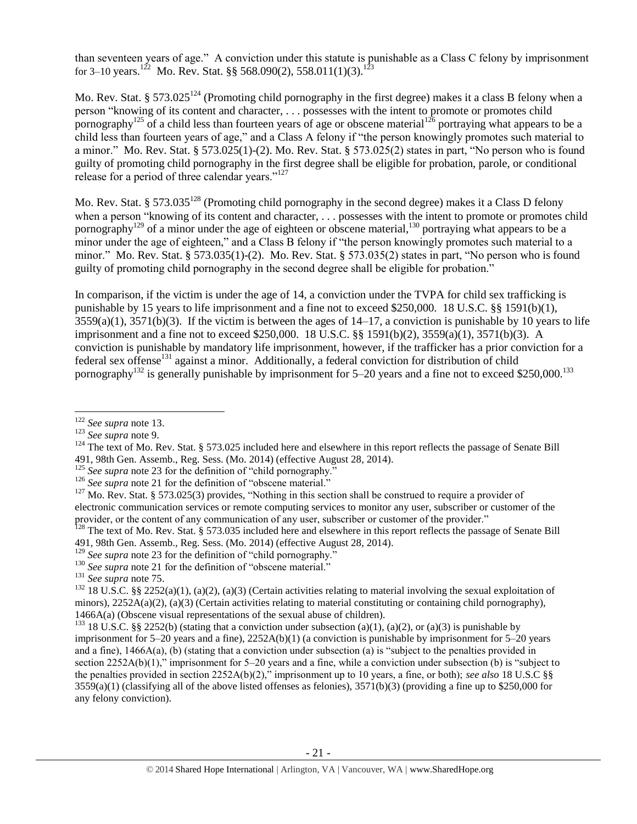than seventeen years of age." A conviction under this statute is punishable as a Class C felony by imprisonment for 3–10 years.<sup>122</sup> Mo. Rev. Stat. §§ 568.090(2), 558.011(1)(3).<sup>123</sup>

<span id="page-20-0"></span>Mo. Rev. Stat. § 573.025<sup>124</sup> (Promoting child pornography in the first degree) makes it a class B felony when a person "knowing of its content and character, . . . possesses with the intent to promote or promotes child pornography<sup>125</sup> of a child less than fourteen years of age or obscene material<sup>126</sup> portraying what appears to be a child less than fourteen years of age," and a Class A felony if "the person knowingly promotes such material to a minor." Mo. Rev. Stat. § 573.025(1)-(2). Mo. Rev. Stat. § 573.025(2) states in part, "No person who is found guilty of promoting child pornography in the first degree shall be eligible for probation, parole, or conditional release for a period of three calendar years."<sup>127</sup>

<span id="page-20-2"></span><span id="page-20-1"></span>Mo. Rev. Stat. § 573.035<sup>128</sup> (Promoting child pornography in the second degree) makes it a Class D felony when a person "knowing of its content and character, ... possesses with the intent to promote or promotes child pornography<sup>129</sup> of a minor under the age of eighteen or obscene material,<sup>130</sup> portraying what appears to be a minor under the age of eighteen," and a Class B felony if "the person knowingly promotes such material to a minor." Mo. Rev. Stat. § 573.035(1)-(2). Mo. Rev. Stat. § 573.035(2) states in part, "No person who is found guilty of promoting child pornography in the second degree shall be eligible for probation."

In comparison, if the victim is under the age of 14, a conviction under the TVPA for child sex trafficking is punishable by 15 years to life imprisonment and a fine not to exceed \$250,000. 18 U.S.C. §§ 1591(b)(1),  $3559(a)(1)$ ,  $3571(b)(3)$ . If the victim is between the ages of  $14-17$ , a conviction is punishable by 10 years to life imprisonment and a fine not to exceed \$250,000. 18 U.S.C. §§ 1591(b)(2), 3559(a)(1), 3571(b)(3). A conviction is punishable by mandatory life imprisonment, however, if the trafficker has a prior conviction for a federal sex offense<sup>131</sup> against a minor. Additionally, a federal conviction for distribution of child pornography<sup>132</sup> is generally punishable by imprisonment for 5–20 years and a fine not to exceed \$250,000.<sup>133</sup>

<sup>122</sup> *See supra* not[e 13.](#page-2-1)

<sup>123</sup> *See supra* not[e 9.](#page-2-0)

 $124$  The text of Mo. Rev. Stat. § 573.025 included here and elsewhere in this report reflects the passage of Senate Bill 491, 98th Gen. Assemb., Reg. Sess. (Mo. 2014) (effective August 28, 2014).

<sup>&</sup>lt;sup>125</sup> See supra not[e 23](#page-4-0) for the definition of "child pornography."

<sup>&</sup>lt;sup>126</sup> See supra not[e 21](#page-4-1) for the definition of "obscene material."

 $127$  Mo. Rev. Stat. § 573.025(3) provides, "Nothing in this section shall be construed to require a provider of electronic communication services or remote computing services to monitor any user, subscriber or customer of the provider, or the content of any communication of any user, subscriber or customer of the provider."

 $128$  The text of Mo. Rev. Stat. § 573.035 included here and elsewhere in this report reflects the passage of Senate Bill 491, 98th Gen. Assemb., Reg. Sess. (Mo. 2014) (effective August 28, 2014).

<sup>&</sup>lt;sup>129</sup> See supra not[e 23](#page-4-0) for the definition of "child pornography."

<sup>&</sup>lt;sup>130</sup> See supra not[e 21](#page-4-1) for the definition of "obscene material."

<sup>131</sup> *See supra* not[e 75.](#page-12-0)

<sup>&</sup>lt;sup>132</sup> 18 U.S.C. §§ 2252(a)(1), (a)(2), (a)(3) (Certain activities relating to material involving the sexual exploitation of minors),  $2252A(a)(2)$ , (a)(3) (Certain activities relating to material constituting or containing child pornography), 1466A(a) (Obscene visual representations of the sexual abuse of children).

<sup>&</sup>lt;sup>133</sup> 18 U.S.C. §§ 2252(b) (stating that a conviction under subsection (a)(1), (a)(2), or (a)(3) is punishable by imprisonment for 5–20 years and a fine), 2252A(b)(1) (a conviction is punishable by imprisonment for 5–20 years and a fine), 1466A(a), (b) (stating that a conviction under subsection (a) is "subject to the penalties provided in section 2252A(b)(1)," imprisonment for 5–20 years and a fine, while a conviction under subsection (b) is "subject to the penalties provided in section 2252A(b)(2)," imprisonment up to 10 years, a fine, or both); *see also* 18 U.S.C §§  $3559(a)(1)$  (classifying all of the above listed offenses as felonies),  $3571(b)(3)$  (providing a fine up to \$250,000 for any felony conviction).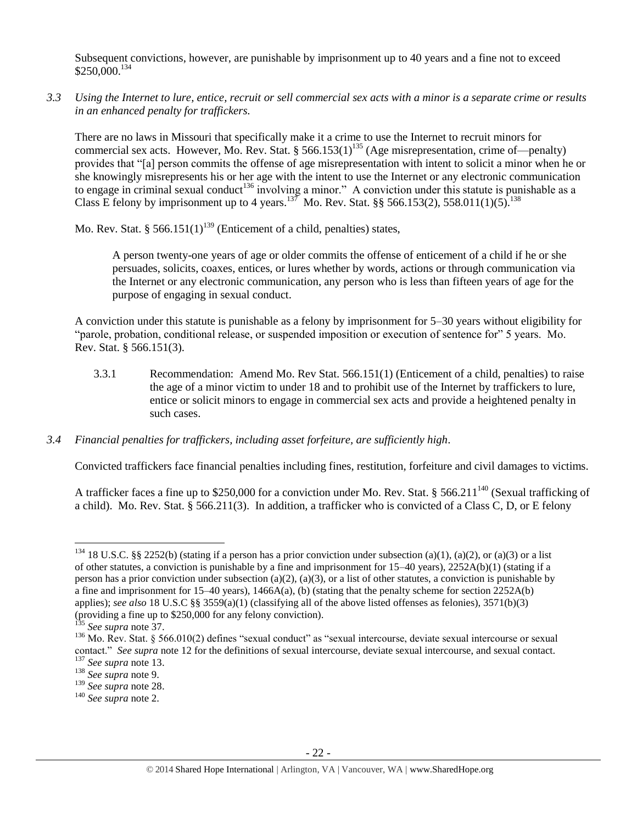Subsequent convictions, however, are punishable by imprisonment up to 40 years and a fine not to exceed \$250,000.<sup>134</sup>

*3.3 Using the Internet to lure, entice, recruit or sell commercial sex acts with a minor is a separate crime or results in an enhanced penalty for traffickers.*

There are no laws in Missouri that specifically make it a crime to use the Internet to recruit minors for commercial sex acts. However, Mo. Rev. Stat. § 566.153(1)<sup>135</sup> (Age misrepresentation, crime of—penalty) provides that "[a] person commits the offense of age misrepresentation with intent to solicit a minor when he or she knowingly misrepresents his or her age with the intent to use the Internet or any electronic communication to engage in criminal sexual conduct<sup>136</sup> involving a minor." A conviction under this statute is punishable as a Class E felony by imprisonment up to 4 years.<sup>137</sup> Mo. Rev. Stat. §§ 566.153(2), 558.011(1)(5).<sup>138</sup>

Mo. Rev. Stat. § 566.151(1)<sup>139</sup> (Enticement of a child, penalties) states,

A person twenty-one years of age or older commits the offense of enticement of a child if he or she persuades, solicits, coaxes, entices, or lures whether by words, actions or through communication via the Internet or any electronic communication, any person who is less than fifteen years of age for the purpose of engaging in sexual conduct.

A conviction under this statute is punishable as a felony by imprisonment for 5–30 years without eligibility for "parole, probation, conditional release, or suspended imposition or execution of sentence for" 5 years. Mo. Rev. Stat. § 566.151(3).

- 3.3.1 Recommendation: Amend Mo. Rev Stat. 566.151(1) (Enticement of a child, penalties) to raise the age of a minor victim to under 18 and to prohibit use of the Internet by traffickers to lure, entice or solicit minors to engage in commercial sex acts and provide a heightened penalty in such cases.
- *3.4 Financial penalties for traffickers, including asset forfeiture, are sufficiently high*.

Convicted traffickers face financial penalties including fines, restitution, forfeiture and civil damages to victims.

A trafficker faces a fine up to \$250,000 for a conviction under Mo. Rev. Stat. § 566.211<sup>140</sup> (Sexual trafficking of a child). Mo. Rev. Stat. § 566.211(3). In addition, a trafficker who is convicted of a Class C, D, or E felony

 $\overline{\phantom{a}}$  $^{134}$  18 U.S.C. §§ 2252(b) (stating if a person has a prior conviction under subsection (a)(1), (a)(2), or (a)(3) or a list of other statutes, a conviction is punishable by a fine and imprisonment for 15–40 years), 2252A(b)(1) (stating if a person has a prior conviction under subsection (a)(2), (a)(3), or a list of other statutes, a conviction is punishable by a fine and imprisonment for 15–40 years),  $1466A(a)$ , (b) (stating that the penalty scheme for section 2252A(b) applies); *see also* 18 U.S.C §§ 3559(a)(1) (classifying all of the above listed offenses as felonies), 3571(b)(3) (providing a fine up to \$250,000 for any felony conviction).

<sup>135</sup> *See supra* not[e 37.](#page-6-1)

 $136$  Mo. Rev. Stat. § 566.010(2) defines "sexual conduct" as "sexual intercourse, deviate sexual intercourse or sexual contact." *See supra* note [12](#page-2-3) for the definitions of sexual intercourse, deviate sexual intercourse, and sexual contact. <sup>137</sup> *See supra* not[e 13.](#page-2-1)

<sup>138</sup> *See supra* not[e 9.](#page-2-0)

<sup>139</sup> *See supra* not[e 28.](#page-5-1)

<sup>140</sup> *See supra* not[e 2.](#page-0-0)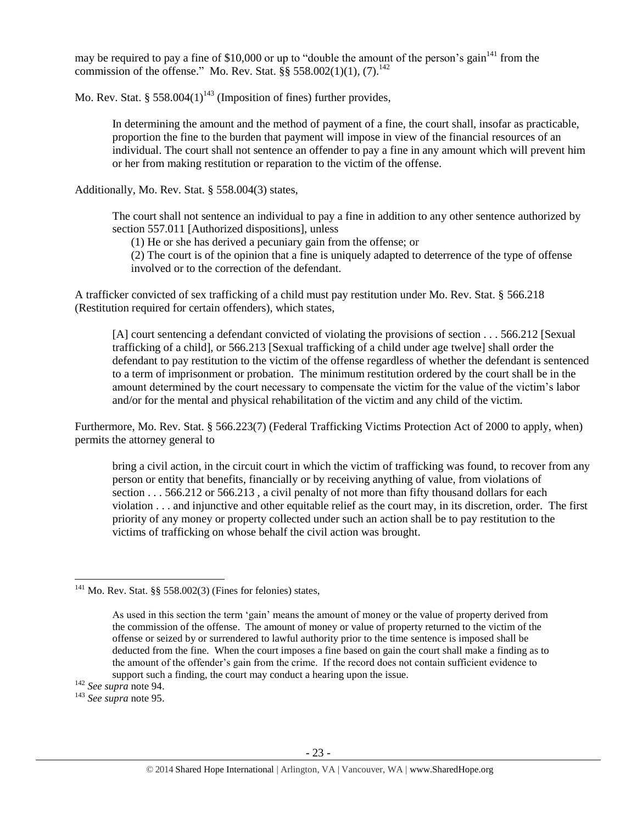may be required to pay a fine of \$10,000 or up to "double the amount of the person's gain<sup>141</sup> from the commission of the offense." Mo. Rev. Stat.  $\S$ § 558.002(1)(1), (7).<sup>142</sup>

Mo. Rev. Stat. § 558.004(1)<sup>143</sup> (Imposition of fines) further provides,

<span id="page-22-0"></span>In determining the amount and the method of payment of a fine, the court shall, insofar as practicable, proportion the fine to the burden that payment will impose in view of the financial resources of an individual. The court shall not sentence an offender to pay a fine in any amount which will prevent him or her from making restitution or reparation to the victim of the offense.

Additionally, Mo. Rev. Stat. § 558.004(3) states,

The court shall not sentence an individual to pay a fine in addition to any other sentence authorized by section 557.011 [Authorized dispositions], unless

(1) He or she has derived a pecuniary gain from the offense; or

(2) The court is of the opinion that a fine is uniquely adapted to deterrence of the type of offense involved or to the correction of the defendant.

A trafficker convicted of sex trafficking of a child must pay restitution under Mo. Rev. Stat. § 566.218 (Restitution required for certain offenders), which states,

[A] court sentencing a defendant convicted of violating the provisions of section . . . 566.212 [Sexual trafficking of a child], or 566.213 [Sexual trafficking of a child under age twelve] shall order the defendant to pay restitution to the victim of the offense regardless of whether the defendant is sentenced to a term of imprisonment or probation. The minimum restitution ordered by the court shall be in the amount determined by the court necessary to compensate the victim for the value of the victim's labor and/or for the mental and physical rehabilitation of the victim and any child of the victim.

Furthermore, Mo. Rev. Stat. § 566.223(7) (Federal Trafficking Victims Protection Act of 2000 to apply, when) permits the attorney general to

bring a civil action, in the circuit court in which the victim of trafficking was found, to recover from any person or entity that benefits, financially or by receiving anything of value, from violations of section . . . 566.212 or 566.213 , a civil penalty of not more than fifty thousand dollars for each violation . . . and injunctive and other equitable relief as the court may, in its discretion, order. The first priority of any money or property collected under such an action shall be to pay restitution to the victims of trafficking on whose behalf the civil action was brought.

 $\overline{a}$ 

 $141$  Mo. Rev. Stat. §§ 558.002(3) (Fines for felonies) states,

As used in this section the term 'gain' means the amount of money or the value of property derived from the commission of the offense. The amount of money or value of property returned to the victim of the offense or seized by or surrendered to lawful authority prior to the time sentence is imposed shall be deducted from the fine. When the court imposes a fine based on gain the court shall make a finding as to the amount of the offender's gain from the crime. If the record does not contain sufficient evidence to support such a finding, the court may conduct a hearing upon the issue.

<sup>142</sup> *See supra* not[e 94.](#page-14-0)

<sup>143</sup> *See supra* not[e 95.](#page-14-1)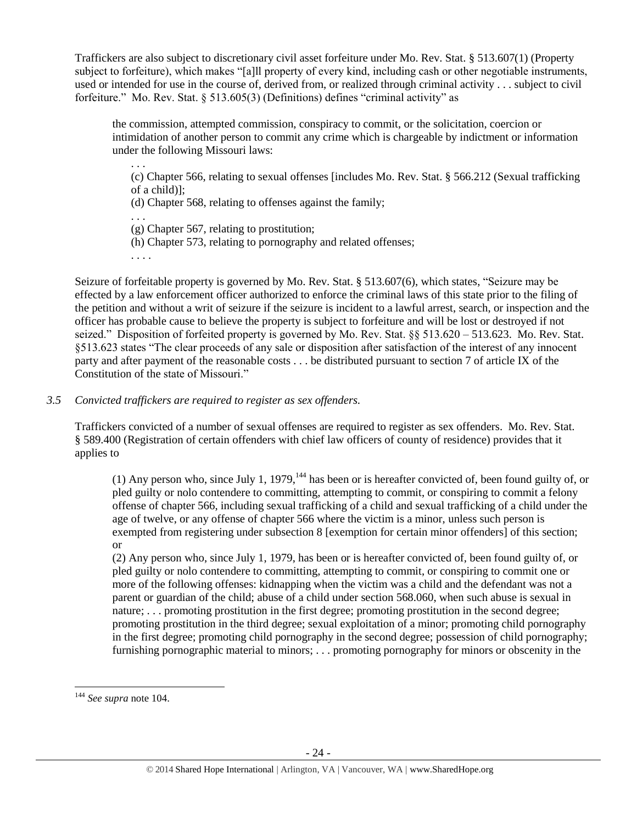Traffickers are also subject to discretionary civil asset forfeiture under Mo. Rev. Stat. § 513.607(1) (Property subject to forfeiture), which makes "[a]ll property of every kind, including cash or other negotiable instruments, used or intended for use in the course of, derived from, or realized through criminal activity . . . subject to civil forfeiture." Mo. Rev. Stat. § 513.605(3) (Definitions) defines "criminal activity" as

the commission, attempted commission, conspiracy to commit, or the solicitation, coercion or intimidation of another person to commit any crime which is chargeable by indictment or information under the following Missouri laws:

. . . (c) Chapter 566, relating to sexual offenses [includes Mo. Rev. Stat. § 566.212 (Sexual trafficking of a child)];

(d) Chapter 568, relating to offenses against the family;

. . . (g) Chapter 567, relating to prostitution;

- (h) Chapter 573, relating to pornography and related offenses;
- . . . .

Seizure of forfeitable property is governed by Mo. Rev. Stat. § 513.607(6), which states, "Seizure may be effected by a law enforcement officer authorized to enforce the criminal laws of this state prior to the filing of the petition and without a writ of seizure if the seizure is incident to a lawful arrest, search, or inspection and the officer has probable cause to believe the property is subject to forfeiture and will be lost or destroyed if not seized." Disposition of forfeited property is governed by Mo. Rev. Stat. §§ 513.620 – 513.623. Mo. Rev. Stat. §513.623 states "The clear proceeds of any sale or disposition after satisfaction of the interest of any innocent party and after payment of the reasonable costs . . . be distributed pursuant to section 7 of article IX of the Constitution of the state of Missouri."

*3.5 Convicted traffickers are required to register as sex offenders.*

Traffickers convicted of a number of sexual offenses are required to register as sex offenders. Mo. Rev. Stat. § 589.400 (Registration of certain offenders with chief law officers of county of residence) provides that it applies to

(1) Any person who, since July 1, 1979, $^{144}$  has been or is hereafter convicted of, been found guilty of, or pled guilty or nolo contendere to committing, attempting to commit, or conspiring to commit a felony offense of chapter 566, including sexual trafficking of a child and sexual trafficking of a child under the age of twelve, or any offense of chapter 566 where the victim is a minor, unless such person is exempted from registering under subsection 8 [exemption for certain minor offenders] of this section; or

(2) Any person who, since July 1, 1979, has been or is hereafter convicted of, been found guilty of, or pled guilty or nolo contendere to committing, attempting to commit, or conspiring to commit one or more of the following offenses: kidnapping when the victim was a child and the defendant was not a parent or guardian of the child; abuse of a child under section 568.060, when such abuse is sexual in nature; . . . promoting prostitution in the first degree; promoting prostitution in the second degree; promoting prostitution in the third degree; sexual exploitation of a minor; promoting child pornography in the first degree; promoting child pornography in the second degree; possession of child pornography; furnishing pornographic material to minors; . . . promoting pornography for minors or obscenity in the

 $\overline{a}$ <sup>144</sup> *See supra* not[e 104.](#page-17-0)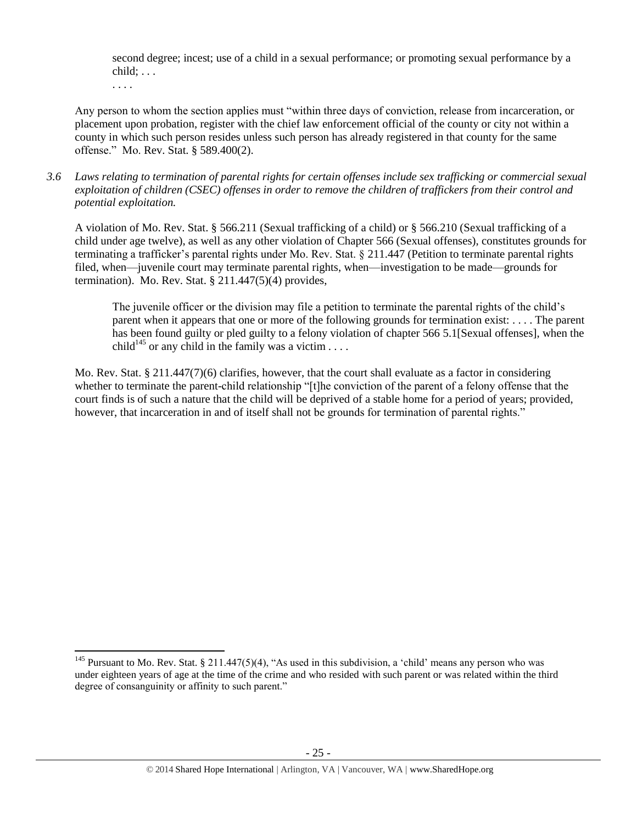second degree; incest; use of a child in a sexual performance; or promoting sexual performance by a child; . . .

. . . .

 $\overline{a}$ 

Any person to whom the section applies must "within three days of conviction, release from incarceration, or placement upon probation, register with the chief law enforcement official of the county or city not within a county in which such person resides unless such person has already registered in that county for the same offense." Mo. Rev. Stat. § 589.400(2).

*3.6 Laws relating to termination of parental rights for certain offenses include sex trafficking or commercial sexual exploitation of children (CSEC) offenses in order to remove the children of traffickers from their control and potential exploitation.* 

A violation of Mo. Rev. Stat. § 566.211 (Sexual trafficking of a child) or § 566.210 (Sexual trafficking of a child under age twelve), as well as any other violation of Chapter 566 (Sexual offenses), constitutes grounds for terminating a trafficker's parental rights under Mo. Rev. Stat. § 211.447 (Petition to terminate parental rights filed, when—juvenile court may terminate parental rights, when—investigation to be made—grounds for termination). Mo. Rev. Stat.  $\S 211.447(5)(4)$  provides,

The juvenile officer or the division may file a petition to terminate the parental rights of the child's parent when it appears that one or more of the following grounds for termination exist: . . . . The parent has been found guilty or pled guilty to a felony violation of chapter 566 5.1[Sexual offenses], when the child<sup>145</sup> or any child in the family was a victim  $\dots$ 

Mo. Rev. Stat. § 211.447(7)(6) clarifies, however, that the court shall evaluate as a factor in considering whether to terminate the parent-child relationship "[t]he conviction of the parent of a felony offense that the court finds is of such a nature that the child will be deprived of a stable home for a period of years; provided, however, that incarceration in and of itself shall not be grounds for termination of parental rights."

<sup>&</sup>lt;sup>145</sup> Pursuant to Mo. Rev. Stat. § 211.447(5)(4), "As used in this subdivision, a 'child' means any person who was under eighteen years of age at the time of the crime and who resided with such parent or was related within the third degree of consanguinity or affinity to such parent."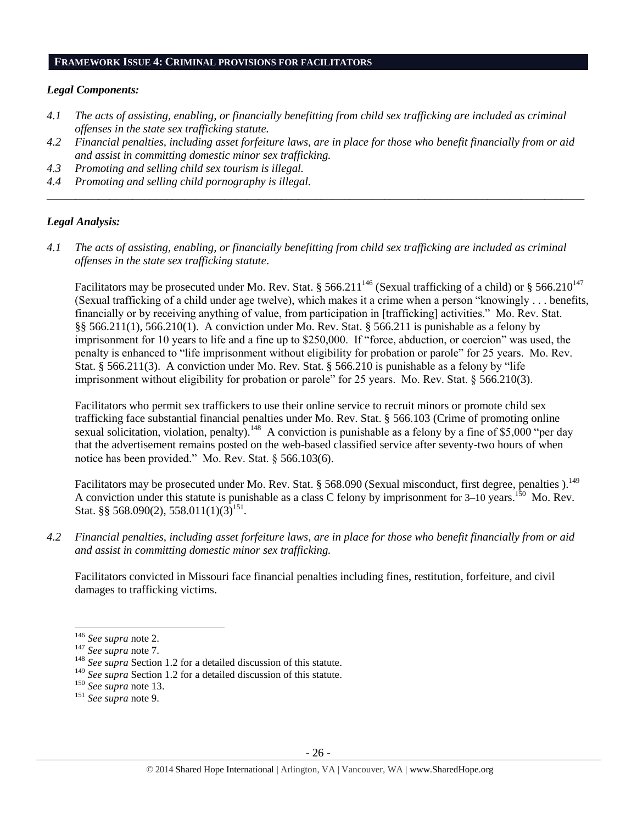#### **FRAMEWORK ISSUE 4: CRIMINAL PROVISIONS FOR FACILITATORS**

#### *Legal Components:*

- *4.1 The acts of assisting, enabling, or financially benefitting from child sex trafficking are included as criminal offenses in the state sex trafficking statute.*
- *4.2 Financial penalties, including asset forfeiture laws, are in place for those who benefit financially from or aid and assist in committing domestic minor sex trafficking.*

*\_\_\_\_\_\_\_\_\_\_\_\_\_\_\_\_\_\_\_\_\_\_\_\_\_\_\_\_\_\_\_\_\_\_\_\_\_\_\_\_\_\_\_\_\_\_\_\_\_\_\_\_\_\_\_\_\_\_\_\_\_\_\_\_\_\_\_\_\_\_\_\_\_\_\_\_\_\_\_\_\_\_\_\_\_\_\_\_\_\_\_\_\_\_*

- *4.3 Promoting and selling child sex tourism is illegal.*
- *4.4 Promoting and selling child pornography is illegal.*

#### *Legal Analysis:*

*4.1 The acts of assisting, enabling, or financially benefitting from child sex trafficking are included as criminal offenses in the state sex trafficking statute*.

Facilitators may be prosecuted under Mo. Rev. Stat. § 566.211<sup>146</sup> (Sexual trafficking of a child) or § 566.210<sup>147</sup> (Sexual trafficking of a child under age twelve), which makes it a crime when a person "knowingly . . . benefits, financially or by receiving anything of value, from participation in [trafficking] activities." Mo. Rev. Stat. §§ 566.211(1), 566.210(1). A conviction under Mo. Rev. Stat. § 566.211 is punishable as a felony by imprisonment for 10 years to life and a fine up to \$250,000. If "force, abduction, or coercion" was used, the penalty is enhanced to "life imprisonment without eligibility for probation or parole" for 25 years. Mo. Rev. Stat. § 566.211(3). A conviction under Mo. Rev. Stat. § 566.210 is punishable as a felony by "life imprisonment without eligibility for probation or parole" for 25 years. Mo. Rev. Stat. § 566.210(3).

Facilitators who permit sex traffickers to use their online service to recruit minors or promote child sex trafficking face substantial financial penalties under Mo. Rev. Stat. § 566.103 (Crime of promoting online sexual solicitation, violation, penalty).<sup>148</sup> A conviction is punishable as a felony by a fine of \$5,000 "per day that the advertisement remains posted on the web-based classified service after seventy-two hours of when notice has been provided." Mo. Rev. Stat. § 566.103(6).

Facilitators may be prosecuted under Mo. Rev. Stat. § 568.090 (Sexual misconduct, first degree, penalties).<sup>149</sup> A conviction under this statute is punishable as a class C felony by imprisonment for  $3-10$  years.<sup>150</sup> Mo. Rev. Stat. §§ 568.090(2), 558.011(1)(3)<sup>151</sup>.

*4.2 Financial penalties, including asset forfeiture laws, are in place for those who benefit financially from or aid and assist in committing domestic minor sex trafficking.*

Facilitators convicted in Missouri face financial penalties including fines, restitution, forfeiture, and civil damages to trafficking victims.

<sup>146</sup> *See supra* not[e 2.](#page-0-0)

<sup>147</sup> *See supra* not[e 7.](#page-1-1)

<sup>&</sup>lt;sup>148</sup> See supra Section 1.2 for a detailed discussion of this statute.

<sup>&</sup>lt;sup>149</sup> See supra Section 1.2 for a detailed discussion of this statute.

<sup>150</sup> *See supra* not[e 13.](#page-2-1)

<sup>151</sup> *See supra* not[e 9.](#page-2-0)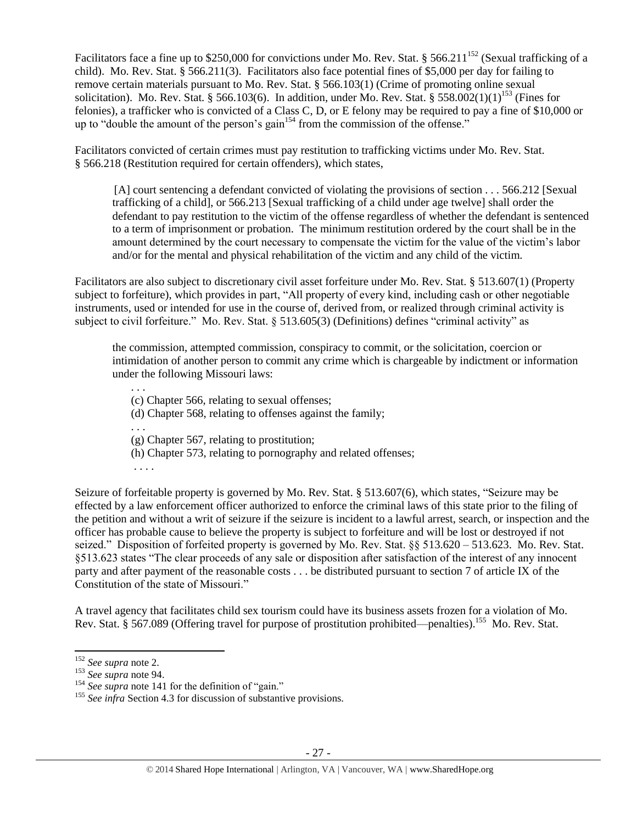Facilitators face a fine up to \$250,000 for convictions under Mo. Rev. Stat. § 566.211<sup>152</sup> (Sexual trafficking of a child). Mo. Rev. Stat. § 566.211(3). Facilitators also face potential fines of \$5,000 per day for failing to remove certain materials pursuant to Mo. Rev. Stat. § 566.103(1) (Crime of promoting online sexual solicitation). Mo. Rev. Stat. § 566.103(6). In addition, under Mo. Rev. Stat. § 558.002(1)(1)<sup>153</sup> (Fines for felonies), a trafficker who is convicted of a Class C, D, or E felony may be required to pay a fine of \$10,000 or up to "double the amount of the person's gain $154$  from the commission of the offense."

Facilitators convicted of certain crimes must pay restitution to trafficking victims under Mo. Rev. Stat. § 566.218 (Restitution required for certain offenders), which states,

[A] court sentencing a defendant convicted of violating the provisions of section . . . 566.212 [Sexual trafficking of a child], or 566.213 [Sexual trafficking of a child under age twelve] shall order the defendant to pay restitution to the victim of the offense regardless of whether the defendant is sentenced to a term of imprisonment or probation. The minimum restitution ordered by the court shall be in the amount determined by the court necessary to compensate the victim for the value of the victim's labor and/or for the mental and physical rehabilitation of the victim and any child of the victim.

Facilitators are also subject to discretionary civil asset forfeiture under Mo. Rev. Stat. § 513.607(1) (Property subject to forfeiture), which provides in part, "All property of every kind, including cash or other negotiable instruments, used or intended for use in the course of, derived from, or realized through criminal activity is subject to civil forfeiture." Mo. Rev. Stat. § 513.605(3) (Definitions) defines "criminal activity" as

the commission, attempted commission, conspiracy to commit, or the solicitation, coercion or intimidation of another person to commit any crime which is chargeable by indictment or information under the following Missouri laws:

. . . (c) Chapter 566, relating to sexual offenses; (d) Chapter 568, relating to offenses against the family; . . . (g) Chapter 567, relating to prostitution; (h) Chapter 573, relating to pornography and related offenses; . . . .

Seizure of forfeitable property is governed by Mo. Rev. Stat. § 513.607(6), which states, "Seizure may be effected by a law enforcement officer authorized to enforce the criminal laws of this state prior to the filing of the petition and without a writ of seizure if the seizure is incident to a lawful arrest, search, or inspection and the officer has probable cause to believe the property is subject to forfeiture and will be lost or destroyed if not seized." Disposition of forfeited property is governed by Mo. Rev. Stat. §§ 513.620 – 513.623. Mo. Rev. Stat. §513.623 states "The clear proceeds of any sale or disposition after satisfaction of the interest of any innocent party and after payment of the reasonable costs . . . be distributed pursuant to section 7 of article IX of the Constitution of the state of Missouri."

A travel agency that facilitates child sex tourism could have its business assets frozen for a violation of Mo. Rev. Stat. § 567.089 (Offering travel for purpose of prostitution prohibited—penalties).<sup>155</sup> Mo. Rev. Stat.

 $\overline{a}$ 

<sup>152</sup> *See supra* not[e 2.](#page-0-0)

<sup>153</sup> *See supra* not[e 94.](#page-14-0)

<sup>&</sup>lt;sup>154</sup> See supra not[e 141](#page-22-0) for the definition of "gain."

<sup>&</sup>lt;sup>155</sup> See infra Section 4.3 for discussion of substantive provisions.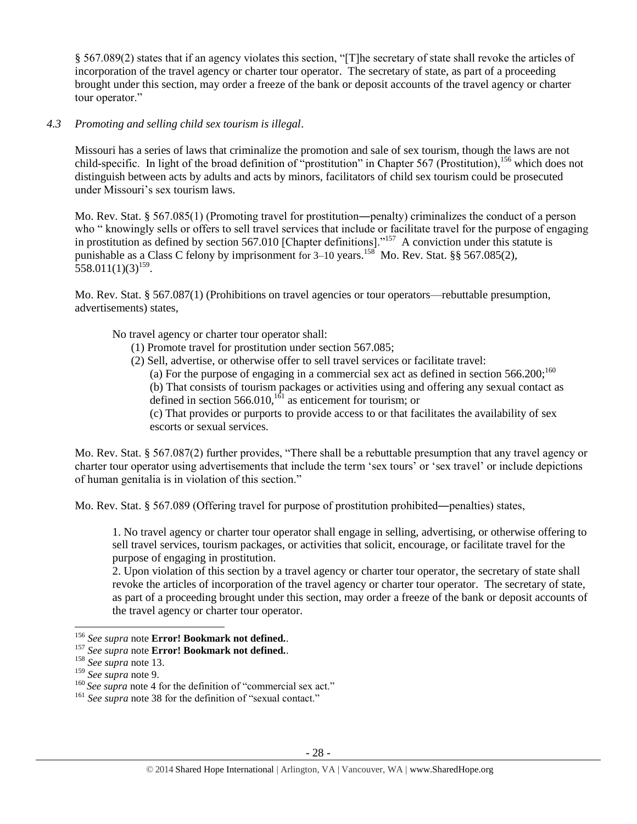§ 567.089(2) states that if an agency violates this section, "[T]he secretary of state shall revoke the articles of incorporation of the travel agency or charter tour operator. The secretary of state, as part of a proceeding brought under this section, may order a freeze of the bank or deposit accounts of the travel agency or charter tour operator."

## *4.3 Promoting and selling child sex tourism is illegal*.

Missouri has a series of laws that criminalize the promotion and sale of sex tourism, though the laws are not child-specific. In light of the broad definition of "prostitution" in Chapter 567 (Prostitution),  $156$  which does not distinguish between acts by adults and acts by minors, facilitators of child sex tourism could be prosecuted under Missouri's sex tourism laws.

Mo. Rev. Stat. § 567.085(1) (Promoting travel for prostitution―penalty) criminalizes the conduct of a person who " knowingly sells or offers to sell travel services that include or facilitate travel for the purpose of engaging in prostitution as defined by [section 567.010](https://www.lexis.com/research/buttonTFLink?_m=365bbb2c169493723bac928e24ec7929&_xfercite=%3ccite%20cc%3d%22USA%22%3e%3c%21%5bCDATA%5b%a7%20567.085%20R.S.Mo.%5d%5d%3e%3c%2fcite%3e&_butType=4&_butStat=0&_butNum=2&_butInline=1&_butinfo=MOCODE%20567.010&_fmtstr=FULL&docnum=1&_startdoc=1&wchp=dGLzVlz-zSkAW&_md5=d32fdfbb8fc188b2a81f3fd57e337121) [Chapter definitions]."<sup>157</sup> A conviction under this statute is punishable as a Class C felony by imprisonment for 3–10 years.<sup>158</sup> Mo. Rev. Stat. §§ 567.085(2),  $558.011(1)(3)^{159}$ .

Mo. Rev. Stat. § 567.087(1) (Prohibitions on travel agencies or tour operators—rebuttable presumption, advertisements) states,

No travel agency or charter tour operator shall:

- (1) Promote travel for prostitution under [section 567.085;](https://www.lexis.com/research/buttonTFLink?_m=39eacf84f8f4116d465fb0ab2d829210&_xfercite=%3ccite%20cc%3d%22USA%22%3e%3c%21%5bCDATA%5b%a7%20567.087%20R.S.Mo.%5d%5d%3e%3c%2fcite%3e&_butType=4&_butStat=0&_butNum=2&_butInline=1&_butinfo=MOCODE%20567.085&_fmtstr=FULL&docnum=1&_startdoc=1&wchp=dGLbVzb-zSkAl&_md5=3549e1692989f5adfa9211a8b10d75ac)
- (2) Sell, advertise, or otherwise offer to sell travel services or facilitate travel:

(a) For the purpose of engaging in a commercial sex act as defined in section  $566.200$ ;<sup>160</sup>

(b) That consists of tourism packages or activities using and offering any sexual contact as defined in section 566.010,<sup>161</sup> as enticement for tourism; or

(c) That provides or purports to provide access to or that facilitates the availability of sex escorts or sexual services.

Mo. Rev. Stat. § 567.087(2) further provides, "There shall be a rebuttable presumption that any travel agency or charter tour operator using advertisements that include the term 'sex tours' or 'sex travel' or include depictions of human genitalia is in violation of this section."

Mo. Rev. Stat. § 567.089 (Offering travel for purpose of prostitution prohibited―penalties) states,

1. No travel agency or charter tour operator shall engage in selling, advertising, or otherwise offering to sell travel services, tourism packages, or activities that solicit, encourage, or facilitate travel for the purpose of engaging in prostitution.

2. Upon violation of this section by a travel agency or charter tour operator, the secretary of state shall revoke the articles of incorporation of the travel agency or charter tour operator. The secretary of state, as part of a proceeding brought under this section, may order a freeze of the bank or deposit accounts of the travel agency or charter tour operator.

<sup>156</sup> *See supra* note **Error! Bookmark not defined.**.

<sup>157</sup> *See supra* note **Error! Bookmark not defined.**.

<sup>158</sup> *See supra* not[e 13.](#page-2-1)

<sup>159</sup> *See supra* not[e 9.](#page-2-0)

<sup>&</sup>lt;sup>160</sup> See supra not[e 4](#page-1-2) for the definition of "commercial sex act."

<sup>&</sup>lt;sup>161</sup> See supra not[e 38](#page-7-0) for the definition of "sexual contact."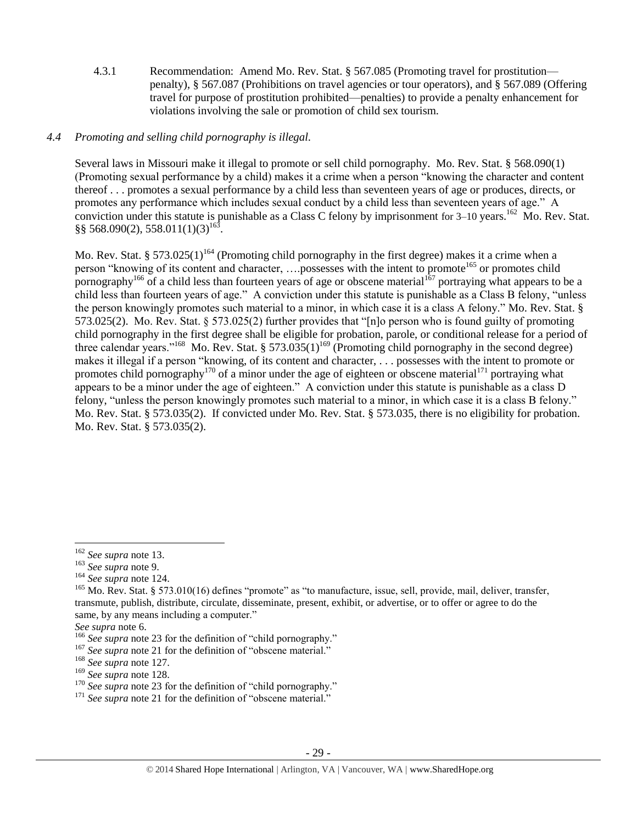4.3.1 Recommendation: Amend Mo. Rev. Stat. § 567.085 (Promoting travel for prostitution penalty), § 567.087 (Prohibitions on travel agencies or tour operators), and § 567.089 (Offering travel for purpose of prostitution prohibited—penalties) to provide a penalty enhancement for violations involving the sale or promotion of child sex tourism.

## *4.4 Promoting and selling child pornography is illegal.*

Several laws in Missouri make it illegal to promote or sell child pornography. Mo. Rev. Stat. § 568.090(1) (Promoting sexual performance by a child) makes it a crime when a person "knowing the character and content thereof . . . promotes a sexual performance by a child less than seventeen years of age or produces, directs, or promotes any performance which includes sexual conduct by a child less than seventeen years of age." A conviction under this statute is punishable as a Class C felony by imprisonment for  $3-10$  years.<sup>162</sup> Mo. Rev. Stat.  $\S$ § 568.090(2), 558.011(1)(3)<sup>163</sup>.

Mo. Rev. Stat. § 573.025(1)<sup>164</sup> (Promoting child pornography in the first degree) makes it a crime when a person "knowing of its content and character, ....possesses with the intent to promote<sup>165</sup> or promotes child pornography<sup>166</sup> of a child less than fourteen years of age or obscene material<sup>167</sup> portraying what appears to be a child less than fourteen years of age." A conviction under this statute is punishable as a Class B felony, "unless the person knowingly promotes such material to a minor, in which case it is a class A felony." Mo. Rev. Stat. § 573.025(2). Mo. Rev. Stat. § 573.025(2) further provides that "[n]o person who is found guilty of promoting child pornography in the first degree shall be eligible for probation, parole, or conditional release for a period of three calendar years."<sup>168</sup> Mo. Rev. Stat. §  $573.035(1)$ <sup>169</sup> (Promoting child pornography in the second degree) makes it illegal if a person "knowing, of its content and character, . . . possesses with the intent to promote or promotes child pornography<sup>170</sup> of a minor under the age of eighteen or obscene material<sup>171</sup> portraying what appears to be a minor under the age of eighteen." A conviction under this statute is punishable as a class D felony, "unless the person knowingly promotes such material to a minor, in which case it is a class B felony." Mo. Rev. Stat. § 573.035(2). If convicted under Mo. Rev. Stat. § 573.035, there is no eligibility for probation. Mo. Rev. Stat. § 573.035(2).

 $\overline{\phantom{a}}$ <sup>162</sup> *See supra* not[e 13.](#page-2-1)

<sup>163</sup> *See supra* not[e 9.](#page-2-0)

<sup>164</sup> *See supra* not[e 124.](#page-20-0)

<sup>&</sup>lt;sup>165</sup> Mo. Rev. Stat. § 573.010(16) defines "promote" as "to manufacture, issue, sell, provide, mail, deliver, transfer, transmute, publish, distribute, circulate, disseminate, present, exhibit, or advertise, or to offer or agree to do the same, by any means including a computer."

*See supra* note [6.](#page-1-0)

<sup>&</sup>lt;sup>166</sup> See supra not[e 23](#page-4-0) for the definition of "child pornography."

<sup>&</sup>lt;sup>167</sup> See supra not[e 21](#page-4-1) for the definition of "obscene material."

<sup>168</sup> *See supra* not[e 127.](#page-20-1)

<sup>169</sup> *See supra* not[e 128.](#page-20-2)

<sup>&</sup>lt;sup>170</sup> See supra not[e 23](#page-4-0) for the definition of "child pornography."

<sup>&</sup>lt;sup>171</sup> See supra not[e 21](#page-4-1) for the definition of "obscene material."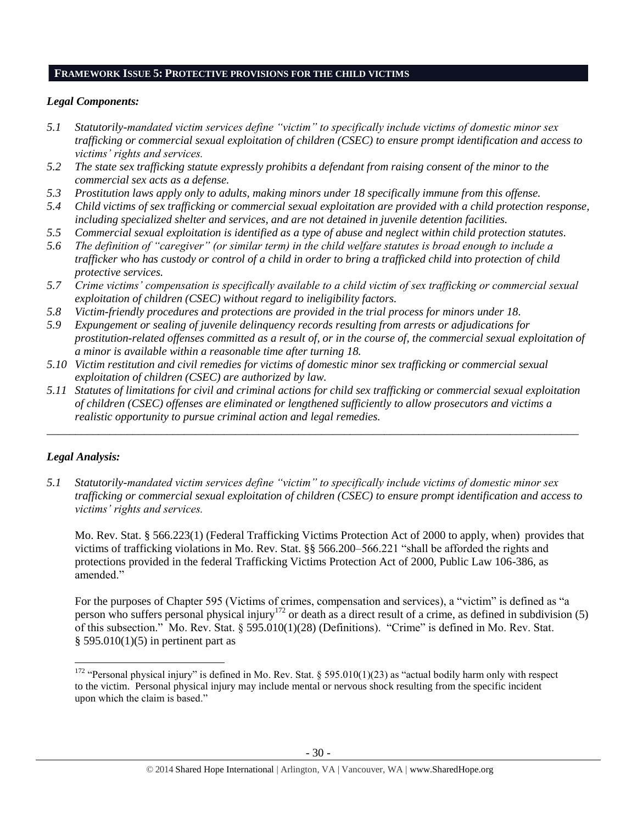#### **FRAMEWORK ISSUE 5: PROTECTIVE PROVISIONS FOR THE CHILD VICTIMS**

## *Legal Components:*

- *5.1 Statutorily-mandated victim services define "victim" to specifically include victims of domestic minor sex trafficking or commercial sexual exploitation of children (CSEC) to ensure prompt identification and access to victims' rights and services.*
- *5.2 The state sex trafficking statute expressly prohibits a defendant from raising consent of the minor to the commercial sex acts as a defense.*
- *5.3 Prostitution laws apply only to adults, making minors under 18 specifically immune from this offense.*
- *5.4 Child victims of sex trafficking or commercial sexual exploitation are provided with a child protection response, including specialized shelter and services, and are not detained in juvenile detention facilities.*
- *5.5 Commercial sexual exploitation is identified as a type of abuse and neglect within child protection statutes.*
- *5.6 The definition of "caregiver" (or similar term) in the child welfare statutes is broad enough to include a trafficker who has custody or control of a child in order to bring a trafficked child into protection of child protective services.*
- *5.7 Crime victims' compensation is specifically available to a child victim of sex trafficking or commercial sexual exploitation of children (CSEC) without regard to ineligibility factors.*
- *5.8 Victim-friendly procedures and protections are provided in the trial process for minors under 18.*
- *5.9 Expungement or sealing of juvenile delinquency records resulting from arrests or adjudications for prostitution-related offenses committed as a result of, or in the course of, the commercial sexual exploitation of a minor is available within a reasonable time after turning 18.*
- *5.10 Victim restitution and civil remedies for victims of domestic minor sex trafficking or commercial sexual exploitation of children (CSEC) are authorized by law.*
- *5.11 Statutes of limitations for civil and criminal actions for child sex trafficking or commercial sexual exploitation of children (CSEC) offenses are eliminated or lengthened sufficiently to allow prosecutors and victims a realistic opportunity to pursue criminal action and legal remedies.*

*\_\_\_\_\_\_\_\_\_\_\_\_\_\_\_\_\_\_\_\_\_\_\_\_\_\_\_\_\_\_\_\_\_\_\_\_\_\_\_\_\_\_\_\_\_\_\_\_\_\_\_\_\_\_\_\_\_\_\_\_\_\_\_\_\_\_\_\_\_\_\_\_\_\_\_\_\_\_\_\_\_\_\_\_\_\_\_\_\_\_\_\_\_*

# *Legal Analysis:*

 $\overline{\phantom{a}}$ 

*5.1 Statutorily-mandated victim services define "victim" to specifically include victims of domestic minor sex trafficking or commercial sexual exploitation of children (CSEC) to ensure prompt identification and access to victims' rights and services.* 

Mo. Rev. Stat. § 566.223(1) (Federal Trafficking Victims Protection Act of 2000 to apply, when) provides that victims of trafficking violations in Mo. Rev. Stat. §§ 566.200–566.221 "shall be afforded the rights and protections provided in the federal Trafficking Victims Protection Act of 2000, Public Law 106-386, as amended."

For the purposes of Chapter 595 (Victims of crimes, compensation and services), a "victim" is defined as "a person who suffers personal physical injury<sup>172</sup> or death as a direct result of a crime, as defined in subdivision (5) of this subsection." Mo. Rev. Stat. § 595.010(1)(28) (Definitions). "Crime" is defined in Mo. Rev. Stat.  $§$  595.010(1)(5) in pertinent part as

<sup>&</sup>lt;sup>172</sup> "Personal physical injury" is defined in Mo. Rev. Stat. § 595.010(1)(23) as "actual bodily harm only with respect to the victim. Personal physical injury may include mental or nervous shock resulting from the specific incident upon which the claim is based."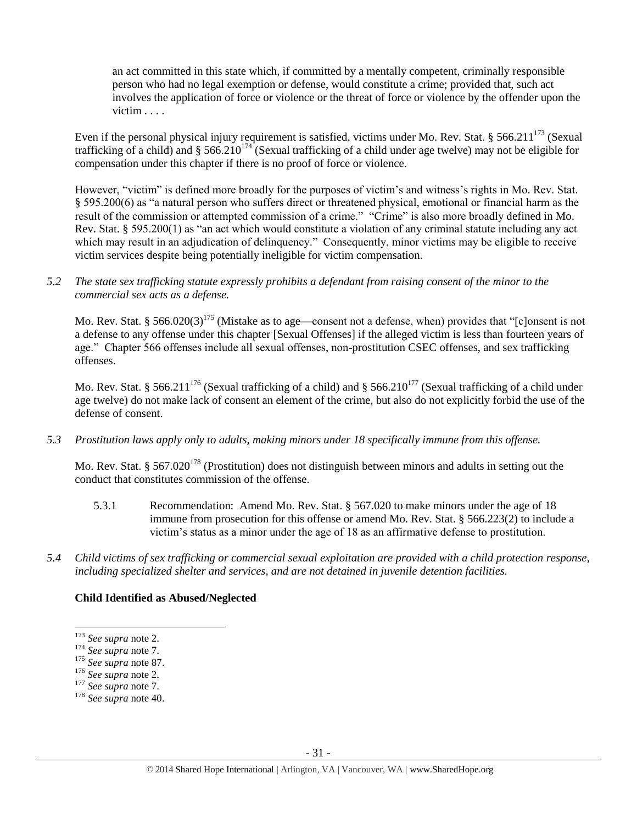an act committed in this state which, if committed by a mentally competent, criminally responsible person who had no legal exemption or defense, would constitute a crime; provided that, such act involves the application of force or violence or the threat of force or violence by the offender upon the victim . . . .

Even if the personal physical injury requirement is satisfied, victims under Mo. Rev. Stat. § 566.211 $^{173}$  (Sexual trafficking of a child) and § 566.210<sup>174</sup> (Sexual trafficking of a child under age twelve) may not be eligible for compensation under this chapter if there is no proof of force or violence.

However, "victim" is defined more broadly for the purposes of victim's and witness's rights in Mo. Rev. Stat. § 595.200(6) as "a natural person who suffers direct or threatened physical, emotional or financial harm as the result of the commission or attempted commission of a crime." "Crime" is also more broadly defined in Mo. Rev. Stat. § 595.200(1) as "an act which would constitute a violation of any criminal statute including any act which may result in an adjudication of delinquency." Consequently, minor victims may be eligible to receive victim services despite being potentially ineligible for victim compensation.

*5.2 The state sex trafficking statute expressly prohibits a defendant from raising consent of the minor to the commercial sex acts as a defense.*

Mo. Rev. Stat. § 566.020(3)<sup>175</sup> (Mistake as to age—consent not a defense, when) provides that "[c]onsent is not a defense to any offense under this chapter [Sexual Offenses] if the alleged victim is less than fourteen years of age." Chapter 566 offenses include all sexual offenses, non-prostitution CSEC offenses, and sex trafficking offenses.

Mo. Rev. Stat. § 566.211<sup>176</sup> (Sexual trafficking of a child) and § 566.210<sup>177</sup> (Sexual trafficking of a child under age twelve) do not make lack of consent an element of the crime, but also do not explicitly forbid the use of the defense of consent.

*5.3 Prostitution laws apply only to adults, making minors under 18 specifically immune from this offense.*

Mo. Rev. Stat. § 567.020<sup>178</sup> (Prostitution) does not distinguish between minors and adults in setting out the conduct that constitutes commission of the offense.

- 5.3.1 Recommendation: Amend Mo. Rev. Stat. § 567.020 to make minors under the age of 18 immune from prosecution for this offense or amend Mo. Rev. Stat. § 566.223(2) to include a victim's status as a minor under the age of 18 as an affirmative defense to prostitution.
- *5.4 Child victims of sex trafficking or commercial sexual exploitation are provided with a child protection response, including specialized shelter and services, and are not detained in juvenile detention facilities.*

# **Child Identified as Abused/Neglected**

<sup>173</sup> *See supra* not[e 2.](#page-0-0)

<sup>174</sup> *See supra* not[e 7.](#page-1-1)

<sup>175</sup> *See supra* not[e 87.](#page-13-0)

<sup>176</sup> *See supra* not[e 2.](#page-0-0)

<sup>177</sup> *See supra* not[e 7.](#page-1-1)

<sup>178</sup> *See supra* not[e 40.](#page-7-1)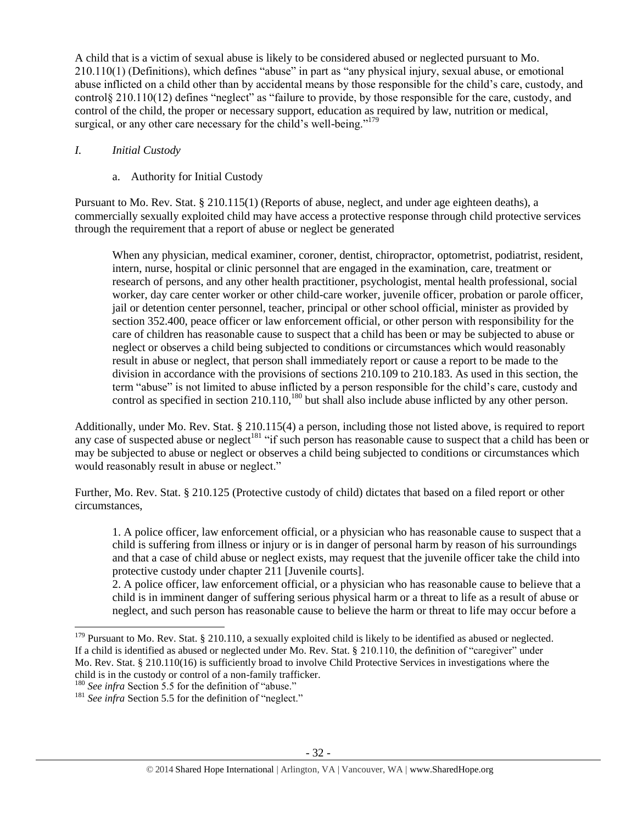A child that is a victim of sexual abuse is likely to be considered abused or neglected pursuant to Mo. 210.110(1) (Definitions), which defines "abuse" in part as "any physical injury, sexual abuse, or emotional abuse inflicted on a child other than by accidental means by those responsible for the child's care, custody, and control§ 210.110(12) defines "neglect" as "failure to provide, by those responsible for the care, custody, and control of the child, the proper or necessary support, education as required by law, nutrition or medical, surgical, or any other care necessary for the child's well-being."<sup>179</sup>

## *I. Initial Custody*

# a. Authority for Initial Custody

Pursuant to Mo. Rev. Stat. § 210.115(1) (Reports of abuse, neglect, and under age eighteen deaths), a commercially sexually exploited child may have access a protective response through child protective services through the requirement that a report of abuse or neglect be generated

When any physician, medical examiner, coroner, dentist, chiropractor, optometrist, podiatrist, resident, intern, nurse, hospital or clinic personnel that are engaged in the examination, care, treatment or research of persons, and any other health practitioner, psychologist, mental health professional, social worker, day care center worker or other child-care worker, juvenile officer, probation or parole officer, jail or detention center personnel, teacher, principal or other school official, minister as provided by section 352.400, peace officer or law enforcement official, or other person with responsibility for the care of children has reasonable cause to suspect that a child has been or may be subjected to abuse or neglect or observes a child being subjected to conditions or circumstances which would reasonably result in abuse or neglect, that person shall immediately report or cause a report to be made to the division in accordance with the provisions of sections 210.109 to 210.183. As used in this section, the term "abuse" is not limited to abuse inflicted by a person responsible for the child's care, custody and control as specified in section 210.110,<sup>180</sup> but shall also include abuse inflicted by any other person.

Additionally, under Mo. Rev. Stat. § 210.115(4) a person, including those not listed above, is required to report any case of suspected abuse or neglect<sup>181</sup> "if such person has reasonable cause to suspect that a child has been or may be subjected to abuse or neglect or observes a child being subjected to conditions or circumstances which would reasonably result in abuse or neglect."

Further, Mo. Rev. Stat. § 210.125 (Protective custody of child) dictates that based on a filed report or other circumstances,

1. A police officer, law enforcement official, or a physician who has reasonable cause to suspect that a child is suffering from illness or injury or is in danger of personal harm by reason of his surroundings and that a case of child abuse or neglect exists, may request that the juvenile officer take the child into protective custody under chapter 211 [Juvenile courts].

2. A police officer, law enforcement official, or a physician who has reasonable cause to believe that a child is in imminent danger of suffering serious physical harm or a threat to life as a result of abuse or neglect, and such person has reasonable cause to believe the harm or threat to life may occur before a

 $\overline{\phantom{a}}$  $179$  Pursuant to Mo. Rev. Stat. § 210.110, a sexually exploited child is likely to be identified as abused or neglected. If a child is identified as abused or neglected under Mo. Rev. Stat. § 210.110, the definition of "caregiver" under Mo. Rev. Stat. § 210.110(16) is sufficiently broad to involve Child Protective Services in investigations where the child is in the custody or control of a non-family trafficker.

<sup>&</sup>lt;sup>180</sup> See infra Section 5.5 for the definition of "abuse."

<sup>&</sup>lt;sup>181</sup> See infra Section 5.5 for the definition of "neglect."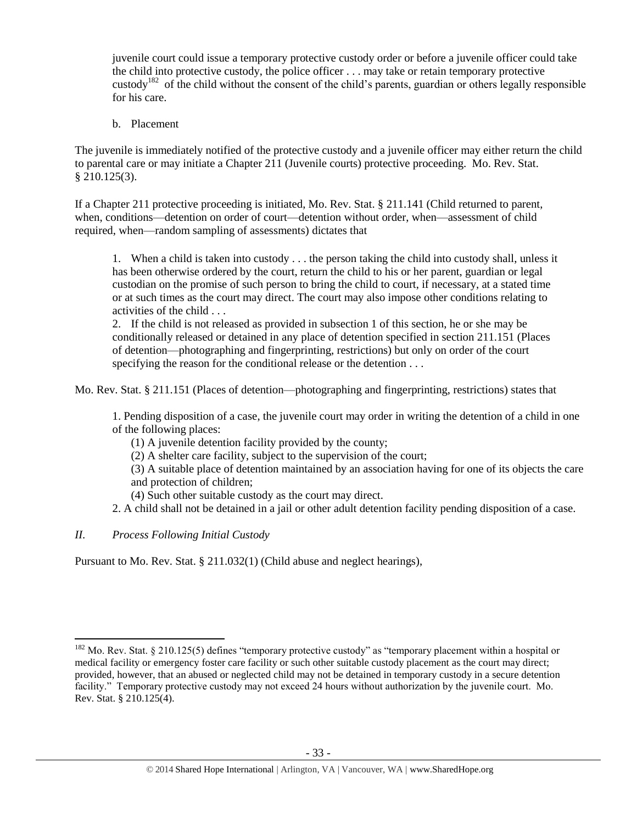juvenile court could issue a temporary protective custody order or before a juvenile officer could take the child into protective custody, the police officer . . . may take or retain temporary protective custody<sup>182</sup> of the child without the consent of the child's parents, guardian or others legally responsible for his care.

## b. Placement

The juvenile is immediately notified of the protective custody and a juvenile officer may either return the child to parental care or may initiate a Chapter 211 (Juvenile courts) protective proceeding. Mo. Rev. Stat. § 210.125(3).

If a Chapter 211 protective proceeding is initiated, Mo. Rev. Stat. § 211.141 (Child returned to parent, when, conditions—detention on order of court—detention without order, when—assessment of child required, when—random sampling of assessments) dictates that

1. When a child is taken into custody . . . the person taking the child into custody shall, unless it has been otherwise ordered by the court, return the child to his or her parent, guardian or legal custodian on the promise of such person to bring the child to court, if necessary, at a stated time or at such times as the court may direct. The court may also impose other conditions relating to activities of the child . . .

2. If the child is not released as provided in subsection 1 of this section, he or she may be conditionally released or detained in any place of detention specified in section 211.151 (Places of detention—photographing and fingerprinting, restrictions) but only on order of the court specifying the reason for the conditional release or the detention . . .

Mo. Rev. Stat. § 211.151 (Places of detention—photographing and fingerprinting, restrictions) states that

1. Pending disposition of a case, the juvenile court may order in writing the detention of a child in one of the following places:

(1) A juvenile detention facility provided by the county;

(2) A shelter care facility, subject to the supervision of the court;

(3) A suitable place of detention maintained by an association having for one of its objects the care and protection of children;

(4) Such other suitable custody as the court may direct.

2. A child shall not be detained in a jail or other adult detention facility pending disposition of a case.

*II. Process Following Initial Custody*

 $\overline{\phantom{a}}$ 

Pursuant to Mo. Rev. Stat. § 211.032(1) (Child abuse and neglect hearings),

 $182$  Mo. Rev. Stat. § 210.125(5) defines "temporary protective custody" as "temporary placement within a hospital or medical facility or emergency foster care facility or such other suitable custody placement as the court may direct; provided, however, that an abused or neglected child may not be detained in temporary custody in a secure detention facility." Temporary protective custody may not exceed 24 hours without authorization by the juvenile court. Mo. Rev. Stat. § 210.125(4).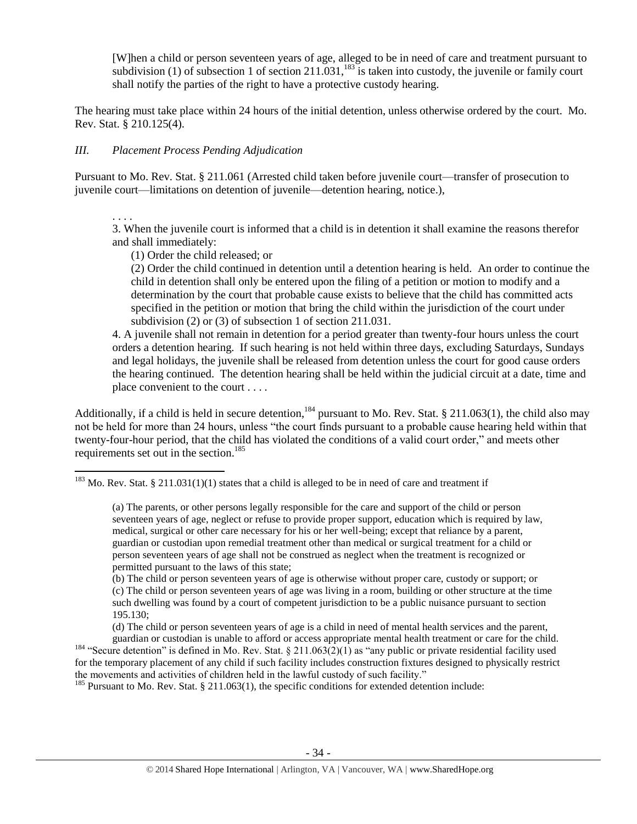[W]hen a child or person seventeen years of age, alleged to be in need of care and treatment pursuant to subdivision (1) of subsection 1 of section 211.031,<sup>183</sup> is taken into custody, the juvenile or family court shall notify the parties of the right to have a protective custody hearing.

The hearing must take place within 24 hours of the initial detention, unless otherwise ordered by the court. Mo. Rev. Stat. § 210.125(4).

#### *III. Placement Process Pending Adjudication*

Pursuant to Mo. Rev. Stat. § 211.061 (Arrested child taken before juvenile court—transfer of prosecution to juvenile court—limitations on detention of juvenile—detention hearing, notice.),

. . . .

 $\overline{\phantom{a}}$ 

3. When the juvenile court is informed that a child is in detention it shall examine the reasons therefor and shall immediately:

(1) Order the child released; or

(2) Order the child continued in detention until a detention hearing is held. An order to continue the child in detention shall only be entered upon the filing of a petition or motion to modify and a determination by the court that probable cause exists to believe that the child has committed acts specified in the petition or motion that bring the child within the jurisdiction of the court under subdivision (2) or (3) of subsection 1 of section 211.031.

<span id="page-33-0"></span>4. A juvenile shall not remain in detention for a period greater than twenty-four hours unless the court orders a detention hearing. If such hearing is not held within three days, excluding Saturdays, Sundays and legal holidays, the juvenile shall be released from detention unless the court for good cause orders the hearing continued. The detention hearing shall be held within the judicial circuit at a date, time and place convenient to the court . . . .

Additionally, if a child is held in secure detention,  $184$  pursuant to Mo. Rev. Stat. § 211.063(1), the child also may not be held for more than 24 hours, unless "the court finds pursuant to a probable cause hearing held within that twenty-four-hour period, that the child has violated the conditions of a valid court order," and meets other requirements set out in the section.<sup>185</sup>

(d) The child or person seventeen years of age is a child in need of mental health services and the parent,

<sup>185</sup> Pursuant to Mo. Rev. Stat. § 211.063(1), the specific conditions for extended detention include:

 $183$  Mo. Rev. Stat. § 211.031(1)(1) states that a child is alleged to be in need of care and treatment if

<sup>(</sup>a) The parents, or other persons legally responsible for the care and support of the child or person seventeen years of age, neglect or refuse to provide proper support, education which is required by law, medical, surgical or other care necessary for his or her well-being; except that reliance by a parent, guardian or custodian upon remedial treatment other than medical or surgical treatment for a child or person seventeen years of age shall not be construed as neglect when the treatment is recognized or permitted pursuant to the laws of this state;

<sup>(</sup>b) The child or person seventeen years of age is otherwise without proper care, custody or support; or (c) The child or person seventeen years of age was living in a room, building or other structure at the time such dwelling was found by a court of competent jurisdiction to be a public nuisance pursuant to section 195.130;

guardian or custodian is unable to afford or access appropriate mental health treatment or care for the child. <sup>184</sup> "Secure detention" is defined in Mo. Rev. Stat. § 211.063(2)(1) as "any public or private residential facility used for the temporary placement of any child if such facility includes construction fixtures designed to physically restrict the movements and activities of children held in the lawful custody of such facility."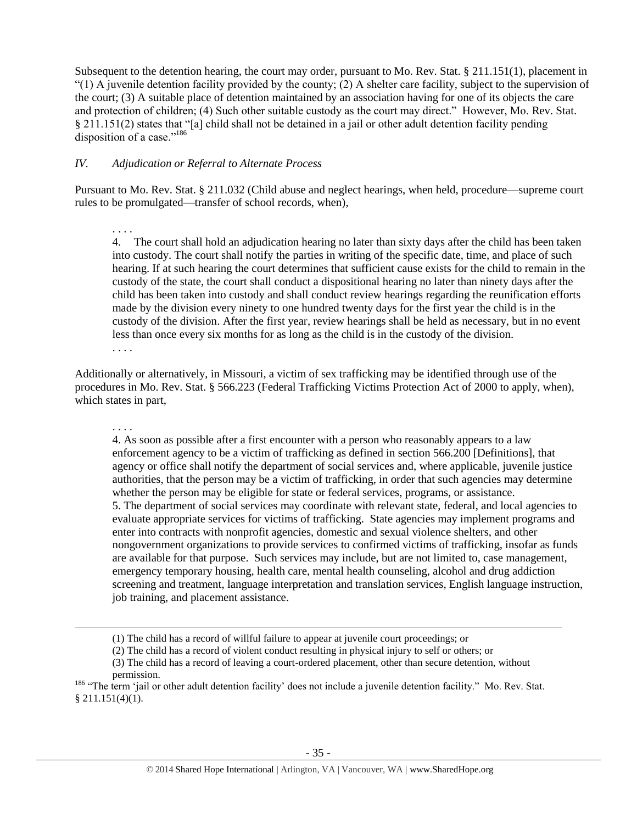Subsequent to the detention hearing, the court may order, pursuant to Mo. Rev. Stat. § 211.151(1), placement in  $(1)$  A juvenile detention facility provided by the county; (2) A shelter care facility, subject to the supervision of the court; (3) A suitable place of detention maintained by an association having for one of its objects the care and protection of children; (4) Such other suitable custody as the court may direct." However, Mo. Rev. Stat. § 211.151(2) states that "[a] child shall not be detained in a jail or other adult detention facility pending disposition of a case."<sup>186</sup>

## <span id="page-34-0"></span>*IV. Adjudication or Referral to Alternate Process*

Pursuant to Mo. Rev. Stat. § 211.032 (Child abuse and neglect hearings, when held, procedure—supreme court rules to be promulgated—transfer of school records, when),

. . . . 4. The court shall hold an adjudication hearing no later than sixty days after the child has been taken into custody. The court shall notify the parties in writing of the specific date, time, and place of such hearing. If at such hearing the court determines that sufficient cause exists for the child to remain in the custody of the state, the court shall conduct a dispositional hearing no later than ninety days after the child has been taken into custody and shall conduct review hearings regarding the reunification efforts made by the division every ninety to one hundred twenty days for the first year the child is in the custody of the division. After the first year, review hearings shall be held as necessary, but in no event less than once every six months for as long as the child is in the custody of the division. . . . .

Additionally or alternatively, in Missouri, a victim of sex trafficking may be identified through use of the procedures in Mo. Rev. Stat. § 566.223 (Federal Trafficking Victims Protection Act of 2000 to apply, when), which states in part,

4. As soon as possible after a first encounter with a person who reasonably appears to a law enforcement agency to be a victim of trafficking as defined in section 566.200 [Definitions], that agency or office shall notify the department of social services and, where applicable, juvenile justice authorities, that the person may be a victim of trafficking, in order that such agencies may determine whether the person may be eligible for state or federal services, programs, or assistance.

. . . .

 $\overline{\phantom{a}}$ 

5. The department of social services may coordinate with relevant state, federal, and local agencies to evaluate appropriate services for victims of trafficking. State agencies may implement programs and enter into contracts with nonprofit agencies, domestic and sexual violence shelters, and other nongovernment organizations to provide services to confirmed victims of trafficking, insofar as funds are available for that purpose. Such services may include, but are not limited to, case management, emergency temporary housing, health care, mental health counseling, alcohol and drug addiction screening and treatment, language interpretation and translation services, English language instruction, job training, and placement assistance.

<sup>(1)</sup> The child has a record of willful failure to appear at juvenile court proceedings; or

<sup>(2)</sup> The child has a record of violent conduct resulting in physical injury to self or others; or

<sup>(3)</sup> The child has a record of leaving a court-ordered placement, other than secure detention, without permission.

<sup>&</sup>lt;sup>186</sup> "The term 'jail or other adult detention facility' does not include a juvenile detention facility." Mo. Rev. Stat.  $$211.151(4)(1).$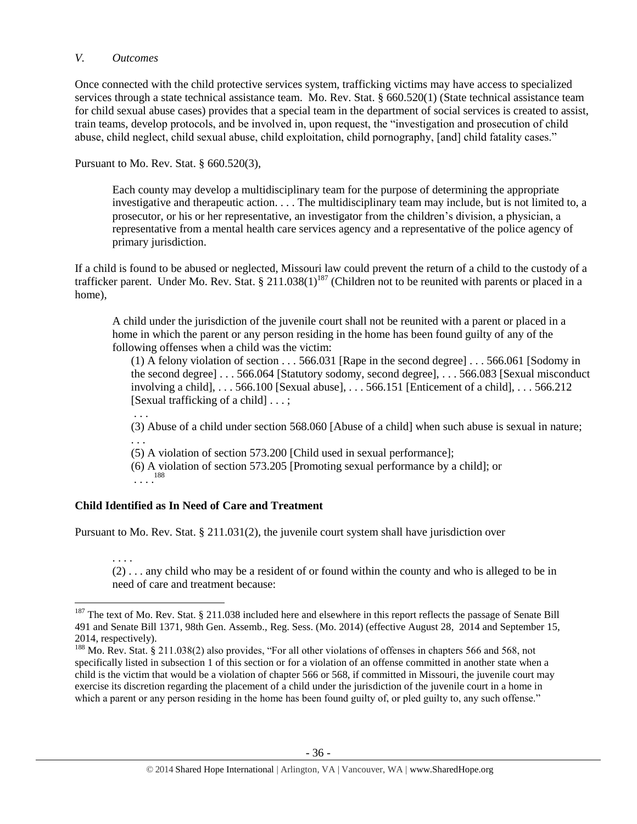#### *V. Outcomes*

Once connected with the child protective services system, trafficking victims may have access to specialized services through a state technical assistance team. Mo. Rev. Stat. § 660.520(1) (State technical assistance team for child sexual abuse cases) provides that a special team in the department of social services is created to assist, train teams, develop protocols, and be involved in, upon request, the "investigation and prosecution of child abuse, child neglect, child sexual abuse, child exploitation, child pornography, [and] child fatality cases."

Pursuant to Mo. Rev. Stat. § 660.520(3),

Each county may develop a multidisciplinary team for the purpose of determining the appropriate investigative and therapeutic action. . . . The multidisciplinary team may include, but is not limited to, a prosecutor, or his or her representative, an investigator from the children's division, a physician, a representative from a mental health care services agency and a representative of the police agency of primary jurisdiction.

If a child is found to be abused or neglected, Missouri law could prevent the return of a child to the custody of a trafficker parent. Under Mo. Rev. Stat. § 211.038(1)<sup>187</sup> (Children not to be reunited with parents or placed in a home),

A child under the jurisdiction of the juvenile court shall not be reunited with a parent or placed in a home in which the parent or any person residing in the home has been found guilty of any of the following offenses when a child was the victim:

<span id="page-35-0"></span>(1) A felony violation of section . . . 566.031 [Rape in the second degree] . . . 566.061 [Sodomy in the second degree] . . . 566.064 [Statutory sodomy, second degree], . . . 566.083 [Sexual misconduct involving a child], . . . 566.100 [Sexual abuse], . . . 566.151 [Enticement of a child], . . . 566.212 [Sexual trafficking of a child] . . . ;

. . . (3) Abuse of a child under section 568.060 [Abuse of a child] when such abuse is sexual in nature; . . .

(5) A violation of section 573.200 [Child used in sexual performance];

(6) A violation of section 573.205 [Promoting sexual performance by a child]; or . . . . 188

# **Child Identified as In Need of Care and Treatment**

Pursuant to Mo. Rev. Stat. § 211.031(2), the juvenile court system shall have jurisdiction over

. . . . (2) . . . any child who may be a resident of or found within the county and who is alleged to be in need of care and treatment because:

 $\overline{a}$  $187$  The text of Mo. Rev. Stat. § 211.038 included here and elsewhere in this report reflects the passage of Senate Bill 491 and Senate Bill 1371, 98th Gen. Assemb., Reg. Sess. (Mo. 2014) (effective August 28, 2014 and September 15, 2014, respectively).

<sup>188</sup> Mo. Rev. Stat. § 211.038(2) also provides, "For all other violations of offenses in chapters 566 and 568, not specifically listed in subsection 1 of this section or for a violation of an offense committed in another state when a child is the victim that would be a violation of chapter 566 or 568, if committed in Missouri, the juvenile court may exercise its discretion regarding the placement of a child under the jurisdiction of the juvenile court in a home in which a parent or any person residing in the home has been found guilty of, or pled guilty to, any such offense."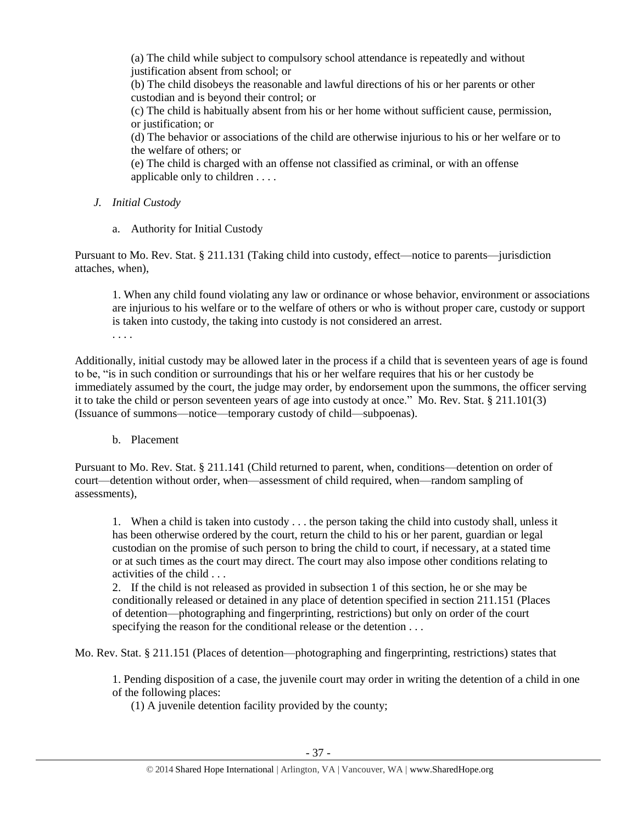(a) The child while subject to compulsory school attendance is repeatedly and without justification absent from school; or (b) The child disobeys the reasonable and lawful directions of his or her parents or other custodian and is beyond their control; or (c) The child is habitually absent from his or her home without sufficient cause, permission, or justification; or (d) The behavior or associations of the child are otherwise injurious to his or her welfare or to the welfare of others; or

(e) The child is charged with an offense not classified as criminal, or with an offense applicable only to children . . . .

# *J. Initial Custody*

a. Authority for Initial Custody

Pursuant to Mo. Rev. Stat. § 211.131 (Taking child into custody, effect—notice to parents—jurisdiction attaches, when),

1. When any child found violating any law or ordinance or whose behavior, environment or associations are injurious to his welfare or to the welfare of others or who is without proper care, custody or support is taken into custody, the taking into custody is not considered an arrest. . . . .

Additionally, initial custody may be allowed later in the process if a child that is seventeen years of age is found to be, "is in such condition or surroundings that his or her welfare requires that his or her custody be immediately assumed by the court, the judge may order, by endorsement upon the summons, the officer serving it to take the child or person seventeen years of age into custody at once." Mo. Rev. Stat. § 211.101(3) (Issuance of summons—notice—temporary custody of child—subpoenas).

# b. Placement

Pursuant to Mo. Rev. Stat. § 211.141 (Child returned to parent, when, conditions—detention on order of court—detention without order, when—assessment of child required, when—random sampling of assessments),

1. When a child is taken into custody . . . the person taking the child into custody shall, unless it has been otherwise ordered by the court, return the child to his or her parent, guardian or legal custodian on the promise of such person to bring the child to court, if necessary, at a stated time or at such times as the court may direct. The court may also impose other conditions relating to activities of the child . . .

2. If the child is not released as provided in subsection 1 of this section, he or she may be conditionally released or detained in any place of detention specified in section 211.151 (Places of detention—photographing and fingerprinting, restrictions) but only on order of the court specifying the reason for the conditional release or the detention . . .

Mo. Rev. Stat. § 211.151 (Places of detention—photographing and fingerprinting, restrictions) states that

1. Pending disposition of a case, the juvenile court may order in writing the detention of a child in one of the following places:

(1) A juvenile detention facility provided by the county;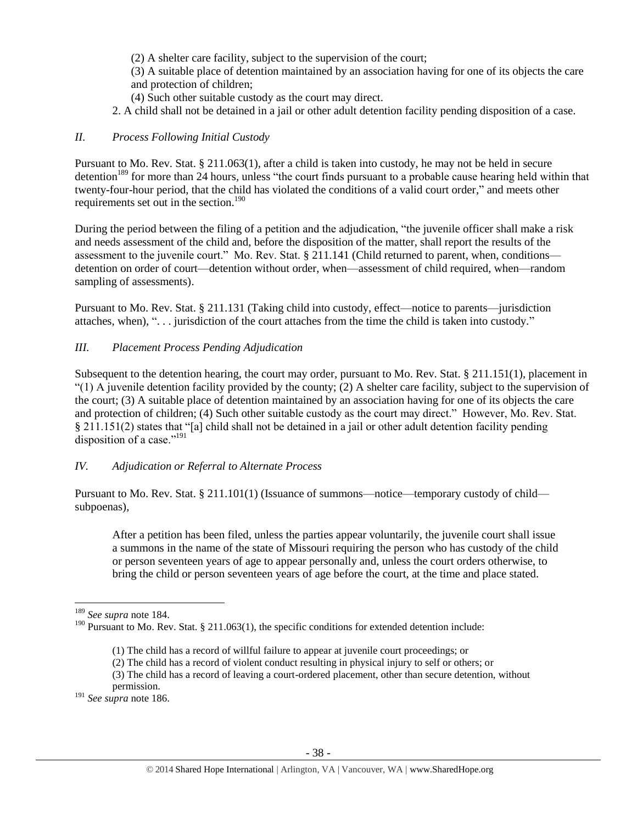(2) A shelter care facility, subject to the supervision of the court;

(3) A suitable place of detention maintained by an association having for one of its objects the care and protection of children;

- (4) Such other suitable custody as the court may direct.
- 2. A child shall not be detained in a jail or other adult detention facility pending disposition of a case.

## *II. Process Following Initial Custody*

Pursuant to Mo. Rev. Stat. § 211.063(1), after a child is taken into custody, he may not be held in secure detention<sup>189</sup> for more than 24 hours, unless "the court finds pursuant to a probable cause hearing held within that twenty-four-hour period, that the child has violated the conditions of a valid court order," and meets other requirements set out in the section.<sup>190</sup>

During the period between the filing of a petition and the adjudication, "the juvenile officer shall make a risk and needs assessment of the child and, before the disposition of the matter, shall report the results of the assessment to the juvenile court." Mo. Rev. Stat. § 211.141 (Child returned to parent, when, conditions detention on order of court—detention without order, when—assessment of child required, when—random sampling of assessments).

Pursuant to Mo. Rev. Stat. § 211.131 (Taking child into custody, effect—notice to parents—jurisdiction attaches, when), ". . . jurisdiction of the court attaches from the time the child is taken into custody."

## *III. Placement Process Pending Adjudication*

Subsequent to the detention hearing, the court may order, pursuant to Mo. Rev. Stat. § 211.151(1), placement in  $(1)$  A juvenile detention facility provided by the county; (2) A shelter care facility, subject to the supervision of the court; (3) A suitable place of detention maintained by an association having for one of its objects the care and protection of children; (4) Such other suitable custody as the court may direct." However, Mo. Rev. Stat. § 211.151(2) states that "[a] child shall not be detained in a jail or other adult detention facility pending disposition of a case."<sup>191</sup>

# *IV. Adjudication or Referral to Alternate Process*

Pursuant to Mo. Rev. Stat. § 211.101(1) (Issuance of summons—notice—temporary custody of child subpoenas),

After a petition has been filed, unless the parties appear voluntarily, the juvenile court shall issue a summons in the name of the state of Missouri requiring the person who has custody of the child or person seventeen years of age to appear personally and, unless the court orders otherwise, to bring the child or person seventeen years of age before the court, at the time and place stated.

<sup>191</sup> *See supra* not[e 186.](#page-34-0)

 $\overline{a}$ <sup>189</sup> *See supra* not[e 184.](#page-33-0)

<sup>&</sup>lt;sup>190</sup> Pursuant to Mo. Rev. Stat. § 211.063(1), the specific conditions for extended detention include:

<sup>(1)</sup> The child has a record of willful failure to appear at juvenile court proceedings; or

<sup>(2)</sup> The child has a record of violent conduct resulting in physical injury to self or others; or

<sup>(3)</sup> The child has a record of leaving a court-ordered placement, other than secure detention, without permission.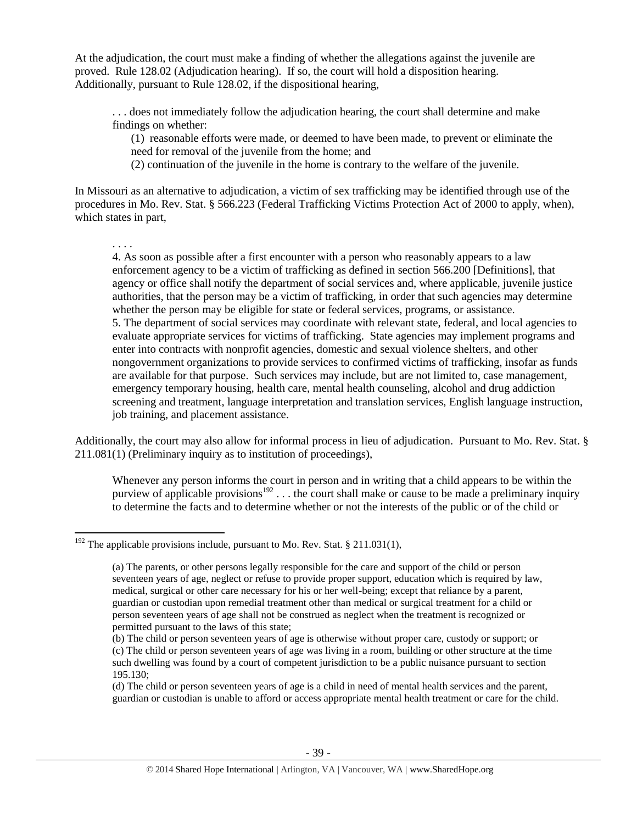At the adjudication, the court must make a finding of whether the allegations against the juvenile are proved. Rule 128.02 (Adjudication hearing). If so, the court will hold a disposition hearing. Additionally, pursuant to Rule 128.02, if the dispositional hearing,

. . . does not immediately follow the adjudication hearing, the court shall determine and make findings on whether:

(1) reasonable efforts were made, or deemed to have been made, to prevent or eliminate the need for removal of the juvenile from the home; and

(2) continuation of the juvenile in the home is contrary to the welfare of the juvenile.

In Missouri as an alternative to adjudication, a victim of sex trafficking may be identified through use of the procedures in Mo. Rev. Stat. § 566.223 (Federal Trafficking Victims Protection Act of 2000 to apply, when), which states in part,

. . . .

4. As soon as possible after a first encounter with a person who reasonably appears to a law enforcement agency to be a victim of trafficking as defined in section 566.200 [Definitions], that agency or office shall notify the department of social services and, where applicable, juvenile justice authorities, that the person may be a victim of trafficking, in order that such agencies may determine whether the person may be eligible for state or federal services, programs, or assistance. 5. The department of social services may coordinate with relevant state, federal, and local agencies to evaluate appropriate services for victims of trafficking. State agencies may implement programs and enter into contracts with nonprofit agencies, domestic and sexual violence shelters, and other nongovernment organizations to provide services to confirmed victims of trafficking, insofar as funds are available for that purpose. Such services may include, but are not limited to, case management, emergency temporary housing, health care, mental health counseling, alcohol and drug addiction screening and treatment, language interpretation and translation services, English language instruction, job training, and placement assistance.

Additionally, the court may also allow for informal process in lieu of adjudication. Pursuant to Mo. Rev. Stat. § 211.081(1) (Preliminary inquiry as to institution of proceedings),

Whenever any person informs the court in person and in writing that a child appears to be within the purview of applicable provisions<sup>192</sup> . . . the court shall make or cause to be made a preliminary inquiry to determine the facts and to determine whether or not the interests of the public or of the child or

l <sup>192</sup> The applicable provisions include, pursuant to Mo. Rev. Stat. § 211.031(1),

<sup>(</sup>a) The parents, or other persons legally responsible for the care and support of the child or person seventeen years of age, neglect or refuse to provide proper support, education which is required by law, medical, surgical or other care necessary for his or her well-being; except that reliance by a parent, guardian or custodian upon remedial treatment other than medical or surgical treatment for a child or person seventeen years of age shall not be construed as neglect when the treatment is recognized or permitted pursuant to the laws of this state;

<sup>(</sup>b) The child or person seventeen years of age is otherwise without proper care, custody or support; or (c) The child or person seventeen years of age was living in a room, building or other structure at the time such dwelling was found by a court of competent jurisdiction to be a public nuisance pursuant to section 195.130;

<sup>(</sup>d) The child or person seventeen years of age is a child in need of mental health services and the parent, guardian or custodian is unable to afford or access appropriate mental health treatment or care for the child.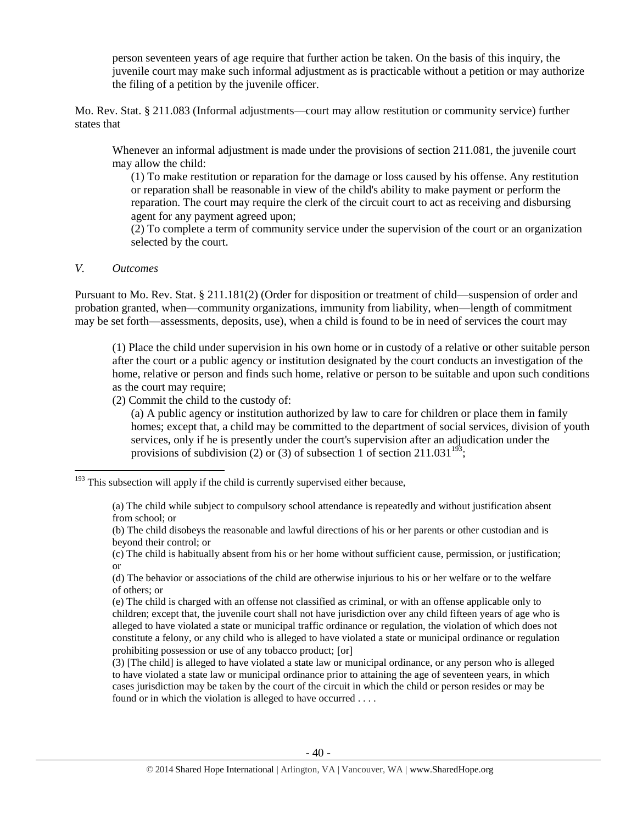person seventeen years of age require that further action be taken. On the basis of this inquiry, the juvenile court may make such informal adjustment as is practicable without a petition or may authorize the filing of a petition by the juvenile officer.

Mo. Rev. Stat. § 211.083 (Informal adjustments—court may allow restitution or community service) further states that

Whenever an informal adjustment is made under the provisions of section 211.081, the juvenile court may allow the child:

(1) To make restitution or reparation for the damage or loss caused by his offense. Any restitution or reparation shall be reasonable in view of the child's ability to make payment or perform the reparation. The court may require the clerk of the circuit court to act as receiving and disbursing agent for any payment agreed upon;

(2) To complete a term of community service under the supervision of the court or an organization selected by the court.

#### *V. Outcomes*

Pursuant to Mo. Rev. Stat. § 211.181(2) (Order for disposition or treatment of child—suspension of order and probation granted, when—community organizations, immunity from liability, when—length of commitment may be set forth—assessments, deposits, use), when a child is found to be in need of services the court may

(1) Place the child under supervision in his own home or in custody of a relative or other suitable person after the court or a public agency or institution designated by the court conducts an investigation of the home, relative or person and finds such home, relative or person to be suitable and upon such conditions as the court may require;

(2) Commit the child to the custody of:

(a) A public agency or institution authorized by law to care for children or place them in family homes; except that, a child may be committed to the department of social services, division of youth services, only if he is presently under the court's supervision after an adjudication under the provisions of subdivision (2) or (3) of subsection 1 of section 211.031<sup>193</sup>;

 $\overline{a}$  $193$  This subsection will apply if the child is currently supervised either because,

<sup>(</sup>a) The child while subject to compulsory school attendance is repeatedly and without justification absent from school; or

<sup>(</sup>b) The child disobeys the reasonable and lawful directions of his or her parents or other custodian and is beyond their control; or

<sup>(</sup>c) The child is habitually absent from his or her home without sufficient cause, permission, or justification; or

<sup>(</sup>d) The behavior or associations of the child are otherwise injurious to his or her welfare or to the welfare of others; or

<sup>(</sup>e) The child is charged with an offense not classified as criminal, or with an offense applicable only to children; except that, the juvenile court shall not have jurisdiction over any child fifteen years of age who is alleged to have violated a state or municipal traffic ordinance or regulation, the violation of which does not constitute a felony, or any child who is alleged to have violated a state or municipal ordinance or regulation prohibiting possession or use of any tobacco product; [or]

<sup>(3) [</sup>The child] is alleged to have violated a state law or municipal ordinance, or any person who is alleged to have violated a state law or municipal ordinance prior to attaining the age of seventeen years, in which cases jurisdiction may be taken by the court of the circuit in which the child or person resides or may be found or in which the violation is alleged to have occurred . . . .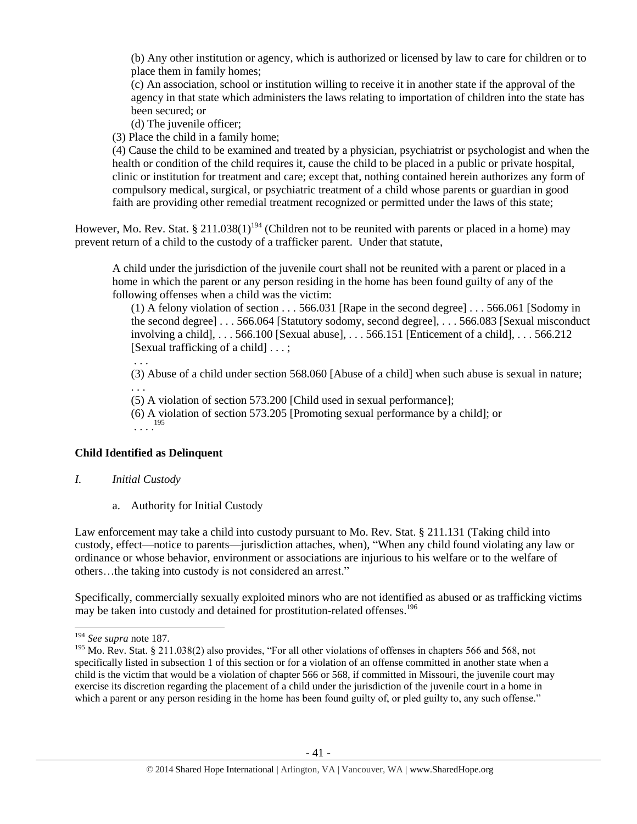(b) Any other institution or agency, which is authorized or licensed by law to care for children or to place them in family homes;

(c) An association, school or institution willing to receive it in another state if the approval of the agency in that state which administers the laws relating to importation of children into the state has been secured; or

(d) The juvenile officer;

(3) Place the child in a family home;

(4) Cause the child to be examined and treated by a physician, psychiatrist or psychologist and when the health or condition of the child requires it, cause the child to be placed in a public or private hospital, clinic or institution for treatment and care; except that, nothing contained herein authorizes any form of compulsory medical, surgical, or psychiatric treatment of a child whose parents or guardian in good faith are providing other remedial treatment recognized or permitted under the laws of this state;

However, Mo. Rev. Stat. § 211.038(1)<sup>194</sup> (Children not to be reunited with parents or placed in a home) may prevent return of a child to the custody of a trafficker parent. Under that statute,

A child under the jurisdiction of the juvenile court shall not be reunited with a parent or placed in a home in which the parent or any person residing in the home has been found guilty of any of the following offenses when a child was the victim:

(1) A felony violation of section . . . 566.031 [Rape in the second degree] . . . 566.061 [Sodomy in the second degree] . . . 566.064 [Statutory sodomy, second degree], . . . 566.083 [Sexual misconduct involving a child],  $\ldots$  566.100 [Sexual abuse],  $\ldots$  566.151 [Enticement of a child],  $\ldots$  566.212 [Sexual trafficking of a child] . . . ;

. . .

(3) Abuse of a child under section 568.060 [Abuse of a child] when such abuse is sexual in nature; . . .

(5) A violation of section 573.200 [Child used in sexual performance];

(6) A violation of section 573.205 [Promoting sexual performance by a child]; or  $\ldots$ <sup>195</sup>

## **Child Identified as Delinquent**

- *I. Initial Custody*
	- a. Authority for Initial Custody

Law enforcement may take a child into custody pursuant to Mo. Rev. Stat. § 211.131 (Taking child into custody, effect—notice to parents—jurisdiction attaches, when), "When any child found violating any law or ordinance or whose behavior, environment or associations are injurious to his welfare or to the welfare of others…the taking into custody is not considered an arrest."

Specifically, commercially sexually exploited minors who are not identified as abused or as trafficking victims may be taken into custody and detained for prostitution-related offenses.<sup>196</sup>

<sup>194</sup> *See supra* not[e 187.](#page-35-0)

<sup>&</sup>lt;sup>195</sup> Mo. Rev. Stat. § 211.038(2) also provides, "For all other violations of offenses in chapters 566 and 568, not specifically listed in subsection 1 of this section or for a violation of an offense committed in another state when a child is the victim that would be a violation of chapter 566 or 568, if committed in Missouri, the juvenile court may exercise its discretion regarding the placement of a child under the jurisdiction of the juvenile court in a home in which a parent or any person residing in the home has been found guilty of, or pled guilty to, any such offense."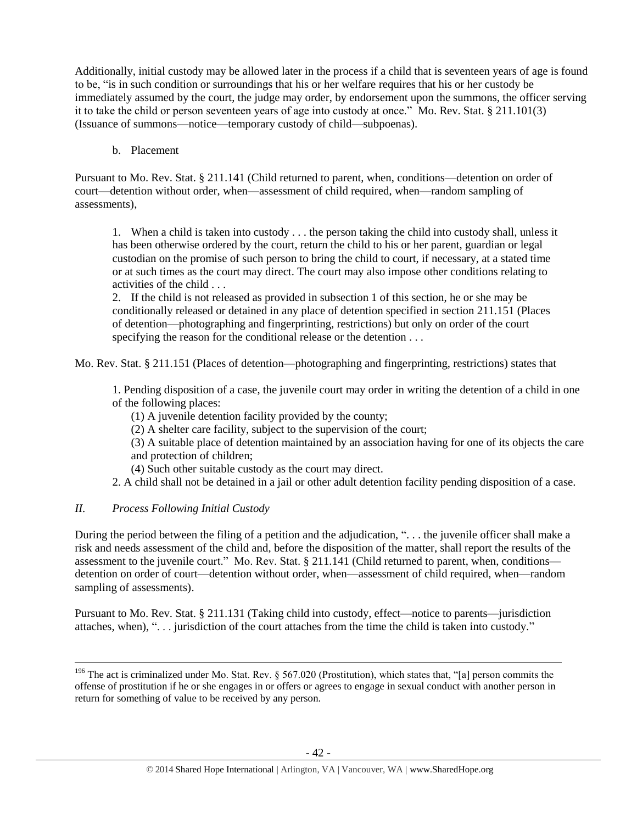Additionally, initial custody may be allowed later in the process if a child that is seventeen years of age is found to be, "is in such condition or surroundings that his or her welfare requires that his or her custody be immediately assumed by the court, the judge may order, by endorsement upon the summons, the officer serving it to take the child or person seventeen years of age into custody at once." Mo. Rev. Stat. § 211.101(3) (Issuance of summons—notice—temporary custody of child—subpoenas).

## b. Placement

Pursuant to Mo. Rev. Stat. § 211.141 (Child returned to parent, when, conditions—detention on order of court—detention without order, when—assessment of child required, when—random sampling of assessments),

1. When a child is taken into custody . . . the person taking the child into custody shall, unless it has been otherwise ordered by the court, return the child to his or her parent, guardian or legal custodian on the promise of such person to bring the child to court, if necessary, at a stated time or at such times as the court may direct. The court may also impose other conditions relating to activities of the child . . .

2. If the child is not released as provided in subsection 1 of this section, he or she may be conditionally released or detained in any place of detention specified in section 211.151 (Places of detention—photographing and fingerprinting, restrictions) but only on order of the court specifying the reason for the conditional release or the detention . . .

Mo. Rev. Stat. § 211.151 (Places of detention—photographing and fingerprinting, restrictions) states that

1. Pending disposition of a case, the juvenile court may order in writing the detention of a child in one of the following places:

(1) A juvenile detention facility provided by the county;

- (2) A shelter care facility, subject to the supervision of the court;
- (3) A suitable place of detention maintained by an association having for one of its objects the care and protection of children;
- (4) Such other suitable custody as the court may direct.
- 2. A child shall not be detained in a jail or other adult detention facility pending disposition of a case.

# *II. Process Following Initial Custody*

 $\overline{\phantom{a}}$ 

During the period between the filing of a petition and the adjudication, ". . . the juvenile officer shall make a risk and needs assessment of the child and, before the disposition of the matter, shall report the results of the assessment to the juvenile court." Mo. Rev. Stat. § 211.141 (Child returned to parent, when, conditions detention on order of court—detention without order, when—assessment of child required, when—random sampling of assessments).

Pursuant to Mo. Rev. Stat. § 211.131 (Taking child into custody, effect—notice to parents—jurisdiction attaches, when), ". . . jurisdiction of the court attaches from the time the child is taken into custody."

<sup>&</sup>lt;sup>196</sup> The act is criminalized under Mo. Stat. Rev. § 567.020 (Prostitution), which states that, "[a] person commits the offense of prostitution if he or she engages in or offers or agrees to engage in sexual conduct with another person in return for something of value to be received by any person.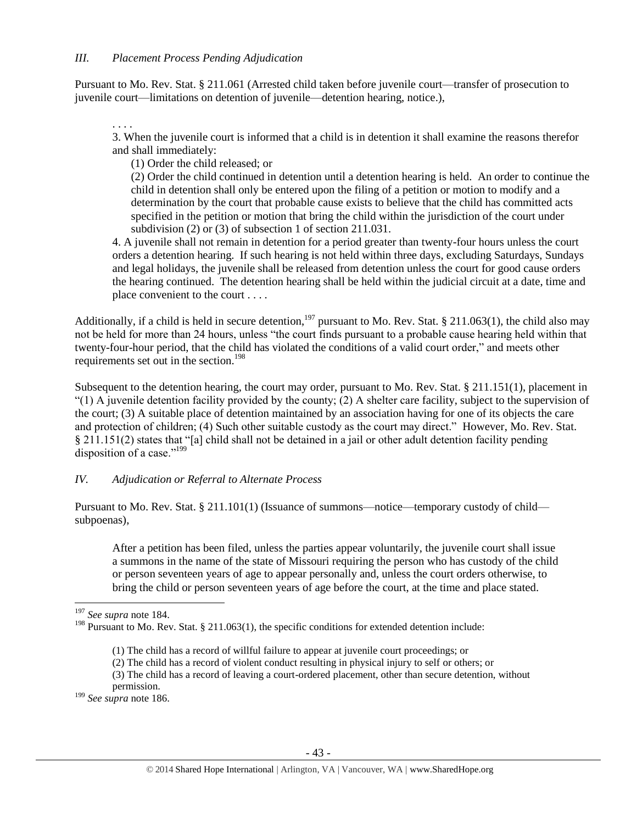Pursuant to Mo. Rev. Stat. § 211.061 (Arrested child taken before juvenile court—transfer of prosecution to juvenile court—limitations on detention of juvenile—detention hearing, notice.),

. . . . 3. When the juvenile court is informed that a child is in detention it shall examine the reasons therefor and shall immediately:

(1) Order the child released; or

(2) Order the child continued in detention until a detention hearing is held. An order to continue the child in detention shall only be entered upon the filing of a petition or motion to modify and a determination by the court that probable cause exists to believe that the child has committed acts specified in the petition or motion that bring the child within the jurisdiction of the court under subdivision (2) or (3) of subsection 1 of section 211.031.

4. A juvenile shall not remain in detention for a period greater than twenty-four hours unless the court orders a detention hearing. If such hearing is not held within three days, excluding Saturdays, Sundays and legal holidays, the juvenile shall be released from detention unless the court for good cause orders the hearing continued. The detention hearing shall be held within the judicial circuit at a date, time and place convenient to the court . . . .

Additionally, if a child is held in secure detention,<sup>197</sup> pursuant to Mo. Rev. Stat. § 211.063(1), the child also may not be held for more than 24 hours, unless "the court finds pursuant to a probable cause hearing held within that twenty-four-hour period, that the child has violated the conditions of a valid court order," and meets other requirements set out in the section.<sup>198</sup>

Subsequent to the detention hearing, the court may order, pursuant to Mo. Rev. Stat. § 211.151(1), placement in "(1) A juvenile detention facility provided by the county; (2) A shelter care facility, subject to the supervision of the court; (3) A suitable place of detention maintained by an association having for one of its objects the care and protection of children; (4) Such other suitable custody as the court may direct." However, Mo. Rev. Stat. § 211.151(2) states that "[a] child shall not be detained in a jail or other adult detention facility pending disposition of a case."<sup>199</sup>

# *IV. Adjudication or Referral to Alternate Process*

Pursuant to Mo. Rev. Stat. § 211.101(1) (Issuance of summons—notice—temporary custody of child subpoenas),

After a petition has been filed, unless the parties appear voluntarily, the juvenile court shall issue a summons in the name of the state of Missouri requiring the person who has custody of the child or person seventeen years of age to appear personally and, unless the court orders otherwise, to bring the child or person seventeen years of age before the court, at the time and place stated.

(3) The child has a record of leaving a court-ordered placement, other than secure detention, without permission.

<sup>199</sup> *See supra* not[e 186.](#page-34-0)

 $\overline{a}$ <sup>197</sup> *See supra* not[e 184.](#page-33-0)

<sup>&</sup>lt;sup>198</sup> Pursuant to Mo. Rev. Stat. § 211.063(1), the specific conditions for extended detention include:

<sup>(1)</sup> The child has a record of willful failure to appear at juvenile court proceedings; or

<sup>(2)</sup> The child has a record of violent conduct resulting in physical injury to self or others; or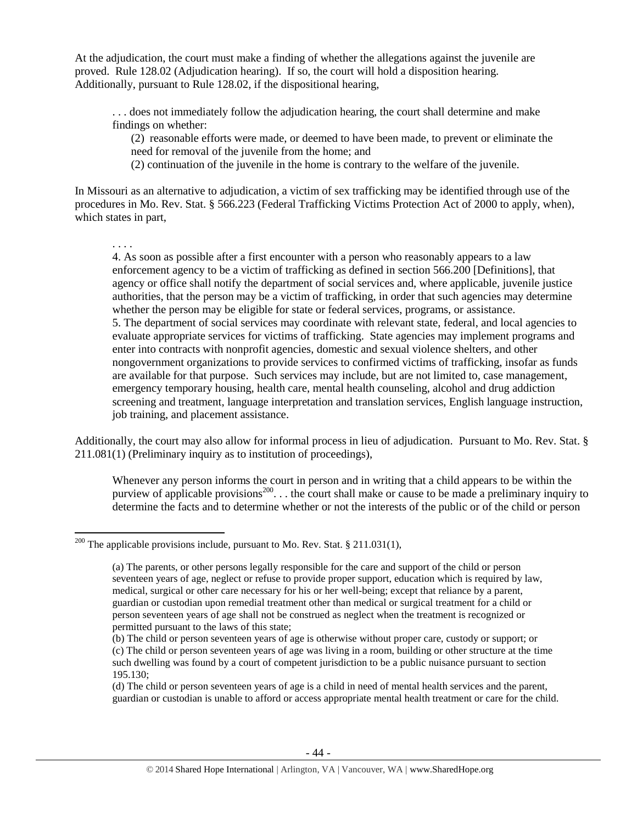At the adjudication, the court must make a finding of whether the allegations against the juvenile are proved. Rule 128.02 (Adjudication hearing). If so, the court will hold a disposition hearing. Additionally, pursuant to Rule 128.02, if the dispositional hearing,

. . . does not immediately follow the adjudication hearing, the court shall determine and make findings on whether:

(2) reasonable efforts were made, or deemed to have been made, to prevent or eliminate the need for removal of the juvenile from the home; and

(2) continuation of the juvenile in the home is contrary to the welfare of the juvenile.

In Missouri as an alternative to adjudication, a victim of sex trafficking may be identified through use of the procedures in Mo. Rev. Stat. § 566.223 (Federal Trafficking Victims Protection Act of 2000 to apply, when), which states in part,

. . . .

4. As soon as possible after a first encounter with a person who reasonably appears to a law enforcement agency to be a victim of trafficking as defined in section 566.200 [Definitions], that agency or office shall notify the department of social services and, where applicable, juvenile justice authorities, that the person may be a victim of trafficking, in order that such agencies may determine whether the person may be eligible for state or federal services, programs, or assistance. 5. The department of social services may coordinate with relevant state, federal, and local agencies to evaluate appropriate services for victims of trafficking. State agencies may implement programs and enter into contracts with nonprofit agencies, domestic and sexual violence shelters, and other nongovernment organizations to provide services to confirmed victims of trafficking, insofar as funds are available for that purpose. Such services may include, but are not limited to, case management, emergency temporary housing, health care, mental health counseling, alcohol and drug addiction screening and treatment, language interpretation and translation services, English language instruction, job training, and placement assistance.

Additionally, the court may also allow for informal process in lieu of adjudication. Pursuant to Mo. Rev. Stat. § 211.081(1) (Preliminary inquiry as to institution of proceedings),

Whenever any person informs the court in person and in writing that a child appears to be within the purview of applicable provisions<sup>200</sup>... the court shall make or cause to be made a preliminary inquiry to determine the facts and to determine whether or not the interests of the public or of the child or person

l <sup>200</sup> The applicable provisions include, pursuant to Mo. Rev. Stat. § 211.031(1),

<sup>(</sup>a) The parents, or other persons legally responsible for the care and support of the child or person seventeen years of age, neglect or refuse to provide proper support, education which is required by law, medical, surgical or other care necessary for his or her well-being; except that reliance by a parent, guardian or custodian upon remedial treatment other than medical or surgical treatment for a child or person seventeen years of age shall not be construed as neglect when the treatment is recognized or permitted pursuant to the laws of this state;

<sup>(</sup>b) The child or person seventeen years of age is otherwise without proper care, custody or support; or (c) The child or person seventeen years of age was living in a room, building or other structure at the time such dwelling was found by a court of competent jurisdiction to be a public nuisance pursuant to section 195.130;

<sup>(</sup>d) The child or person seventeen years of age is a child in need of mental health services and the parent, guardian or custodian is unable to afford or access appropriate mental health treatment or care for the child.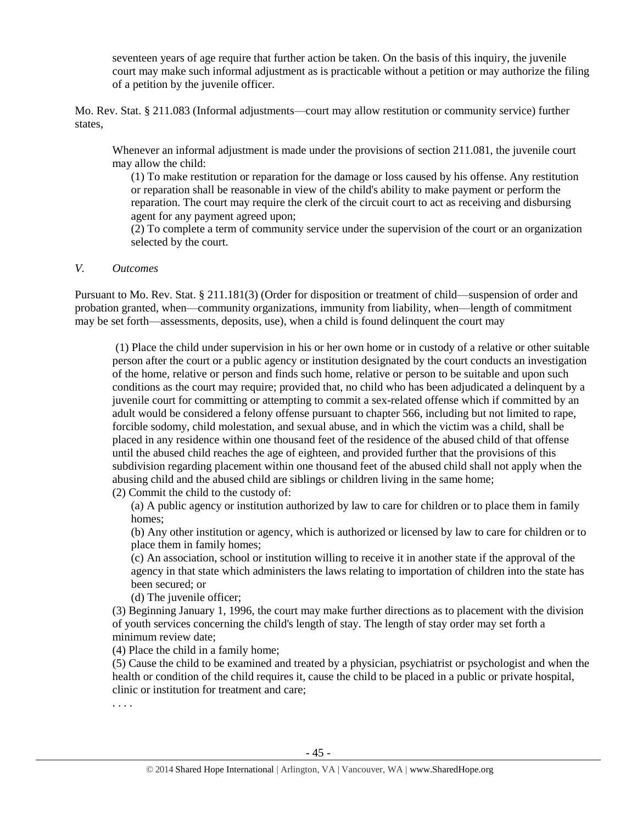seventeen years of age require that further action be taken. On the basis of this inquiry, the juvenile court may make such informal adjustment as is practicable without a petition or may authorize the filing of a petition by the juvenile officer.

Mo. Rev. Stat. § 211.083 (Informal adjustments—court may allow restitution or community service) further states,

Whenever an informal adjustment is made under the provisions of section 211.081, the juvenile court may allow the child:

(1) To make restitution or reparation for the damage or loss caused by his offense. Any restitution or reparation shall be reasonable in view of the child's ability to make payment or perform the reparation. The court may require the clerk of the circuit court to act as receiving and disbursing agent for any payment agreed upon;

(2) To complete a term of community service under the supervision of the court or an organization selected by the court.

## *V. Outcomes*

Pursuant to Mo. Rev. Stat. § 211.181(3) (Order for disposition or treatment of child—suspension of order and probation granted, when—community organizations, immunity from liability, when—length of commitment may be set forth—assessments, deposits, use), when a child is found delinquent the court may

(1) Place the child under supervision in his or her own home or in custody of a relative or other suitable person after the court or a public agency or institution designated by the court conducts an investigation of the home, relative or person and finds such home, relative or person to be suitable and upon such conditions as the court may require; provided that, no child who has been adjudicated a delinquent by a juvenile court for committing or attempting to commit a sex-related offense which if committed by an adult would be considered a felony offense pursuant to chapter 566, including but not limited to rape, forcible sodomy, child molestation, and sexual abuse, and in which the victim was a child, shall be placed in any residence within one thousand feet of the residence of the abused child of that offense until the abused child reaches the age of eighteen, and provided further that the provisions of this subdivision regarding placement within one thousand feet of the abused child shall not apply when the abusing child and the abused child are siblings or children living in the same home; (2) Commit the child to the custody of:

(a) A public agency or institution authorized by law to care for children or to place them in family homes;

(b) Any other institution or agency, which is authorized or licensed by law to care for children or to place them in family homes;

(c) An association, school or institution willing to receive it in another state if the approval of the agency in that state which administers the laws relating to importation of children into the state has been secured; or

(d) The juvenile officer;

(3) Beginning January 1, 1996, the court may make further directions as to placement with the division of youth services concerning the child's length of stay. The length of stay order may set forth a minimum review date;

(4) Place the child in a family home;

(5) Cause the child to be examined and treated by a physician, psychiatrist or psychologist and when the health or condition of the child requires it, cause the child to be placed in a public or private hospital, clinic or institution for treatment and care;

. . . .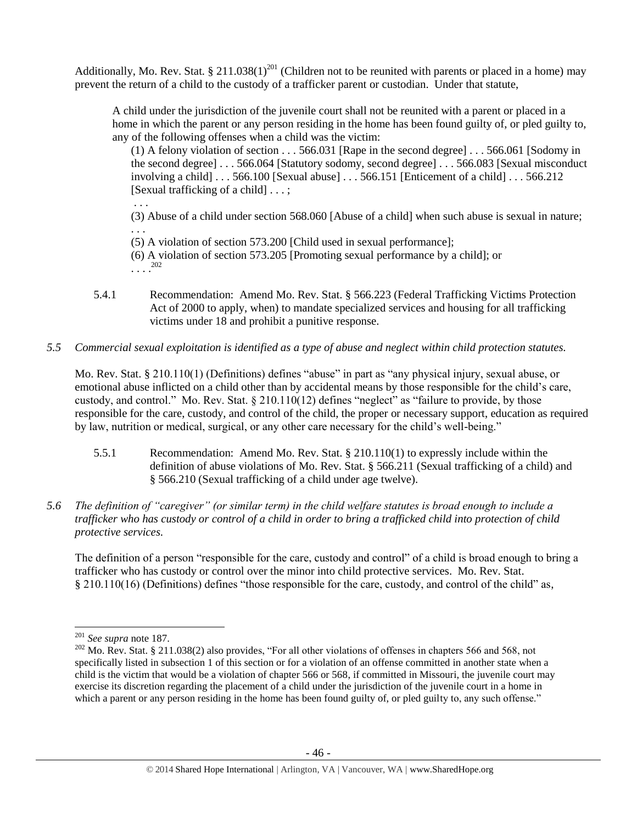Additionally, Mo. Rev. Stat. § 211.038(1)<sup>201</sup> (Children not to be reunited with parents or placed in a home) may prevent the return of a child to the custody of a trafficker parent or custodian. Under that statute,

A child under the jurisdiction of the juvenile court shall not be reunited with a parent or placed in a home in which the parent or any person residing in the home has been found guilty of, or pled guilty to, any of the following offenses when a child was the victim:

(1) A felony violation of section . . . 566.031 [Rape in the second degree] . . . 566.061 [Sodomy in the second degree] . . . 566.064 [Statutory sodomy, second degree] . . . 566.083 [Sexual misconduct involving a child  $\ldots$  566.100 [Sexual abuse]  $\ldots$  566.151 [Enticement of a child]  $\ldots$  566.212 [Sexual trafficking of a child] . . . ;

(3) Abuse of a child under section 568.060 [Abuse of a child] when such abuse is sexual in nature; . . .

(5) A violation of section 573.200 [Child used in sexual performance];

(6) A violation of section 573.205 [Promoting sexual performance by a child]; or . . . . 202

- 5.4.1 Recommendation: Amend Mo. Rev. Stat. § 566.223 (Federal Trafficking Victims Protection Act of 2000 to apply, when) to mandate specialized services and housing for all trafficking victims under 18 and prohibit a punitive response.
- *5.5 Commercial sexual exploitation is identified as a type of abuse and neglect within child protection statutes.*

Mo. Rev. Stat. § 210.110(1) (Definitions) defines "abuse" in part as "any physical injury, sexual abuse, or emotional abuse inflicted on a child other than by accidental means by those responsible for the child's care, custody, and control." Mo. Rev. Stat. § 210.110(12) defines "neglect" as "failure to provide, by those responsible for the care, custody, and control of the child, the proper or necessary support, education as required by law, nutrition or medical, surgical, or any other care necessary for the child's well-being."

- 5.5.1 Recommendation: Amend Mo. Rev. Stat. § 210.110(1) to expressly include within the definition of abuse violations of Mo. Rev. Stat. § 566.211 (Sexual trafficking of a child) and § 566.210 (Sexual trafficking of a child under age twelve).
- *5.6 The definition of "caregiver" (or similar term) in the child welfare statutes is broad enough to include a trafficker who has custody or control of a child in order to bring a trafficked child into protection of child protective services.*

The definition of a person "responsible for the care, custody and control" of a child is broad enough to bring a trafficker who has custody or control over the minor into child protective services. Mo. Rev. Stat. § 210.110(16) (Definitions) defines "those responsible for the care, custody, and control of the child" as,

. . .

 $\overline{\phantom{a}}$ <sup>201</sup> *See supra* not[e 187.](#page-35-0)

<sup>&</sup>lt;sup>202</sup> Mo. Rev. Stat. § 211.038(2) also provides, "For all other violations of offenses in chapters 566 and 568, not specifically listed in subsection 1 of this section or for a violation of an offense committed in another state when a child is the victim that would be a violation of chapter 566 or 568, if committed in Missouri, the juvenile court may exercise its discretion regarding the placement of a child under the jurisdiction of the juvenile court in a home in which a parent or any person residing in the home has been found guilty of, or pled guilty to, any such offense."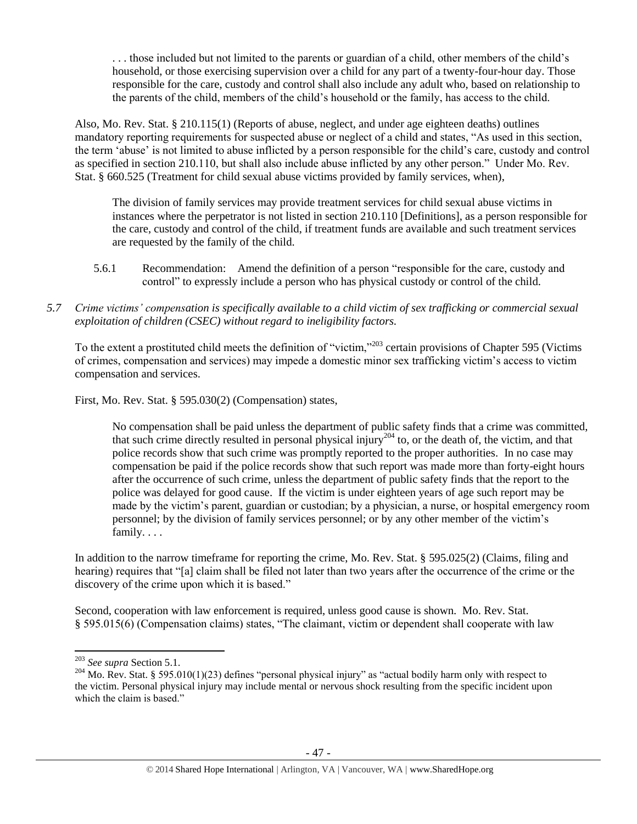. . . those included but not limited to the parents or guardian of a child, other members of the child's household, or those exercising supervision over a child for any part of a twenty-four-hour day. Those responsible for the care, custody and control shall also include any adult who, based on relationship to the parents of the child, members of the child's household or the family, has access to the child.

Also, Mo. Rev. Stat. § 210.115(1) (Reports of abuse, neglect, and under age eighteen deaths) outlines mandatory reporting requirements for suspected abuse or neglect of a child and states, "As used in this section, the term 'abuse' is not limited to abuse inflicted by a person responsible for the child's care, custody and control as specified in section 210.110, but shall also include abuse inflicted by any other person." Under Mo. Rev. Stat. § 660.525 (Treatment for child sexual abuse victims provided by family services, when),

The division of family services may provide treatment services for child sexual abuse victims in instances where the perpetrator is not listed in section 210.110 [Definitions], as a person responsible for the care, custody and control of the child, if treatment funds are available and such treatment services are requested by the family of the child.

- 5.6.1 Recommendation: Amend the definition of a person "responsible for the care, custody and control" to expressly include a person who has physical custody or control of the child.
- *5.7 Crime victims' compensation is specifically available to a child victim of sex trafficking or commercial sexual exploitation of children (CSEC) without regard to ineligibility factors.*

To the extent a prostituted child meets the definition of "victim,"<sup>203</sup> certain provisions of Chapter 595 (Victims of crimes, compensation and services) may impede a domestic minor sex trafficking victim's access to victim compensation and services.

First, Mo. Rev. Stat. § 595.030(2) (Compensation) states,

No compensation shall be paid unless the department of public safety finds that a crime was committed, that such crime directly resulted in personal physical injury<sup>204</sup> to, or the death of, the victim, and that police records show that such crime was promptly reported to the proper authorities. In no case may compensation be paid if the police records show that such report was made more than forty-eight hours after the occurrence of such crime, unless the department of public safety finds that the report to the police was delayed for good cause. If the victim is under eighteen years of age such report may be made by the victim's parent, guardian or custodian; by a physician, a nurse, or hospital emergency room personnel; by the division of family services personnel; or by any other member of the victim's family. . . .

In addition to the narrow timeframe for reporting the crime, Mo. Rev. Stat. § 595.025(2) (Claims, filing and hearing) requires that "[a] claim shall be filed not later than two years after the occurrence of the crime or the discovery of the crime upon which it is based."

Second, cooperation with law enforcement is required, unless good cause is shown. Mo. Rev. Stat. § 595.015(6) (Compensation claims) states, "The claimant, victim or dependent shall cooperate with law

 $\overline{a}$ 

<sup>203</sup> *See supra* Section 5.1.

 $204$  Mo. Rev. Stat. § 595.010(1)(23) defines "personal physical injury" as "actual bodily harm only with respect to the victim. Personal physical injury may include mental or nervous shock resulting from the specific incident upon which the claim is based."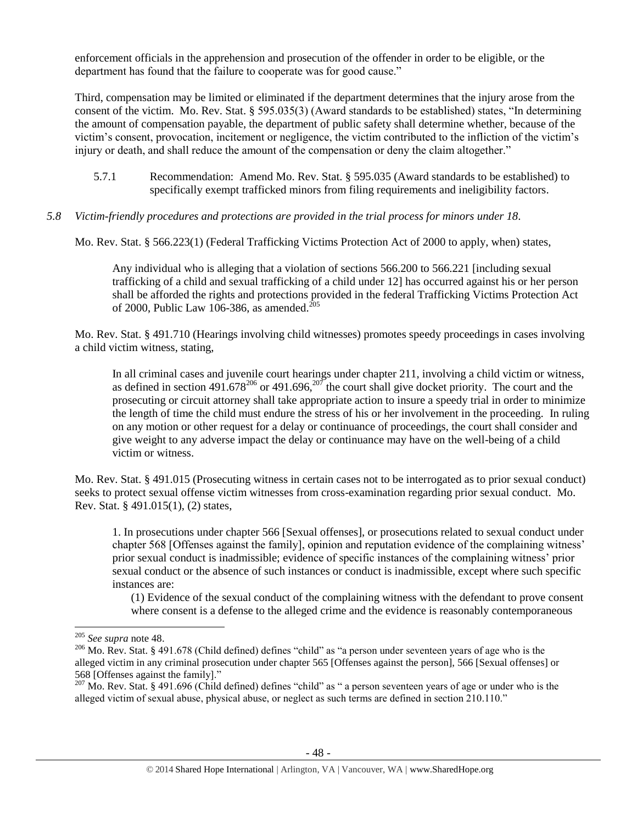enforcement officials in the apprehension and prosecution of the offender in order to be eligible, or the department has found that the failure to cooperate was for good cause."

Third, compensation may be limited or eliminated if the department determines that the injury arose from the consent of the victim. Mo. Rev. Stat. § 595.035(3) (Award standards to be established) states, "In determining the amount of compensation payable, the department of public safety shall determine whether, because of the victim's consent, provocation, incitement or negligence, the victim contributed to the infliction of the victim's injury or death, and shall reduce the amount of the compensation or deny the claim altogether."

- 5.7.1 Recommendation: Amend Mo. Rev. Stat. § 595.035 (Award standards to be established) to specifically exempt trafficked minors from filing requirements and ineligibility factors.
- *5.8 Victim-friendly procedures and protections are provided in the trial process for minors under 18.*

Mo. Rev. Stat. § 566.223(1) (Federal Trafficking Victims Protection Act of 2000 to apply, when) states,

Any individual who is alleging that a violation of sections 566.200 to 566.221 [including sexual trafficking of a child and sexual trafficking of a child under 12] has occurred against his or her person shall be afforded the rights and protections provided in the federal Trafficking Victims Protection Act of 2000, Public Law 106-386, as amended.<sup>205</sup>

Mo. Rev. Stat. § 491.710 (Hearings involving child witnesses) promotes speedy proceedings in cases involving a child victim witness, stating,

In all criminal cases and juvenile court hearings under chapter 211, involving a child victim or witness, as defined in section 491.678<sup>206</sup> or 491.696,<sup>207</sup> the court shall give docket priority. The court and the prosecuting or circuit attorney shall take appropriate action to insure a speedy trial in order to minimize the length of time the child must endure the stress of his or her involvement in the proceeding. In ruling on any motion or other request for a delay or continuance of proceedings, the court shall consider and give weight to any adverse impact the delay or continuance may have on the well-being of a child victim or witness.

Mo. Rev. Stat. § 491.015 (Prosecuting witness in certain cases not to be interrogated as to prior sexual conduct) seeks to protect sexual offense victim witnesses from cross-examination regarding prior sexual conduct. Mo. Rev. Stat. § 491.015(1), (2) states,

1. In prosecutions under chapter 566 [Sexual offenses], or prosecutions related to sexual conduct under chapter 568 [Offenses against the family], opinion and reputation evidence of the complaining witness' prior sexual conduct is inadmissible; evidence of specific instances of the complaining witness' prior sexual conduct or the absence of such instances or conduct is inadmissible, except where such specific instances are:

(1) Evidence of the sexual conduct of the complaining witness with the defendant to prove consent where consent is a defense to the alleged crime and the evidence is reasonably contemporaneous

<sup>205</sup> *See supra* not[e 48.](#page-9-0)

<sup>206</sup> Mo. Rev. Stat. § 491.678 (Child defined) defines "child" as "a person under seventeen years of age who is the alleged victim in any criminal prosecution under chapter 565 [Offenses against the person], 566 [Sexual offenses] or 568 [Offenses against the family]."

 $^{207}$  Mo. Rev. Stat. § 491.696 (Child defined) defines "child" as " a person seventeen years of age or under who is the alleged victim of sexual abuse, physical abuse, or neglect as such terms are defined in section 210.110."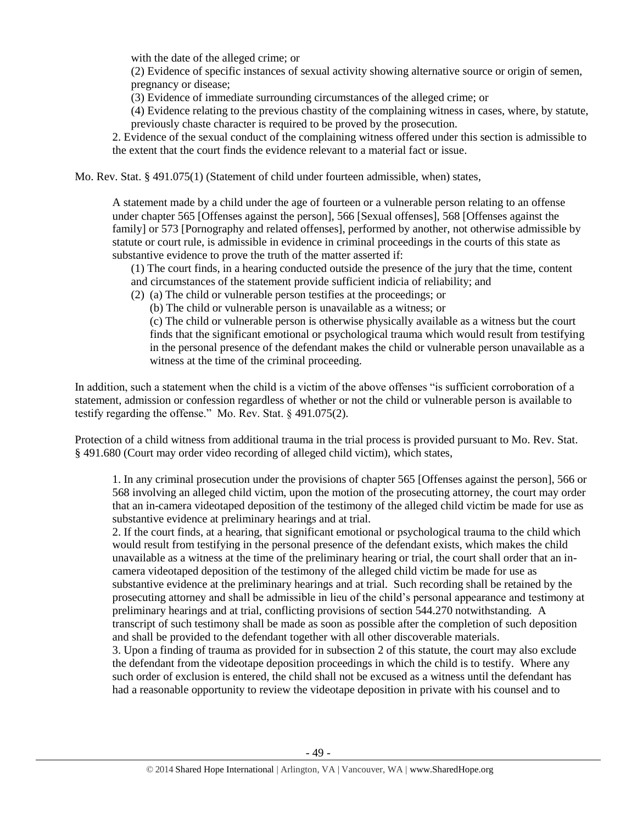with the date of the alleged crime; or

(2) Evidence of specific instances of sexual activity showing alternative source or origin of semen, pregnancy or disease;

(3) Evidence of immediate surrounding circumstances of the alleged crime; or

(4) Evidence relating to the previous chastity of the complaining witness in cases, where, by statute, previously chaste character is required to be proved by the prosecution.

2. Evidence of the sexual conduct of the complaining witness offered under this section is admissible to the extent that the court finds the evidence relevant to a material fact or issue.

Mo. Rev. Stat. § 491.075(1) (Statement of child under fourteen admissible, when) states,

A statement made by a child under the age of fourteen or a vulnerable person relating to an offense under chapter 565 [Offenses against the person], 566 [Sexual offenses], 568 [Offenses against the family] or 573 [Pornography and related offenses], performed by another, not otherwise admissible by statute or court rule, is admissible in evidence in criminal proceedings in the courts of this state as substantive evidence to prove the truth of the matter asserted if:

(1) The court finds, in a hearing conducted outside the presence of the jury that the time, content and circumstances of the statement provide sufficient indicia of reliability; and

(2) (a) The child or vulnerable person testifies at the proceedings; or

(b) The child or vulnerable person is unavailable as a witness; or

(c) The child or vulnerable person is otherwise physically available as a witness but the court finds that the significant emotional or psychological trauma which would result from testifying in the personal presence of the defendant makes the child or vulnerable person unavailable as a witness at the time of the criminal proceeding.

In addition, such a statement when the child is a victim of the above offenses "is sufficient corroboration of a statement, admission or confession regardless of whether or not the child or vulnerable person is available to testify regarding the offense." Mo. Rev. Stat. § 491.075(2).

Protection of a child witness from additional trauma in the trial process is provided pursuant to Mo. Rev. Stat. § 491.680 (Court may order video recording of alleged child victim), which states,

1. In any criminal prosecution under the provisions of chapter 565 [Offenses against the person], 566 or 568 involving an alleged child victim, upon the motion of the prosecuting attorney, the court may order that an in-camera videotaped deposition of the testimony of the alleged child victim be made for use as substantive evidence at preliminary hearings and at trial.

2. If the court finds, at a hearing, that significant emotional or psychological trauma to the child which would result from testifying in the personal presence of the defendant exists, which makes the child unavailable as a witness at the time of the preliminary hearing or trial, the court shall order that an incamera videotaped deposition of the testimony of the alleged child victim be made for use as substantive evidence at the preliminary hearings and at trial. Such recording shall be retained by the prosecuting attorney and shall be admissible in lieu of the child's personal appearance and testimony at preliminary hearings and at trial, conflicting provisions of section 544.270 notwithstanding. A transcript of such testimony shall be made as soon as possible after the completion of such deposition and shall be provided to the defendant together with all other discoverable materials.

3. Upon a finding of trauma as provided for in subsection 2 of this statute, the court may also exclude the defendant from the videotape deposition proceedings in which the child is to testify. Where any such order of exclusion is entered, the child shall not be excused as a witness until the defendant has had a reasonable opportunity to review the videotape deposition in private with his counsel and to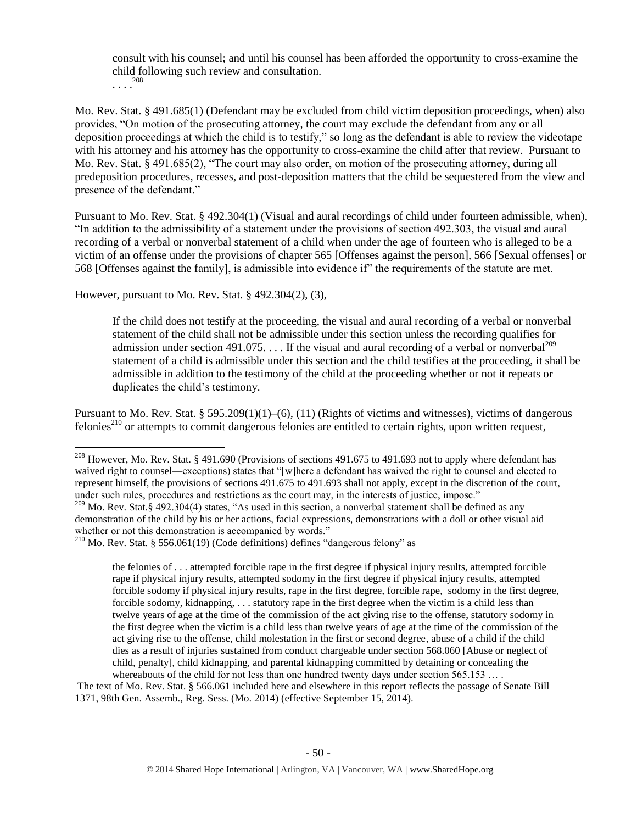consult with his counsel; and until his counsel has been afforded the opportunity to cross-examine the child following such review and consultation. . . . . 208

Mo. Rev. Stat. § 491.685(1) (Defendant may be excluded from child victim deposition proceedings, when) also provides, "On motion of the prosecuting attorney, the court may exclude the defendant from any or all deposition proceedings at which the child is to testify," so long as the defendant is able to review the videotape with his attorney and his attorney has the opportunity to cross-examine the child after that review. Pursuant to Mo. Rev. Stat. § 491.685(2), "The court may also order, on motion of the prosecuting attorney, during all predeposition procedures, recesses, and post-deposition matters that the child be sequestered from the view and presence of the defendant."

Pursuant to Mo. Rev. Stat. § 492.304(1) (Visual and aural recordings of child under fourteen admissible, when), "In addition to the admissibility of a statement under the provisions of section 492.303, the visual and aural recording of a verbal or nonverbal statement of a child when under the age of fourteen who is alleged to be a victim of an offense under the provisions of chapter 565 [Offenses against the person], 566 [Sexual offenses] or 568 [Offenses against the family], is admissible into evidence if" the requirements of the statute are met.

However, pursuant to Mo. Rev. Stat. § 492.304(2), (3),

 $\overline{\phantom{a}}$ 

If the child does not testify at the proceeding, the visual and aural recording of a verbal or nonverbal statement of the child shall not be admissible under this section unless the recording qualifies for admission under section 491.075. . . . If the visual and aural recording of a verbal or nonverbal<sup>209</sup> statement of a child is admissible under this section and the child testifies at the proceeding, it shall be admissible in addition to the testimony of the child at the proceeding whether or not it repeats or duplicates the child's testimony.

Pursuant to Mo. Rev. Stat. § 595.209(1)(1)–(6), (11) (Rights of victims and witnesses), victims of dangerous felonies<sup>210</sup> or attempts to commit dangerous felonies are entitled to certain rights, upon written request,

the felonies of . . . attempted forcible rape in the first degree if physical injury results, attempted forcible rape if physical injury results, attempted sodomy in the first degree if physical injury results, attempted forcible sodomy if physical injury results, rape in the first degree, forcible rape, sodomy in the first degree, forcible sodomy, kidnapping, . . . statutory rape in the first degree when the victim is a child less than twelve years of age at the time of the commission of the act giving rise to the offense, statutory sodomy in the first degree when the victim is a child less than twelve years of age at the time of the commission of the act giving rise to the offense, child molestation in the first or second degree, abuse of a child if the child dies as a result of injuries sustained from conduct chargeable under section 568.060 [Abuse or neglect of child, penalty], child kidnapping, and parental kidnapping committed by detaining or concealing the whereabouts of the child for not less than one hundred twenty days under section 565.153 ...

The text of Mo. Rev. Stat. § 566.061 included here and elsewhere in this report reflects the passage of Senate Bill 1371, 98th Gen. Assemb., Reg. Sess. (Mo. 2014) (effective September 15, 2014).

<sup>&</sup>lt;sup>208</sup> However, Mo. Rev. Stat. § 491.690 (Provisions of sections 491.675 to 491.693 not to apply where defendant has waived right to counsel—exceptions) states that "[w]here a defendant has waived the right to counsel and elected to represent himself, the provisions of sections 491.675 to 491.693 shall not apply, except in the discretion of the court, under such rules, procedures and restrictions as the court may, in the interests of justice, impose."

<sup>&</sup>lt;sup>209</sup> Mo. Rev. Stat.§ 492.304(4) states, "As used in this section, a nonverbal statement shall be defined as any demonstration of the child by his or her actions, facial expressions, demonstrations with a doll or other visual aid whether or not this demonstration is accompanied by words."

<sup>&</sup>lt;sup>210</sup> Mo. Rev. Stat. § 556.061(19) (Code definitions) defines "dangerous felony" as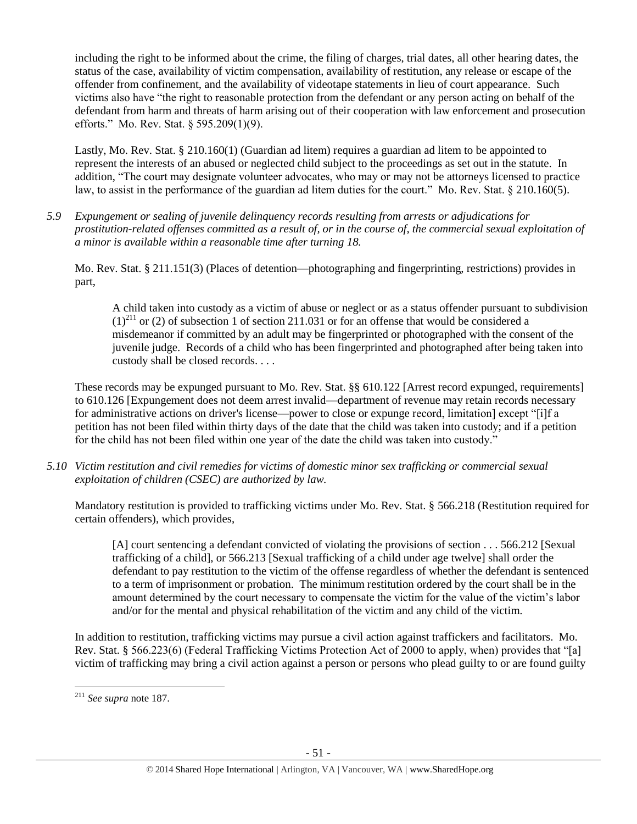including the right to be informed about the crime, the filing of charges, trial dates, all other hearing dates, the status of the case, availability of victim compensation, availability of restitution, any release or escape of the offender from confinement, and the availability of videotape statements in lieu of court appearance. Such victims also have "the right to reasonable protection from the defendant or any person acting on behalf of the defendant from harm and threats of harm arising out of their cooperation with law enforcement and prosecution efforts." Mo. Rev. Stat. § 595.209(1)(9).

Lastly, Mo. Rev. Stat. § 210.160(1) (Guardian ad litem) requires a guardian ad litem to be appointed to represent the interests of an abused or neglected child subject to the proceedings as set out in the statute. In addition, "The court may designate volunteer advocates, who may or may not be attorneys licensed to practice law, to assist in the performance of the guardian ad litem duties for the court." Mo. Rev. Stat. § 210.160(5).

*5.9 Expungement or sealing of juvenile delinquency records resulting from arrests or adjudications for prostitution-related offenses committed as a result of, or in the course of, the commercial sexual exploitation of a minor is available within a reasonable time after turning 18.*

Mo. Rev. Stat. § 211.151(3) (Places of detention—photographing and fingerprinting, restrictions) provides in part,

A child taken into custody as a victim of abuse or neglect or as a status offender pursuant to subdivision  $(1)^{211}$  or (2) of subsection 1 of section 211.031 or for an offense that would be considered a misdemeanor if committed by an adult may be fingerprinted or photographed with the consent of the juvenile judge. Records of a child who has been fingerprinted and photographed after being taken into custody shall be closed records. . . .

These records may be expunged pursuant to Mo. Rev. Stat. §§ 610.122 [Arrest record expunged, requirements] to 610.126 [Expungement does not deem arrest invalid—department of revenue may retain records necessary for administrative actions on driver's license—power to close or expunge record, limitation] except "[i]f a petition has not been filed within thirty days of the date that the child was taken into custody; and if a petition for the child has not been filed within one year of the date the child was taken into custody."

*5.10 Victim restitution and civil remedies for victims of domestic minor sex trafficking or commercial sexual exploitation of children (CSEC) are authorized by law.* 

Mandatory restitution is provided to trafficking victims under Mo. Rev. Stat. § 566.218 (Restitution required for certain offenders), which provides,

[A] court sentencing a defendant convicted of violating the provisions of section . . . 566.212 [Sexual trafficking of a child], or 566.213 [Sexual trafficking of a child under age twelve] shall order the defendant to pay restitution to the victim of the offense regardless of whether the defendant is sentenced to a term of imprisonment or probation. The minimum restitution ordered by the court shall be in the amount determined by the court necessary to compensate the victim for the value of the victim's labor and/or for the mental and physical rehabilitation of the victim and any child of the victim.

In addition to restitution, trafficking victims may pursue a civil action against traffickers and facilitators. Mo. Rev. Stat. § 566.223(6) (Federal Trafficking Victims Protection Act of 2000 to apply, when) provides that "[a] victim of trafficking may bring a civil action against a person or persons who plead guilty to or are found guilty

 $\overline{a}$ <sup>211</sup> *See supra* not[e 187.](#page-35-0)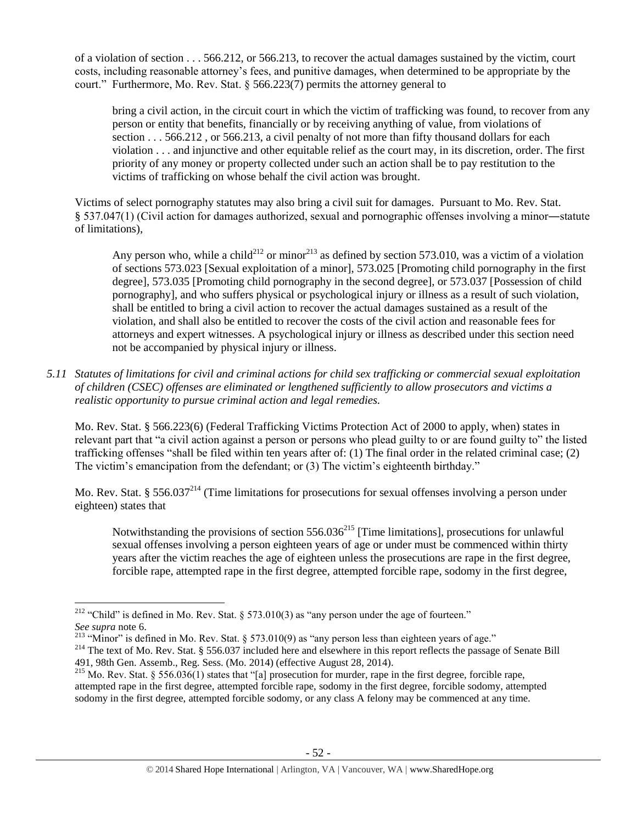of a violation of section . . . 566.212, or 566.213, to recover the actual damages sustained by the victim, court costs, including reasonable attorney's fees, and punitive damages, when determined to be appropriate by the court." Furthermore, Mo. Rev. Stat. § 566.223(7) permits the attorney general to

bring a civil action, in the circuit court in which the victim of trafficking was found, to recover from any person or entity that benefits, financially or by receiving anything of value, from violations of section . . . 566.212 , or 566.213, a civil penalty of not more than fifty thousand dollars for each violation . . . and injunctive and other equitable relief as the court may, in its discretion, order. The first priority of any money or property collected under such an action shall be to pay restitution to the victims of trafficking on whose behalf the civil action was brought.

Victims of select pornography statutes may also bring a civil suit for damages. Pursuant to Mo. Rev. Stat. § 537.047(1) (Civil action for damages authorized, sexual and pornographic offenses involving a minor―statute of limitations),

Any person who, while a child<sup>212</sup> or minor<sup>213</sup> as defined by section 573.010, was a victim of a violation of sections 573.023 [Sexual exploitation of a minor], 573.025 [Promoting child pornography in the first degree], 573.035 [Promoting child pornography in the second degree], or 573.037 [Possession of child pornography], and who suffers physical or psychological injury or illness as a result of such violation, shall be entitled to bring a civil action to recover the actual damages sustained as a result of the violation, and shall also be entitled to recover the costs of the civil action and reasonable fees for attorneys and expert witnesses. A psychological injury or illness as described under this section need not be accompanied by physical injury or illness.

*5.11 Statutes of limitations for civil and criminal actions for child sex trafficking or commercial sexual exploitation of children (CSEC) offenses are eliminated or lengthened sufficiently to allow prosecutors and victims a realistic opportunity to pursue criminal action and legal remedies.*

Mo. Rev. Stat. § 566.223(6) (Federal Trafficking Victims Protection Act of 2000 to apply, when) states in relevant part that "a civil action against a person or persons who plead guilty to or are found guilty to" the listed trafficking offenses "shall be filed within ten years after of: (1) The final order in the related criminal case; (2) The victim's emancipation from the defendant; or (3) The victim's eighteenth birthday."

Mo. Rev. Stat. § 556.037<sup>214</sup> (Time limitations for prosecutions for sexual offenses involving a person under eighteen) states that

Notwithstanding the provisions of section  $556.036^{215}$  [Time limitations], prosecutions for unlawful sexual offenses involving a person eighteen years of age or under must be commenced within thirty years after the victim reaches the age of eighteen unless the prosecutions are rape in the first degree, forcible rape, attempted rape in the first degree, attempted forcible rape, sodomy in the first degree,

 $\overline{a}$ <sup>212</sup> "Child" is defined in Mo. Rev. Stat. § 573.010(3) as "any person under the age of fourteen." *See supra* note [6.](#page-1-0)

<sup>&</sup>lt;sup>213</sup> "Minor" is defined in Mo. Rev. Stat. § 573.010(9) as "any person less than eighteen years of age."

<sup>&</sup>lt;sup>214</sup> The text of Mo. Rev. Stat. § 556.037 included here and elsewhere in this report reflects the passage of Senate Bill 491, 98th Gen. Assemb., Reg. Sess. (Mo. 2014) (effective August 28, 2014).

<sup>&</sup>lt;sup>215</sup> Mo. Rev. Stat. § 556.036(1) states that "[a] prosecution for murder, rape in the first degree, forcible rape, attempted rape in the first degree, attempted forcible rape, sodomy in the first degree, forcible sodomy, attempted sodomy in the first degree, attempted forcible sodomy, or any class A felony may be commenced at any time.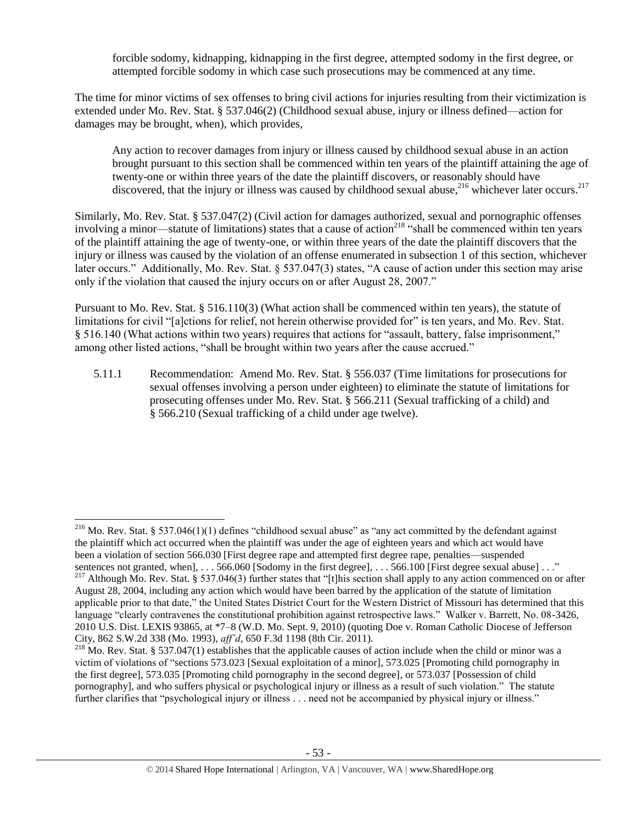forcible sodomy, kidnapping, kidnapping in the first degree, attempted sodomy in the first degree, or attempted forcible sodomy in which case such prosecutions may be commenced at any time.

The time for minor victims of sex offenses to bring civil actions for injuries resulting from their victimization is extended under Mo. Rev. Stat. § 537.046(2) (Childhood sexual abuse, injury or illness defined—action for damages may be brought, when), which provides,

Any action to recover damages from injury or illness caused by childhood sexual abuse in an action brought pursuant to this section shall be commenced within ten years of the plaintiff attaining the age of twenty-one or within three years of the date the plaintiff discovers, or reasonably should have discovered, that the injury or illness was caused by childhood sexual abuse,  $216$  whichever later occurs.  $217$ 

Similarly, Mo. Rev. Stat. § 537.047(2) (Civil action for damages authorized, sexual and pornographic offenses involving a minor—statute of limitations) states that a cause of action<sup>218</sup> "shall be commenced within ten years of the plaintiff attaining the age of twenty-one, or within three years of the date the plaintiff discovers that the injury or illness was caused by the violation of an offense enumerated in subsection 1 of this section, whichever later occurs." Additionally, Mo. Rev. Stat. § 537.047(3) states, "A cause of action under this section may arise only if the violation that caused the injury occurs on or after August 28, 2007."

Pursuant to Mo. Rev. Stat. § 516.110(3) (What action shall be commenced within ten years), the statute of limitations for civil "[a]ctions for relief, not herein otherwise provided for" is ten years, and Mo. Rev. Stat. § 516.140 (What actions within two years) requires that actions for "assault, battery, false imprisonment," among other listed actions, "shall be brought within two years after the cause accrued."

5.11.1 Recommendation: Amend Mo. Rev. Stat. § 556.037 (Time limitations for prosecutions for sexual offenses involving a person under eighteen) to eliminate the statute of limitations for prosecuting offenses under Mo. Rev. Stat. § 566.211 (Sexual trafficking of a child) and § 566.210 (Sexual trafficking of a child under age twelve).

 $\overline{\phantom{a}}$ <sup>216</sup> Mo. Rev. Stat. § 537.046(1)(1) defines "childhood sexual abuse" as "any act committed by the defendant against the plaintiff which act occurred when the plaintiff was under the age of eighteen years and which act would have been a violation of section 566.030 [First degree rape and attempted first degree rape, penalties—suspended

sentences not granted, when], . . . 566.060 [Sodomy in the first degree], . . . 566.100 [First degree sexual abuse] . . ." <sup>217</sup> Although Mo. Rev. Stat. § 537.046(3) further states that "[t]his section shall apply to any action commenced on or after August 28, 2004, including any action which would have been barred by the application of the statute of limitation applicable prior to that date," the United States District Court for the Western District of Missouri has determined that this language "clearly contravenes the constitutional prohibition against retrospective laws." Walker v. Barrett, No. 08-3426, 2010 U.S. Dist. LEXIS 93865, at \*7–8 (W.D. Mo. Sept. 9, 2010) (quoting Doe v. Roman Catholic Diocese of Jefferson City, 862 S.W.2d 338 (Mo. 1993), *aff'd*, 650 F.3d 1198 (8th Cir. 2011).

<sup>&</sup>lt;sup>218</sup> Mo. Rev. Stat. § 537.047(1) establishes that the applicable causes of action include when the child or minor was a victim of violations of "sections 573.023 [Sexual exploitation of a minor], 573.025 [Promoting child pornography in the first degree], 573.035 [Promoting child pornography in the second degree], or 573.037 [Possession of child pornography], and who suffers physical or psychological injury or illness as a result of such violation." The statute further clarifies that "psychological injury or illness . . . need not be accompanied by physical injury or illness."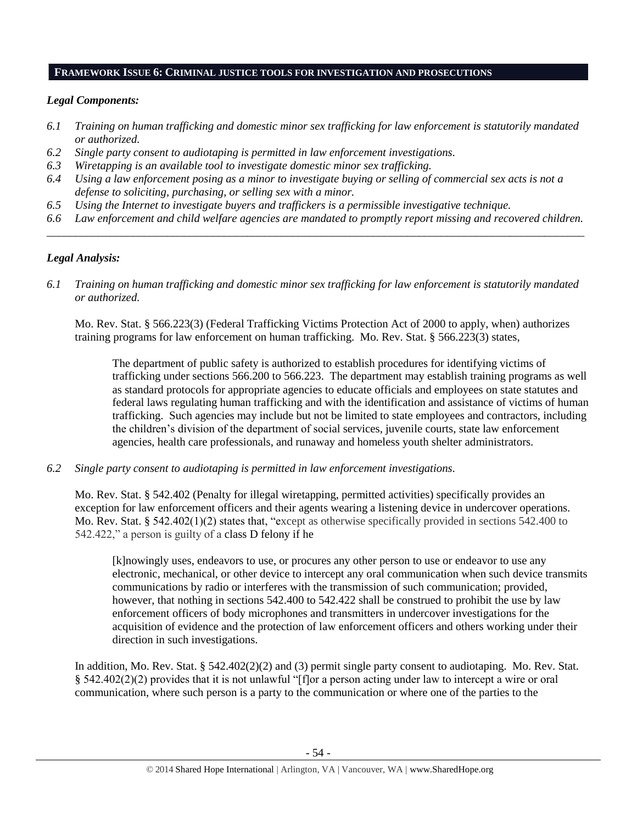#### **FRAMEWORK ISSUE 6: CRIMINAL JUSTICE TOOLS FOR INVESTIGATION AND PROSECUTIONS**

## *Legal Components:*

- *6.1 Training on human trafficking and domestic minor sex trafficking for law enforcement is statutorily mandated or authorized.*
- *6.2 Single party consent to audiotaping is permitted in law enforcement investigations.*
- *6.3 Wiretapping is an available tool to investigate domestic minor sex trafficking.*
- *6.4 Using a law enforcement posing as a minor to investigate buying or selling of commercial sex acts is not a defense to soliciting, purchasing, or selling sex with a minor.*
- *6.5 Using the Internet to investigate buyers and traffickers is a permissible investigative technique.*
- *6.6 Law enforcement and child welfare agencies are mandated to promptly report missing and recovered children. \_\_\_\_\_\_\_\_\_\_\_\_\_\_\_\_\_\_\_\_\_\_\_\_\_\_\_\_\_\_\_\_\_\_\_\_\_\_\_\_\_\_\_\_\_\_\_\_\_\_\_\_\_\_\_\_\_\_\_\_\_\_\_\_\_\_\_\_\_\_\_\_\_\_\_\_\_\_\_\_\_\_\_\_\_\_\_\_\_\_\_\_\_\_*

# *Legal Analysis:*

*6.1 Training on human trafficking and domestic minor sex trafficking for law enforcement is statutorily mandated or authorized.*

Mo. Rev. Stat. § 566.223(3) (Federal Trafficking Victims Protection Act of 2000 to apply, when) authorizes training programs for law enforcement on human trafficking. Mo. Rev. Stat. § 566.223(3) states,

The department of public safety is authorized to establish procedures for identifying victims of trafficking under sections 566.200 to 566.223. The department may establish training programs as well as standard protocols for appropriate agencies to educate officials and employees on state statutes and federal laws regulating human trafficking and with the identification and assistance of victims of human trafficking. Such agencies may include but not be limited to state employees and contractors, including the children's division of the department of social services, juvenile courts, state law enforcement agencies, health care professionals, and runaway and homeless youth shelter administrators.

*6.2 Single party consent to audiotaping is permitted in law enforcement investigations.*

Mo. Rev. Stat. § 542.402 (Penalty for illegal wiretapping, permitted activities) specifically provides an exception for law enforcement officers and their agents wearing a listening device in undercover operations. Mo. Rev. Stat. § 542.402(1)(2) states that, "except as otherwise specifically provided in sections 542.400 to 542.422," a person is guilty of a class D felony if he

[k]nowingly uses, endeavors to use, or procures any other person to use or endeavor to use any electronic, mechanical, or other device to intercept any oral communication when such device transmits communications by radio or interferes with the transmission of such communication; provided, however, that nothing in sections 542.400 to 542.422 shall be construed to prohibit the use by law enforcement officers of body microphones and transmitters in undercover investigations for the acquisition of evidence and the protection of law enforcement officers and others working under their direction in such investigations.

In addition, Mo. Rev. Stat. § 542.402(2)(2) and (3) permit single party consent to audiotaping. Mo. Rev. Stat. § 542.402(2)(2) provides that it is not unlawful "[f]or a person acting under law to intercept a wire or oral communication, where such person is a party to the communication or where one of the parties to the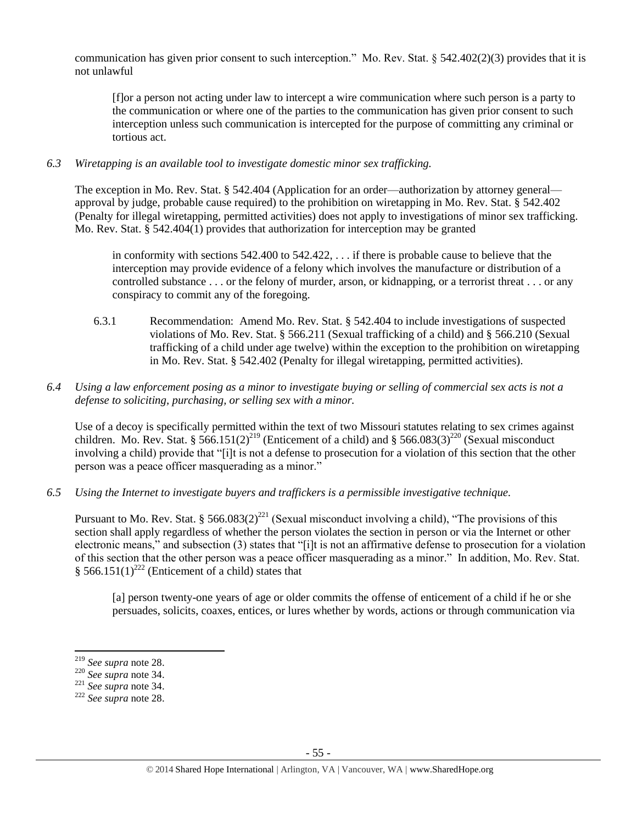communication has given prior consent to such interception." Mo. Rev. Stat. § 542.402(2)(3) provides that it is not unlawful

[f]or a person not acting under law to intercept a wire communication where such person is a party to the communication or where one of the parties to the communication has given prior consent to such interception unless such communication is intercepted for the purpose of committing any criminal or tortious act.

## *6.3 Wiretapping is an available tool to investigate domestic minor sex trafficking.*

The exception in Mo. Rev. Stat. § 542.404 (Application for an order—authorization by attorney general approval by judge, probable cause required) to the prohibition on wiretapping in Mo. Rev. Stat. § 542.402 (Penalty for illegal wiretapping, permitted activities) does not apply to investigations of minor sex trafficking. Mo. Rev. Stat. § 542.404(1) provides that authorization for interception may be granted

in conformity with sections 542.400 to 542.422, . . . if there is probable cause to believe that the interception may provide evidence of a felony which involves the manufacture or distribution of a controlled substance . . . or the felony of murder, arson, or kidnapping, or a terrorist threat . . . or any conspiracy to commit any of the foregoing.

6.3.1 Recommendation: Amend Mo. Rev. Stat. § 542.404 to include investigations of suspected violations of Mo. Rev. Stat. § 566.211 (Sexual trafficking of a child) and § 566.210 (Sexual trafficking of a child under age twelve) within the exception to the prohibition on wiretapping in Mo. Rev. Stat. § 542.402 (Penalty for illegal wiretapping, permitted activities).

## *6.4 Using a law enforcement posing as a minor to investigate buying or selling of commercial sex acts is not a defense to soliciting, purchasing, or selling sex with a minor.*

Use of a decoy is specifically permitted within the text of two Missouri statutes relating to sex crimes against children. Mo. Rev. Stat. § 566.151(2)<sup>219</sup> (Enticement of a child) and § 566.083(3)<sup>220</sup> (Sexual misconduct involving a child) provide that "[i]t is not a defense to prosecution for a violation of this section that the other person was a peace officer masquerading as a minor."

*6.5 Using the Internet to investigate buyers and traffickers is a permissible investigative technique.*

Pursuant to Mo. Rev. Stat. § 566.083(2)<sup>221</sup> (Sexual misconduct involving a child), "The provisions of this section shall apply regardless of whether the person violates the section in person or via the Internet or other electronic means," and subsection (3) states that "[i]t is not an affirmative defense to prosecution for a violation of this section that the other person was a peace officer masquerading as a minor." In addition, Mo. Rev. Stat. § 566.151(1)<sup>222</sup> (Enticement of a child) states that

[a] person twenty-one years of age or older commits the offense of enticement of a child if he or she persuades, solicits, coaxes, entices, or lures whether by words, actions or through communication via

 $\overline{a}$ 

<sup>219</sup> *See supra* not[e 28.](#page-5-1)

<sup>220</sup> *See supra* not[e 34.](#page-6-0)

<sup>221</sup> *See supra* not[e 34.](#page-6-0)

<sup>222</sup> *See supra* not[e 28.](#page-5-1)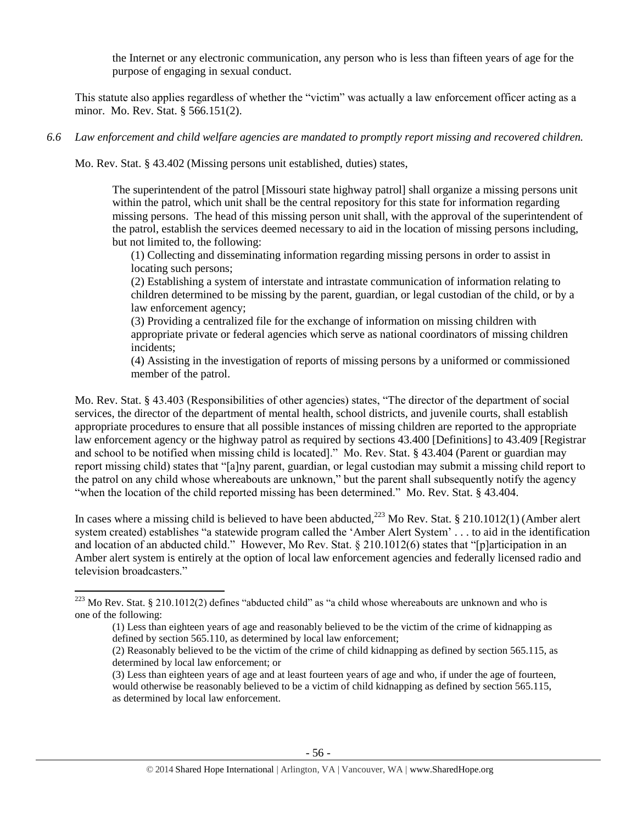the Internet or any electronic communication, any person who is less than fifteen years of age for the purpose of engaging in sexual conduct.

This statute also applies regardless of whether the "victim" was actually a law enforcement officer acting as a minor. Mo. Rev. Stat. § 566.151(2).

## *6.6 Law enforcement and child welfare agencies are mandated to promptly report missing and recovered children.*

Mo. Rev. Stat. § 43.402 (Missing persons unit established, duties) states,

The superintendent of the patrol [Missouri state highway patrol] shall organize a missing persons unit within the patrol, which unit shall be the central repository for this state for information regarding missing persons. The head of this missing person unit shall, with the approval of the superintendent of the patrol, establish the services deemed necessary to aid in the location of missing persons including, but not limited to, the following:

(1) Collecting and disseminating information regarding missing persons in order to assist in locating such persons;

(2) Establishing a system of interstate and intrastate communication of information relating to children determined to be missing by the parent, guardian, or legal custodian of the child, or by a law enforcement agency;

(3) Providing a centralized file for the exchange of information on missing children with appropriate private or federal agencies which serve as national coordinators of missing children incidents;

(4) Assisting in the investigation of reports of missing persons by a uniformed or commissioned member of the patrol.

Mo. Rev. Stat. § 43.403 (Responsibilities of other agencies) states, "The director of the department of social services, the director of the department of mental health, school districts, and juvenile courts, shall establish appropriate procedures to ensure that all possible instances of missing children are reported to the appropriate law enforcement agency or the highway patrol as required by sections 43.400 [Definitions] to 43.409 [Registrar and school to be notified when missing child is located]." Mo. Rev. Stat. § 43.404 (Parent or guardian may report missing child) states that "[a]ny parent, guardian, or legal custodian may submit a missing child report to the patrol on any child whose whereabouts are unknown," but the parent shall subsequently notify the agency "when the location of the child reported missing has been determined." Mo. Rev. Stat. § 43.404.

In cases where a missing child is believed to have been abducted,<sup>223</sup> Mo Rev. Stat. § 210.1012(1) (Amber alert system created) establishes "a statewide program called the 'Amber Alert System' . . . to aid in the identification and location of an abducted child." However, Mo Rev. Stat. § 210.1012(6) states that "[p]articipation in an Amber alert system is entirely at the option of local law enforcement agencies and federally licensed radio and television broadcasters."

 $^{223}$  Mo Rev. Stat. § 210.1012(2) defines "abducted child" as "a child whose whereabouts are unknown and who is one of the following:

<sup>(1)</sup> Less than eighteen years of age and reasonably believed to be the victim of the crime of kidnapping as defined by section 565.110, as determined by local law enforcement;

<sup>(2)</sup> Reasonably believed to be the victim of the crime of child kidnapping as defined by section 565.115, as determined by local law enforcement; or

<sup>(3)</sup> Less than eighteen years of age and at least fourteen years of age and who, if under the age of fourteen, would otherwise be reasonably believed to be a victim of child kidnapping as defined by section 565.115, as determined by local law enforcement.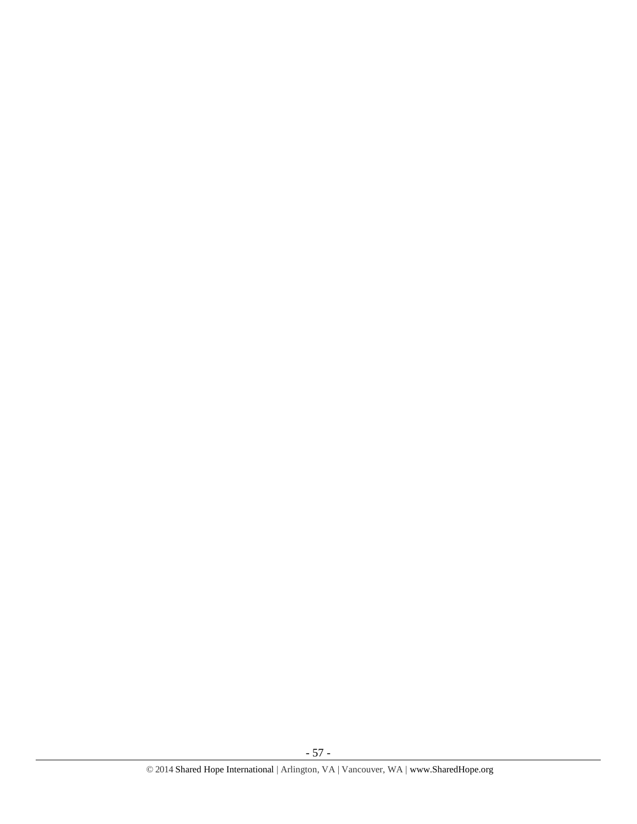- 57 - © 2014 Shared Hope International | Arlington, VA | Vancouver, WA | www.SharedHope.org